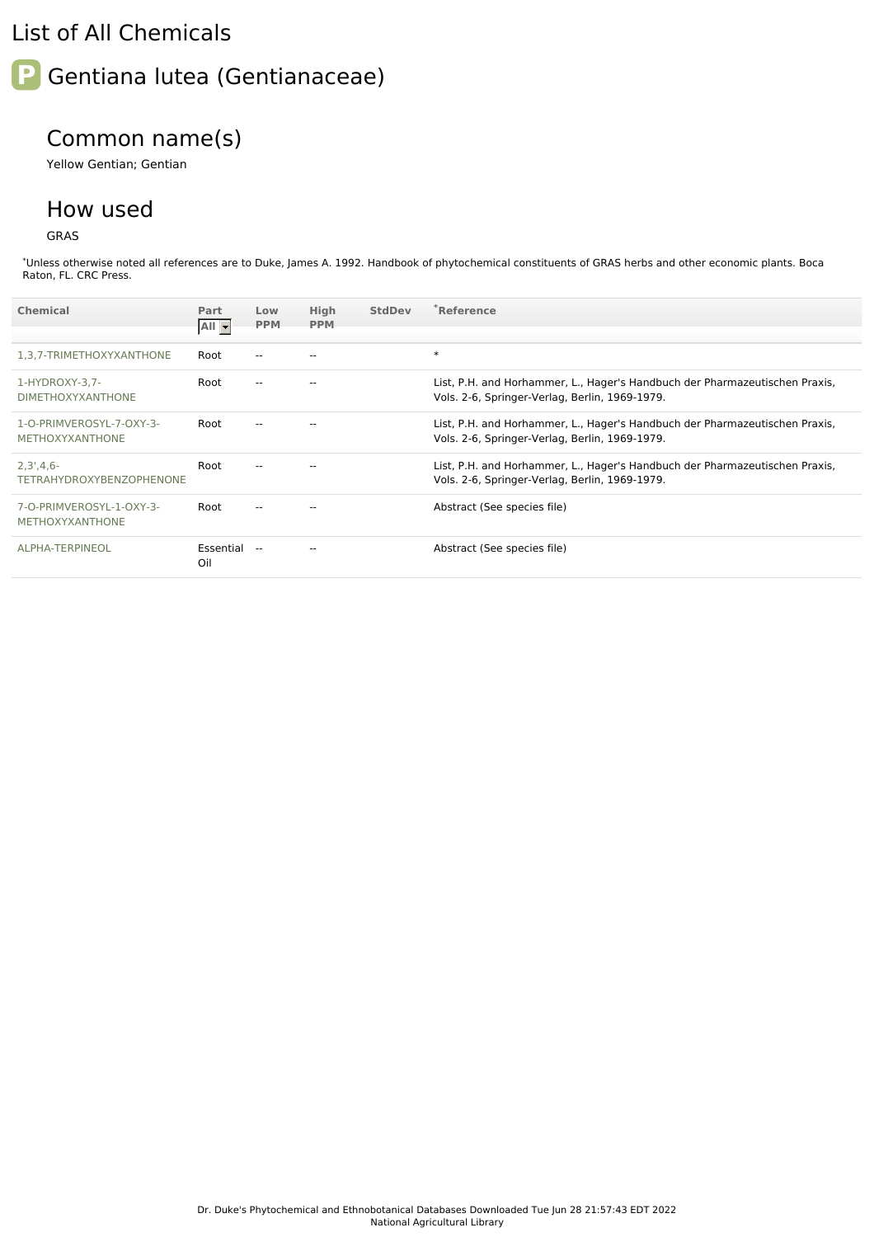## List of All Chemicals



## Common name(s)

Yellow Gentian; Gentian

## How used

GRAS

\*Unless otherwise noted all references are to Duke, James A. 1992. Handbook of phytochemical constituents of GRAS herbs and other economic plants. Boca Raton, FL. CRC Press.

| <b>Chemical</b>                                    | Part<br>$All -$     | Low<br><b>PPM</b> | High<br><b>PPM</b> | <b>StdDev</b> | *Reference                                                                                                                    |
|----------------------------------------------------|---------------------|-------------------|--------------------|---------------|-------------------------------------------------------------------------------------------------------------------------------|
| 1,3,7-TRIMETHOXYXANTHONE                           | Root                | $\overline{a}$    |                    |               | $\ast$                                                                                                                        |
| 1-HYDROXY-3,7-<br><b>DIMETHOXYXANTHONE</b>         | Root                |                   |                    |               | List, P.H. and Horhammer, L., Hager's Handbuch der Pharmazeutischen Praxis,<br>Vols. 2-6, Springer-Verlag, Berlin, 1969-1979. |
| 1-O-PRIMVEROSYL-7-OXY-3-<br><b>METHOXYXANTHONE</b> | Root                | $\overline{a}$    |                    |               | List, P.H. and Horhammer, L., Hager's Handbuch der Pharmazeutischen Praxis,<br>Vols. 2-6, Springer-Verlag, Berlin, 1969-1979. |
| $2,3',4,6-$<br><b>TETRAHYDROXYBENZOPHENONE</b>     | Root                | --                | $- -$              |               | List, P.H. and Horhammer, L., Hager's Handbuch der Pharmazeutischen Praxis,<br>Vols. 2-6, Springer-Verlag, Berlin, 1969-1979. |
| 7-O-PRIMVEROSYL-1-OXY-3-<br><b>METHOXYXANTHONE</b> | Root                |                   |                    |               | Abstract (See species file)                                                                                                   |
| ALPHA-TERPINEOL                                    | Essential --<br>Oil |                   |                    |               | Abstract (See species file)                                                                                                   |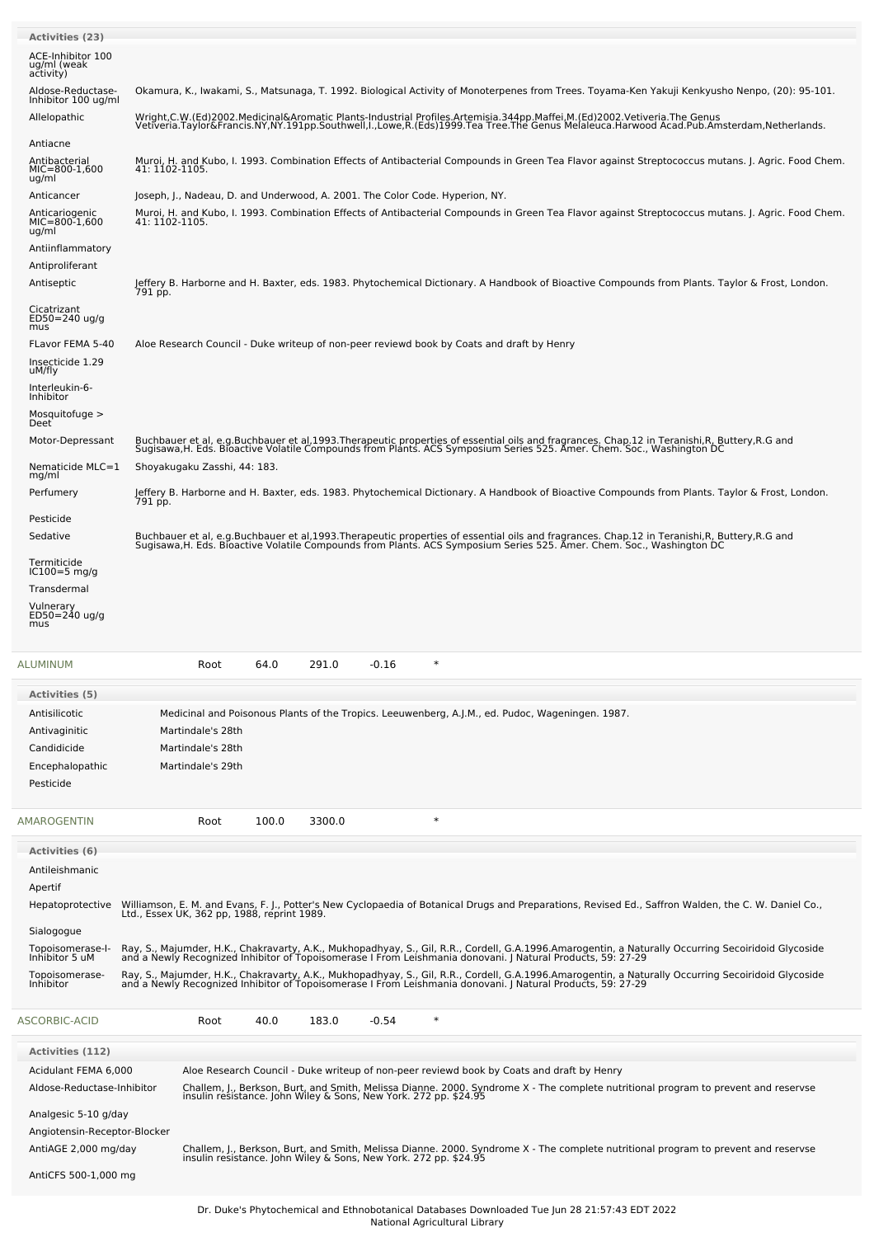| <b>Activities (23)</b>                                   |                                                                                                                                                                                                                                                                      |  |  |  |  |  |  |  |
|----------------------------------------------------------|----------------------------------------------------------------------------------------------------------------------------------------------------------------------------------------------------------------------------------------------------------------------|--|--|--|--|--|--|--|
| ACE-Inhibitor 100<br>ug/ml (weak                         |                                                                                                                                                                                                                                                                      |  |  |  |  |  |  |  |
| activity)<br>Aldose-Reductase-<br>Inhibitor 100 ug/ml    | Okamura, K., Iwakami, S., Matsunaga, T. 1992. Biological Activity of Monoterpenes from Trees. Toyama-Ken Yakuji Kenkyusho Nenpo, (20): 95-101.                                                                                                                       |  |  |  |  |  |  |  |
| Allelopathic                                             | Wright,C.W.(Ed)2002.Medicinal&Aromatic Plants-Industrial Profiles.Artemisia.344pp.Maffei,M.(Ed)2002.Vetiveria.The Genus<br>Vetiveria.Taylor&Francis.NY,NY.191pp.Southwell,I.,Lowe,R.(Eds)1999.Tea Tree.The Genus Melaleuca.Harwood Acad.Pub.Amsterdam,Netherlands.   |  |  |  |  |  |  |  |
| Antiacne<br>Antibacterial<br>MIC=800-1,600<br>ug/ml      | Muroi, H. and Kubo, I. 1993. Combination Effects of Antibacterial Compounds in Green Tea Flavor against Streptococcus mutans. J. Agric. Food Chem.<br>41: 1102-1105.                                                                                                 |  |  |  |  |  |  |  |
| Anticancer<br>Anticariogenic<br>$MIC=800-1,600$<br>ug/ml | Joseph, J., Nadeau, D. and Underwood, A. 2001. The Color Code. Hyperion, NY.<br>Muroi, H. and Kubo, I. 1993. Combination Effects of Antibacterial Compounds in Green Tea Flavor against Streptococcus mutans. J. Agric. Food Chem.<br>41: 1102-1105.                 |  |  |  |  |  |  |  |
| Antiinflammatory<br>Antiproliferant<br>Antiseptic        | Jeffery B. Harborne and H. Baxter, eds. 1983. Phytochemical Dictionary. A Handbook of Bioactive Compounds from Plants. Taylor & Frost, London.                                                                                                                       |  |  |  |  |  |  |  |
| Cicatrizant<br>$ED50 = 240$ ug/g                         | 791 pp.                                                                                                                                                                                                                                                              |  |  |  |  |  |  |  |
| mus<br>FLavor FEMA 5-40<br>Insecticide 1.29<br>uM/fly    | Aloe Research Council - Duke writeup of non-peer reviewd book by Coats and draft by Henry                                                                                                                                                                            |  |  |  |  |  |  |  |
| Interleukin-6-<br>Inhibitor<br>Mosquitofuge $>$          |                                                                                                                                                                                                                                                                      |  |  |  |  |  |  |  |
| Deet <sup>'</sup><br>Motor-Depressant                    | Buchbauer et al, e.g.Buchbauer et al,1993.Therapeutic properties of essential oils and fragrances. Chap.12 in Teranishi,R, Buttery,R.G and<br>Sugisawa, H. Eds. Bloactive Volatile Compounds from Plants. ACS Symposium Series 525. Amer. Chem. Soc., Washington DC  |  |  |  |  |  |  |  |
| Nematicide MLC=1                                         | Shoyakugaku Zasshi, 44: 183.                                                                                                                                                                                                                                         |  |  |  |  |  |  |  |
| mg/ml<br>Perfumery                                       | Jeffery B. Harborne and H. Baxter, eds. 1983. Phytochemical Dictionary. A Handbook of Bioactive Compounds from Plants. Taylor & Frost, London.                                                                                                                       |  |  |  |  |  |  |  |
| Pesticide                                                | 791 pp.                                                                                                                                                                                                                                                              |  |  |  |  |  |  |  |
| Sedative                                                 | Buchbauer et al, e.g.Buchbauer et al,1993 Therapeutic properties of essential oils and fragrances. Chap 12 in Teranishi, R. Buttery, R.G and<br>Sugisawa,H. Eds. Bioactive Volatile Compounds from Plants. ACS Symposium Series 525. Amer. Chem. Soc., Washington DC |  |  |  |  |  |  |  |
| Termiticide<br>$IC100=5$ mg/g<br>Transdermal             |                                                                                                                                                                                                                                                                      |  |  |  |  |  |  |  |
| Vulnerary<br>ED50=240 ug/g<br>mus                        |                                                                                                                                                                                                                                                                      |  |  |  |  |  |  |  |
| ALUMINUM                                                 | $\ast$<br>64.0<br>291.0<br>$-0.16$<br>Root                                                                                                                                                                                                                           |  |  |  |  |  |  |  |
| Activities (5)                                           |                                                                                                                                                                                                                                                                      |  |  |  |  |  |  |  |
| Antisilicotic                                            | Medicinal and Poisonous Plants of the Tropics. Leeuwenberg, A.J.M., ed. Pudoc, Wageningen. 1987.                                                                                                                                                                     |  |  |  |  |  |  |  |
| Antivaginitic                                            | Martindale's 28th                                                                                                                                                                                                                                                    |  |  |  |  |  |  |  |
| Candidicide                                              | Martindale's 28th                                                                                                                                                                                                                                                    |  |  |  |  |  |  |  |
| Encephalopathic<br>Pesticide                             | Martindale's 29th                                                                                                                                                                                                                                                    |  |  |  |  |  |  |  |
|                                                          |                                                                                                                                                                                                                                                                      |  |  |  |  |  |  |  |
| AMAROGENTIN                                              | $\ast$<br>100.0<br>3300.0<br>Root                                                                                                                                                                                                                                    |  |  |  |  |  |  |  |
| Activities (6)                                           |                                                                                                                                                                                                                                                                      |  |  |  |  |  |  |  |
| Antileishmanic<br>Apertif                                |                                                                                                                                                                                                                                                                      |  |  |  |  |  |  |  |
| Hepatoprotective                                         | Williamson, E. M. and Evans, F. J., Potter's New Cyclopaedia of Botanical Drugs and Preparations, Revised Ed., Saffron Walden, the C. W. Daniel Co.,<br>Ltd., Essex UK, 362 pp, 1988, reprint 1989.                                                                  |  |  |  |  |  |  |  |
| Sialogogue                                               |                                                                                                                                                                                                                                                                      |  |  |  |  |  |  |  |
| Topoisomerase-I-<br>Inhibitor 5 uM                       | Ray, S., Majumder, H.K., Chakravarty, A.K., Mukhopadhyay, S., Gil, R.R., Cordell, G.A.1996.Amarogentin, a Naturally Occurring Secoiridoid Glycoside<br>and a Newly Recognized Inhibitor of Topoisomerase I From Leishmania donova                                    |  |  |  |  |  |  |  |
| Topoisomerase-<br>Inhibitor                              | Ray, S., Majumder, H.K., Chakravarty, A.K., Mukhopadhyay, S., Gil, R.R., Cordell, G.A.1996.Amarogentin, a Naturally Occurring Secoiridoid Glycoside<br>and a Newly Recognized Inhibitor of Topoisomerase I From Leishmania donova                                    |  |  |  |  |  |  |  |
| ASCORBIC-ACID                                            | $-0.54$<br>$\ast$<br>40.0<br>183.0<br>Root                                                                                                                                                                                                                           |  |  |  |  |  |  |  |
| <b>Activities (112)</b>                                  |                                                                                                                                                                                                                                                                      |  |  |  |  |  |  |  |
| Acidulant FEMA 6,000<br>Aldose-Reductase-Inhibitor       | Aloe Research Council - Duke writeup of non-peer reviewd book by Coats and draft by Henry                                                                                                                                                                            |  |  |  |  |  |  |  |
| Analgesic 5-10 g/day                                     | Challem, J., Berkson, Burt, and Smith, Melissa Dianne. 2000. Syndrome X - The complete nutritional program to prevent and reservse<br>insulin resistance. John Wiley & Sons, New York. 272 pp. \$24.95                                                               |  |  |  |  |  |  |  |
| Angiotensin-Receptor-Blocker<br>AntiAGE 2,000 mg/day     |                                                                                                                                                                                                                                                                      |  |  |  |  |  |  |  |
| AntiCFS 500-1,000 mg                                     | Challem, J., Berkson, Burt, and Smith, Melissa Dianne. 2000. Syndrome X - The complete nutritional program to prevent and reservse<br>insulin resistance. John Wiley & Sons, New York. 272 pp. \$24.95                                                               |  |  |  |  |  |  |  |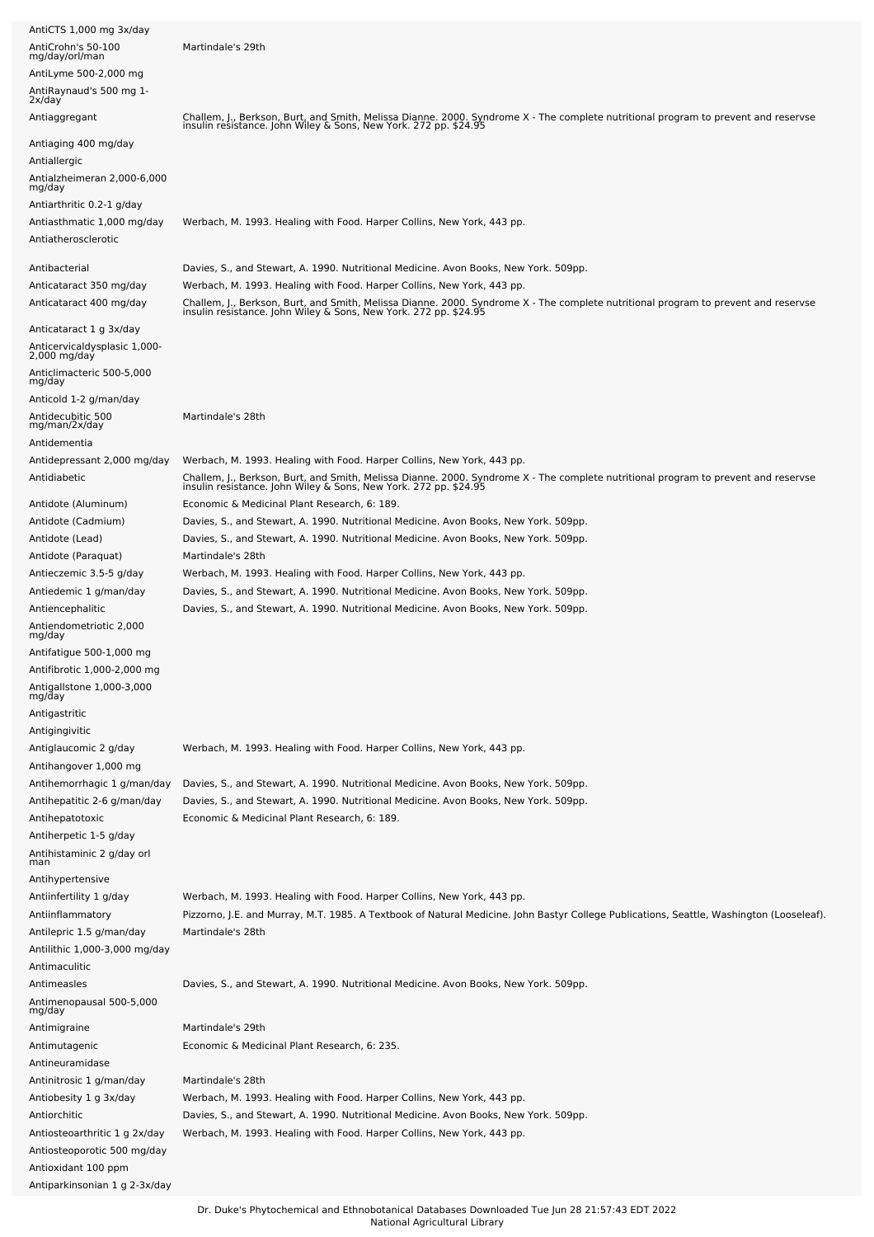| AntiCTS 1,000 mg 3x/day                                            |                                                                                                                                                                                                                                                                                  |
|--------------------------------------------------------------------|----------------------------------------------------------------------------------------------------------------------------------------------------------------------------------------------------------------------------------------------------------------------------------|
| AntiCrohn's 50-100<br>mg/day/orl/man                               | Martindale's 29th                                                                                                                                                                                                                                                                |
| AntiLyme 500-2,000 mg                                              |                                                                                                                                                                                                                                                                                  |
| AntiRaynaud's 500 mg 1-                                            |                                                                                                                                                                                                                                                                                  |
| 2x/day                                                             |                                                                                                                                                                                                                                                                                  |
| Antiaggregant                                                      | Challem, J., Berkson, Burt, and Smith, Melissa Dianne. 2000. Syndrome X - The complete nutritional program to prevent and reservse<br>insulin resistance. John Wiley & Sons, New York. 272 pp. \$24.95                                                                           |
| Antiaging 400 mg/day<br>Antiallergic                               |                                                                                                                                                                                                                                                                                  |
| Antialzheimeran 2,000-6,000<br>mg/day                              |                                                                                                                                                                                                                                                                                  |
| Antiarthritic 0.2-1 g/day                                          |                                                                                                                                                                                                                                                                                  |
| Antiasthmatic 1,000 mg/day                                         | Werbach, M. 1993. Healing with Food. Harper Collins, New York, 443 pp.                                                                                                                                                                                                           |
| Antiatherosclerotic                                                |                                                                                                                                                                                                                                                                                  |
| Antibacterial                                                      | Davies, S., and Stewart, A. 1990. Nutritional Medicine. Avon Books, New York. 509pp.                                                                                                                                                                                             |
| Anticataract 350 mg/day<br>Anticataract 400 mg/day                 | Werbach, M. 1993. Healing with Food. Harper Collins, New York, 443 pp.<br>Challem, J., Berkson, Burt, and Smith, Melissa Dianne. 2000. Syndrome X - The complete nutritional program to prevent and reservse<br>insulin resistance. John Wiley & Sons, New York. 272 pp. \$24.95 |
| Anticataract 1 g 3x/day                                            |                                                                                                                                                                                                                                                                                  |
| Anticervicaldysplasic 1,000-<br>2,000 mg/day                       |                                                                                                                                                                                                                                                                                  |
| Anticlimacteric 500-5,000<br>mg/day                                |                                                                                                                                                                                                                                                                                  |
| Anticold 1-2 g/man/day<br>Antidecubitic 500<br>mg/man/2x/day       | Martindale's 28th                                                                                                                                                                                                                                                                |
| Antidementia                                                       |                                                                                                                                                                                                                                                                                  |
| Antidepressant 2,000 mg/day                                        | Werbach, M. 1993. Healing with Food. Harper Collins, New York, 443 pp.                                                                                                                                                                                                           |
| Antidiabetic                                                       | Challem, J., Berkson, Burt, and Smith, Melissa Dianne. 2000. Syndrome X - The complete nutritional program to prevent and reservse<br>insulin resistance. John Wiley & Sons, New York. 272 pp. \$24.95                                                                           |
| Antidote (Aluminum)                                                | Economic & Medicinal Plant Research, 6: 189.                                                                                                                                                                                                                                     |
| Antidote (Cadmium)                                                 | Davies, S., and Stewart, A. 1990. Nutritional Medicine. Avon Books, New York. 509pp.                                                                                                                                                                                             |
| Antidote (Lead)                                                    | Davies, S., and Stewart, A. 1990. Nutritional Medicine. Avon Books, New York. 509pp.                                                                                                                                                                                             |
| Antidote (Paraquat)                                                | Martindale's 28th                                                                                                                                                                                                                                                                |
| Antieczemic 3.5-5 g/day                                            | Werbach, M. 1993. Healing with Food. Harper Collins, New York, 443 pp.                                                                                                                                                                                                           |
| Antiedemic 1 g/man/day                                             | Davies, S., and Stewart, A. 1990. Nutritional Medicine. Avon Books, New York. 509pp.                                                                                                                                                                                             |
| Antiencephalitic                                                   | Davies, S., and Stewart, A. 1990. Nutritional Medicine. Avon Books, New York. 509pp.                                                                                                                                                                                             |
| Antiendometriotic 2,000<br>mg/day                                  |                                                                                                                                                                                                                                                                                  |
| Antifatigue 500-1,000 mg                                           |                                                                                                                                                                                                                                                                                  |
| Antifibrotic 1,000-2,000 mg<br>Antigallstone 1,000-3,000<br>mg/day |                                                                                                                                                                                                                                                                                  |
| Antigastritic                                                      |                                                                                                                                                                                                                                                                                  |
| Antigingivitic                                                     |                                                                                                                                                                                                                                                                                  |
| Antiglaucomic 2 g/day                                              | Werbach, M. 1993. Healing with Food. Harper Collins, New York, 443 pp.                                                                                                                                                                                                           |
| Antihangover 1,000 mg                                              |                                                                                                                                                                                                                                                                                  |
| Antihemorrhagic 1 g/man/day                                        | Davies, S., and Stewart, A. 1990. Nutritional Medicine. Avon Books, New York. 509pp.                                                                                                                                                                                             |
| Antihepatitic 2-6 g/man/day                                        | Davies, S., and Stewart, A. 1990. Nutritional Medicine. Avon Books, New York. 509pp.                                                                                                                                                                                             |
| Antihepatotoxic                                                    | Economic & Medicinal Plant Research, 6: 189.                                                                                                                                                                                                                                     |
| Antiherpetic 1-5 g/day                                             |                                                                                                                                                                                                                                                                                  |
| Antihistaminic 2 g/day orl<br>man                                  |                                                                                                                                                                                                                                                                                  |
| Antihypertensive                                                   |                                                                                                                                                                                                                                                                                  |
| Antiinfertility 1 g/day                                            | Werbach, M. 1993. Healing with Food. Harper Collins, New York, 443 pp.                                                                                                                                                                                                           |
| Antiinflammatory                                                   | Pizzorno, J.E. and Murray, M.T. 1985. A Textbook of Natural Medicine. John Bastyr College Publications, Seattle, Washington (Looseleaf).                                                                                                                                         |
| Antilepric 1.5 g/man/day                                           | Martindale's 28th                                                                                                                                                                                                                                                                |
| Antilithic 1,000-3,000 mg/day                                      |                                                                                                                                                                                                                                                                                  |
| Antimaculitic                                                      |                                                                                                                                                                                                                                                                                  |
| Antimeasles                                                        | Davies, S., and Stewart, A. 1990. Nutritional Medicine. Avon Books, New York. 509pp.                                                                                                                                                                                             |
| Antimenopausal 500-5,000<br>mg/day                                 |                                                                                                                                                                                                                                                                                  |
| Antimigraine                                                       | Martindale's 29th                                                                                                                                                                                                                                                                |
| Antimutagenic                                                      | Economic & Medicinal Plant Research, 6: 235.                                                                                                                                                                                                                                     |
| Antineuramidase                                                    |                                                                                                                                                                                                                                                                                  |
| Antinitrosic 1 g/man/day                                           | Martindale's 28th                                                                                                                                                                                                                                                                |
| Antiobesity 1 g 3x/day                                             | Werbach, M. 1993. Healing with Food. Harper Collins, New York, 443 pp.                                                                                                                                                                                                           |
| Antiorchitic                                                       | Davies, S., and Stewart, A. 1990. Nutritional Medicine. Avon Books, New York. 509pp.                                                                                                                                                                                             |
| Antiosteoarthritic 1 g 2x/day                                      | Werbach, M. 1993. Healing with Food. Harper Collins, New York, 443 pp.                                                                                                                                                                                                           |
| Antiosteoporotic 500 mg/day                                        |                                                                                                                                                                                                                                                                                  |
| Antioxidant 100 ppm                                                |                                                                                                                                                                                                                                                                                  |
| Antiparkinsonian 1 g 2-3x/day                                      |                                                                                                                                                                                                                                                                                  |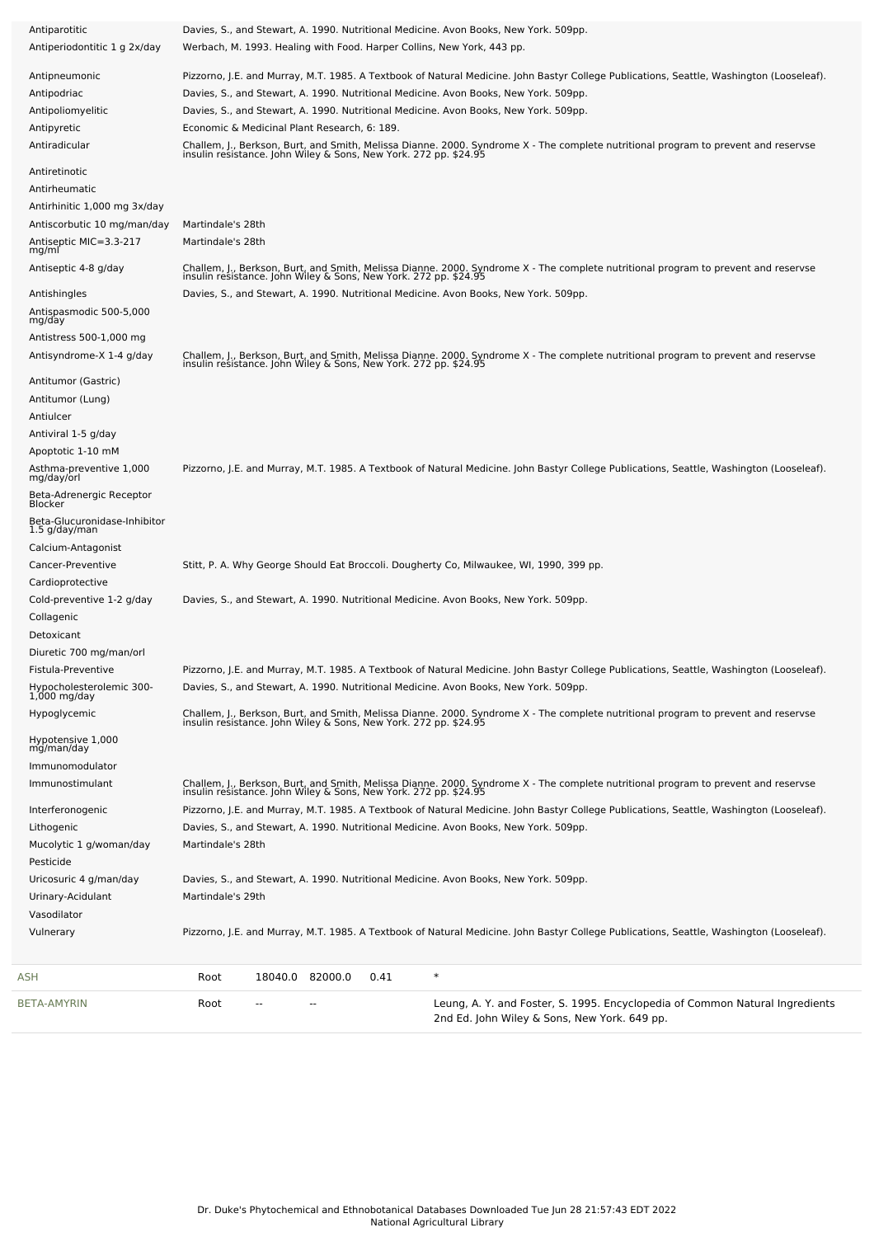| Antiparotitic                                 | Davies, S., and Stewart, A. 1990. Nutritional Medicine. Avon Books, New York. 509pp.                                                                                                                                             |
|-----------------------------------------------|----------------------------------------------------------------------------------------------------------------------------------------------------------------------------------------------------------------------------------|
| Antiperiodontitic 1 g 2x/day                  | Werbach, M. 1993. Healing with Food. Harper Collins, New York, 443 pp.                                                                                                                                                           |
| Antipneumonic                                 | Pizzorno, J.E. and Murray, M.T. 1985. A Textbook of Natural Medicine. John Bastyr College Publications, Seattle, Washington (Looseleaf).                                                                                         |
| Antipodriac                                   | Davies, S., and Stewart, A. 1990. Nutritional Medicine. Avon Books, New York. 509pp.                                                                                                                                             |
| Antipoliomyelitic                             | Davies, S., and Stewart, A. 1990. Nutritional Medicine. Avon Books, New York. 509pp.                                                                                                                                             |
| Antipyretic                                   | Economic & Medicinal Plant Research, 6: 189.                                                                                                                                                                                     |
| Antiradicular                                 | Challem, J., Berkson, Burt, and Smith, Melissa Dianne. 2000. Syndrome X - The complete nutritional program to prevent and reservse<br>insulin resistance. John Wiley & Sons, New York. 272 pp. \$24.95                           |
| Antiretinotic                                 |                                                                                                                                                                                                                                  |
| Antirheumatic                                 |                                                                                                                                                                                                                                  |
| Antirhinitic 1,000 mg 3x/day                  |                                                                                                                                                                                                                                  |
| Antiscorbutic 10 mg/man/day                   | Martindale's 28th                                                                                                                                                                                                                |
| Antiseptic MIC=3.3-217<br>mg/ml               | Martindale's 28th                                                                                                                                                                                                                |
| Antiseptic 4-8 g/day                          | Challem, J., Berkson, Burt, and Smith, Melissa Dianne. 2000. Syndrome X - The complete nutritional program to prevent and reservse<br>insulin resistance. John Wiley & Sons, New York. 272 pp. \$24.95                           |
| Antishingles                                  | Davies, S., and Stewart, A. 1990. Nutritional Medicine. Avon Books, New York. 509pp.                                                                                                                                             |
| Antispasmodic 500-5,000<br>mg/day             |                                                                                                                                                                                                                                  |
| Antistress 500-1,000 mg                       |                                                                                                                                                                                                                                  |
| Antisyndrome-X 1-4 g/day                      | Challem, J., Berkson, Burt, and Smith, Melissa Dianne. 2000. Syndrome X - The complete nutritional program to prevent and reservse<br>insulin resistance. John Wiley & Sons, New York. 272 pp. \$24.95                           |
| Antitumor (Gastric)                           |                                                                                                                                                                                                                                  |
| Antitumor (Lung)                              |                                                                                                                                                                                                                                  |
| Antiulcer                                     |                                                                                                                                                                                                                                  |
| Antiviral 1-5 g/day                           |                                                                                                                                                                                                                                  |
| Apoptotic 1-10 mM                             |                                                                                                                                                                                                                                  |
| Asthma-preventive 1,000<br>mg/day/orl         | Pizzorno, J.E. and Murray, M.T. 1985. A Textbook of Natural Medicine. John Bastyr College Publications, Seattle, Washington (Looseleaf).                                                                                         |
| Beta-Adrenergic Receptor<br><b>Blocker</b>    |                                                                                                                                                                                                                                  |
| Beta-Glucuronidase-Inhibitor<br>1.5 g/day/man |                                                                                                                                                                                                                                  |
| Calcium-Antagonist                            |                                                                                                                                                                                                                                  |
| Cancer-Preventive                             | Stitt, P. A. Why George Should Eat Broccoli. Dougherty Co, Milwaukee, WI, 1990, 399 pp.                                                                                                                                          |
| Cardioprotective                              |                                                                                                                                                                                                                                  |
| Cold-preventive 1-2 g/day                     | Davies, S., and Stewart, A. 1990. Nutritional Medicine. Avon Books, New York. 509pp.                                                                                                                                             |
| Collagenic                                    |                                                                                                                                                                                                                                  |
| Detoxicant                                    |                                                                                                                                                                                                                                  |
| Diuretic 700 mg/man/orl<br>Fistula-Preventive |                                                                                                                                                                                                                                  |
| Hypocholesterolemic 300-                      | Pizzorno, J.E. and Murray, M.T. 1985. A Textbook of Natural Medicine. John Bastyr College Publications, Seattle, Washington (Looseleaf).<br>Davies, S., and Stewart, A. 1990. Nutritional Medicine. Avon Books, New York. 509pp. |
| $1,000$ mg/day                                |                                                                                                                                                                                                                                  |
| Hypoglycemic                                  | Challem, J., Berkson, Burt, and Smith, Melissa Dianne. 2000. Syndrome X - The complete nutritional program to prevent and reservse<br>insulin resistance. John Wiley & Sons, New York. 272 pp. \$24.95                           |
| Hypotensive 1,000<br>mg/man/day               |                                                                                                                                                                                                                                  |
| Immunomodulator                               |                                                                                                                                                                                                                                  |
| Immunostimulant                               | Challem, J., Berkson, Burt, and Smith, Melissa Dianne. 2000. Syndrome X - The complete nutritional program to prevent and reservse<br>insulin resistance. John Wiley & Sons, New York. 272 pp. \$24.95                           |
| Interferonogenic                              | Pizzorno, J.E. and Murray, M.T. 1985. A Textbook of Natural Medicine. John Bastyr College Publications, Seattle, Washington (Looseleaf).                                                                                         |
| Lithogenic                                    | Davies, S., and Stewart, A. 1990. Nutritional Medicine. Avon Books, New York. 509pp.                                                                                                                                             |
| Mucolytic 1 g/woman/day<br>Pesticide          | Martindale's 28th                                                                                                                                                                                                                |
| Uricosuric 4 g/man/day                        | Davies, S., and Stewart, A. 1990. Nutritional Medicine. Avon Books, New York. 509pp.                                                                                                                                             |
| Urinary-Acidulant                             | Martindale's 29th                                                                                                                                                                                                                |
| Vasodilator                                   |                                                                                                                                                                                                                                  |
| Vulnerary                                     | Pizzorno, J.E. and Murray, M.T. 1985. A Textbook of Natural Medicine. John Bastyr College Publications, Seattle, Washington (Looseleaf).                                                                                         |
| ASH                                           | $\ast$<br>Root<br>18040.0 82000.0<br>0.41                                                                                                                                                                                        |
| BETA-AMYRIN                                   | Leung, A. Y. and Foster, S. 1995. Encyclopedia of Common Natural Ingredients<br>Root<br>$-$<br>$\overline{\phantom{a}}$                                                                                                          |
|                                               | 2nd Ed. John Wiley & Sons, New York. 649 pp.                                                                                                                                                                                     |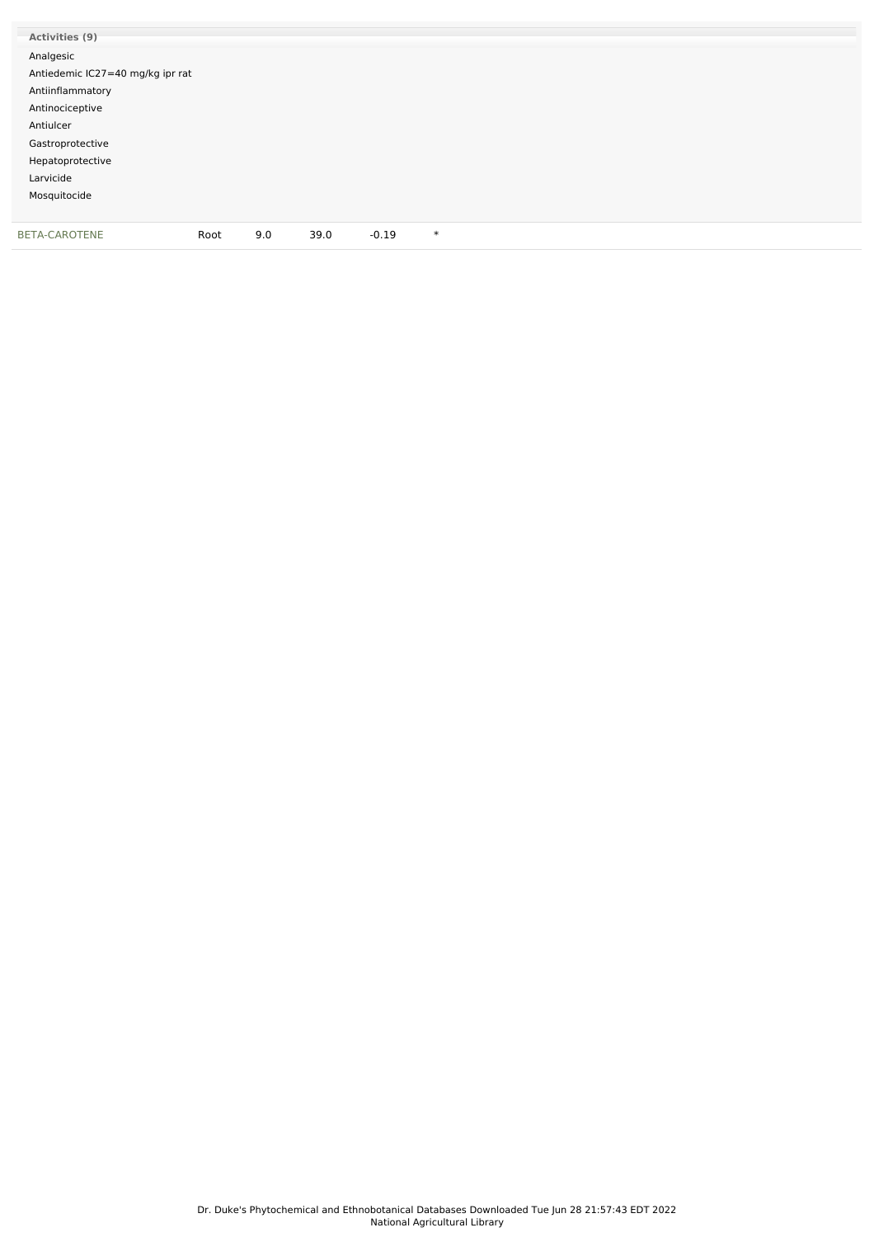| Activities (9)                   |      |     |      |         |        |  |
|----------------------------------|------|-----|------|---------|--------|--|
| Analgesic                        |      |     |      |         |        |  |
| Antiedemic IC27=40 mg/kg ipr rat |      |     |      |         |        |  |
| Antiinflammatory                 |      |     |      |         |        |  |
| Antinociceptive                  |      |     |      |         |        |  |
| Antiulcer                        |      |     |      |         |        |  |
| Gastroprotective                 |      |     |      |         |        |  |
| Hepatoprotective                 |      |     |      |         |        |  |
| Larvicide                        |      |     |      |         |        |  |
| Mosquitocide                     |      |     |      |         |        |  |
|                                  |      |     |      |         |        |  |
| BETA-CAROTENE                    | Root | 9.0 | 39.0 | $-0.19$ | $\ast$ |  |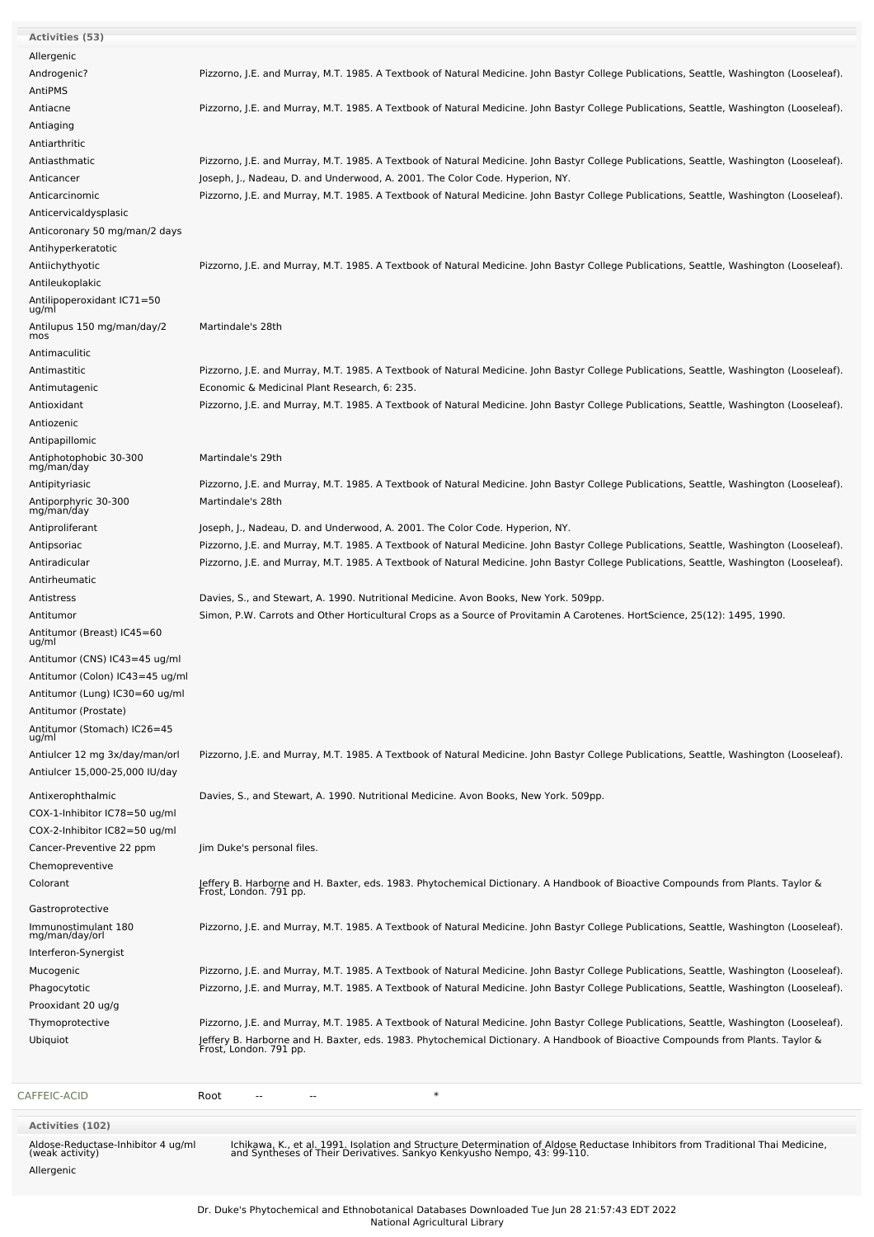| <b>Activities (53)</b>                                                           |                                                                                                                                                                                                            |
|----------------------------------------------------------------------------------|------------------------------------------------------------------------------------------------------------------------------------------------------------------------------------------------------------|
| Allergenic                                                                       |                                                                                                                                                                                                            |
| Androgenic?                                                                      | Pizzorno, J.E. and Murray, M.T. 1985. A Textbook of Natural Medicine. John Bastyr College Publications, Seattle, Washington (Looseleaf).                                                                   |
| AntiPMS                                                                          |                                                                                                                                                                                                            |
| Antiacne                                                                         | Pizzorno, J.E. and Murray, M.T. 1985. A Textbook of Natural Medicine. John Bastyr College Publications, Seattle, Washington (Looseleaf).                                                                   |
| Antiaging                                                                        |                                                                                                                                                                                                            |
|                                                                                  |                                                                                                                                                                                                            |
| Antiarthritic                                                                    |                                                                                                                                                                                                            |
| Antiasthmatic                                                                    | Pizzorno, J.E. and Murray, M.T. 1985. A Textbook of Natural Medicine. John Bastyr College Publications, Seattle, Washington (Looseleaf).                                                                   |
| Anticancer                                                                       | Joseph, J., Nadeau, D. and Underwood, A. 2001. The Color Code. Hyperion, NY.                                                                                                                               |
| Anticarcinomic                                                                   | Pizzorno, J.E. and Murray, M.T. 1985. A Textbook of Natural Medicine. John Bastyr College Publications, Seattle, Washington (Looseleaf).                                                                   |
| Anticervicaldysplasic                                                            |                                                                                                                                                                                                            |
| Anticoronary 50 mg/man/2 days                                                    |                                                                                                                                                                                                            |
| Antihyperkeratotic                                                               |                                                                                                                                                                                                            |
| Antiichythyotic                                                                  | Pizzorno, J.E. and Murray, M.T. 1985. A Textbook of Natural Medicine. John Bastyr College Publications, Seattle, Washington (Looseleaf).                                                                   |
| Antileukoplakic                                                                  |                                                                                                                                                                                                            |
| Antilipoperoxidant IC71=50                                                       |                                                                                                                                                                                                            |
| ug/ml                                                                            |                                                                                                                                                                                                            |
| Antilupus 150 mg/man/day/2<br>mos                                                | Martindale's 28th                                                                                                                                                                                          |
| Antimaculitic                                                                    |                                                                                                                                                                                                            |
| Antimastitic                                                                     | Pizzorno, J.E. and Murray, M.T. 1985. A Textbook of Natural Medicine. John Bastyr College Publications, Seattle, Washington (Looseleaf).                                                                   |
| Antimutagenic                                                                    | Economic & Medicinal Plant Research, 6: 235.                                                                                                                                                               |
| Antioxidant                                                                      | Pizzorno, J.E. and Murray, M.T. 1985. A Textbook of Natural Medicine. John Bastyr College Publications, Seattle, Washington (Looseleaf).                                                                   |
| Antiozenic                                                                       |                                                                                                                                                                                                            |
|                                                                                  |                                                                                                                                                                                                            |
| Antipapillomic                                                                   |                                                                                                                                                                                                            |
| Antiphotophobic 30-300<br>mg/man/day                                             | Martindale's 29th                                                                                                                                                                                          |
| Antipityriasic                                                                   | Pizzorno, J.E. and Murray, M.T. 1985. A Textbook of Natural Medicine. John Bastyr College Publications, Seattle, Washington (Looseleaf).                                                                   |
| Antiporphyric 30-300                                                             | Martindale's 28th                                                                                                                                                                                          |
| mg/man/day                                                                       |                                                                                                                                                                                                            |
| Antiproliferant                                                                  | Joseph, J., Nadeau, D. and Underwood, A. 2001. The Color Code. Hyperion, NY.                                                                                                                               |
| Antipsoriac                                                                      | Pizzorno, J.E. and Murray, M.T. 1985. A Textbook of Natural Medicine. John Bastyr College Publications, Seattle, Washington (Looseleaf).                                                                   |
| Antiradicular                                                                    | Pizzorno, J.E. and Murray, M.T. 1985. A Textbook of Natural Medicine. John Bastyr College Publications, Seattle, Washington (Looseleaf).                                                                   |
| Antirheumatic                                                                    |                                                                                                                                                                                                            |
| Antistress                                                                       | Davies, S., and Stewart, A. 1990. Nutritional Medicine. Avon Books, New York. 509pp.                                                                                                                       |
| Antitumor                                                                        | Simon, P.W. Carrots and Other Horticultural Crops as a Source of Provitamin A Carotenes. HortScience, 25(12): 1495, 1990.                                                                                  |
| Antitumor (Breast) IC45=60<br>ug/ml                                              |                                                                                                                                                                                                            |
| Antitumor (CNS) IC43=45 ug/ml                                                    |                                                                                                                                                                                                            |
| Antitumor (Colon) IC43=45 ug/ml                                                  |                                                                                                                                                                                                            |
|                                                                                  |                                                                                                                                                                                                            |
| Antitumor (Lung) IC30=60 ug/ml                                                   |                                                                                                                                                                                                            |
| Antitumor (Prostate)                                                             |                                                                                                                                                                                                            |
| Antitumor (Stomach) IC26=45<br>ug/ml                                             |                                                                                                                                                                                                            |
| Antiulcer 12 mg 3x/day/man/orl                                                   | Pizzorno, J.E. and Murray, M.T. 1985. A Textbook of Natural Medicine. John Bastyr College Publications, Seattle, Washington (Looseleaf).                                                                   |
| Antiulcer 15,000-25,000 IU/day                                                   |                                                                                                                                                                                                            |
|                                                                                  |                                                                                                                                                                                                            |
| Antixerophthalmic                                                                | Davies, S., and Stewart, A. 1990. Nutritional Medicine. Avon Books, New York. 509pp.                                                                                                                       |
| COX-1-Inhibitor IC78=50 ug/ml                                                    |                                                                                                                                                                                                            |
| COX-2-Inhibitor IC82=50 ug/ml                                                    |                                                                                                                                                                                                            |
| Cancer-Preventive 22 ppm                                                         | Jim Duke's personal files.                                                                                                                                                                                 |
| Chemopreventive                                                                  |                                                                                                                                                                                                            |
| Colorant                                                                         | Jeffery B. Harborne and H. Baxter, eds. 1983. Phytochemical Dictionary. A Handbook of Bioactive Compounds from Plants. Taylor &<br>Frost, London. 791 pp.                                                  |
| Gastroprotective                                                                 |                                                                                                                                                                                                            |
| Immunostimulant 180                                                              | Pizzorno, J.E. and Murray, M.T. 1985. A Textbook of Natural Medicine. John Bastyr College Publications, Seattle, Washington (Looseleaf).                                                                   |
| mg/man/day/orl                                                                   |                                                                                                                                                                                                            |
| Interferon-Synergist                                                             |                                                                                                                                                                                                            |
| Mucogenic                                                                        | Pizzorno, J.E. and Murray, M.T. 1985. A Textbook of Natural Medicine. John Bastyr College Publications, Seattle, Washington (Looseleaf).                                                                   |
| Phagocytotic                                                                     | Pizzorno, J.E. and Murray, M.T. 1985. A Textbook of Natural Medicine. John Bastyr College Publications, Seattle, Washington (Looseleaf).                                                                   |
| Prooxidant 20 ug/g                                                               |                                                                                                                                                                                                            |
| Thymoprotective                                                                  | Pizzorno, J.E. and Murray, M.T. 1985. A Textbook of Natural Medicine. John Bastyr College Publications, Seattle, Washington (Looseleaf).                                                                   |
| Ubiquiot                                                                         | Jeffery B. Harborne and H. Baxter, eds. 1983. Phytochemical Dictionary. A Handbook of Bioactive Compounds from Plants. Taylor &<br>Frost, London. 791 pp.                                                  |
|                                                                                  |                                                                                                                                                                                                            |
| CAFFEIC-ACID                                                                     | $\ast$<br>Root                                                                                                                                                                                             |
|                                                                                  |                                                                                                                                                                                                            |
| <b>Activities (102)</b><br>Aldose-Reductase-Inhibitor 4 ug/ml<br>(weak activity) | Ichikawa, K., et al. 1991. Isolation and Structure Determination of Aldose Reductase Inhibitors from Traditional Thai Medicine,<br>and Syntheses of Their Derivatives. Sankyo Kenkyusho Nempo, 43: 99-110. |
|                                                                                  |                                                                                                                                                                                                            |

Allergenic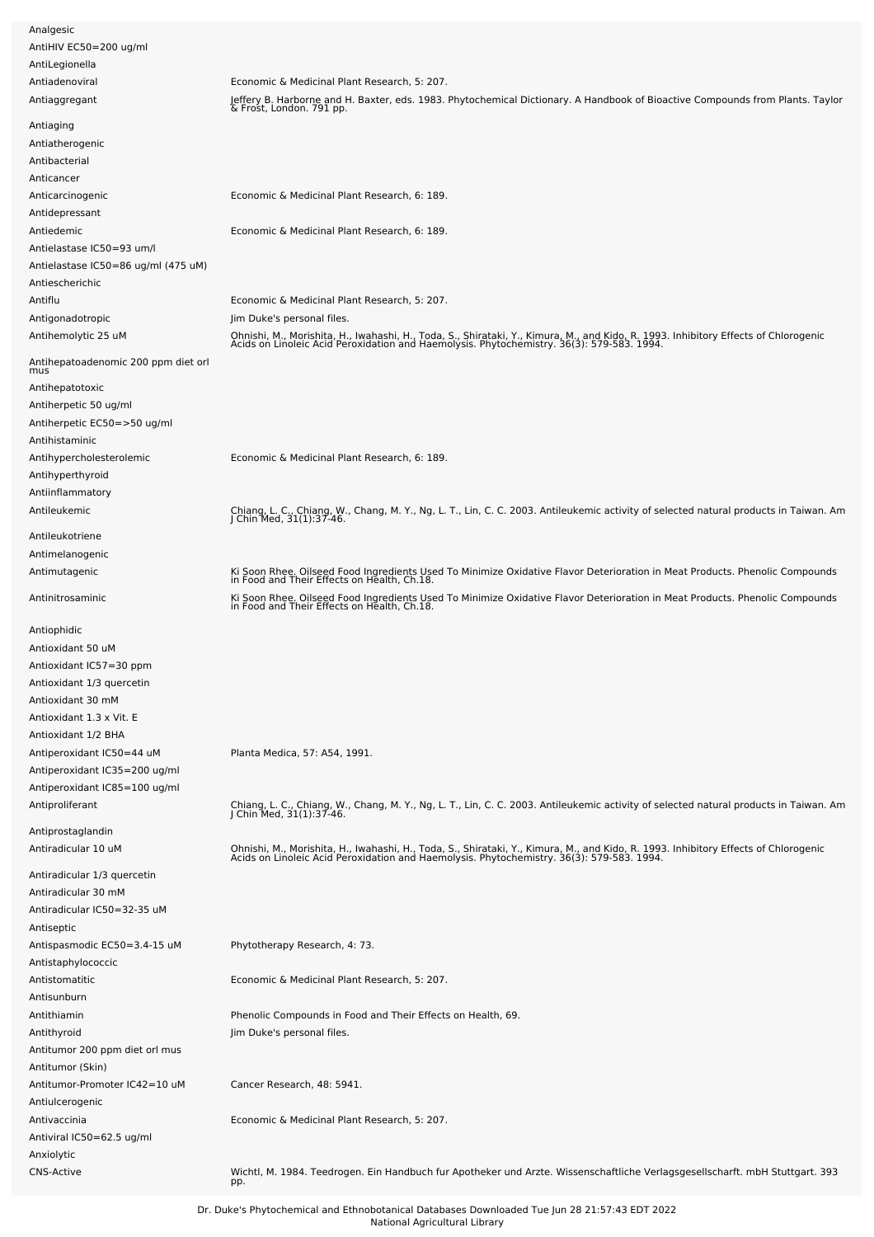| AntiHIV EC50=200 ug/ml                             |                                                                                                                                                                                                                                  |
|----------------------------------------------------|----------------------------------------------------------------------------------------------------------------------------------------------------------------------------------------------------------------------------------|
| AntiLegionella                                     |                                                                                                                                                                                                                                  |
| Antiadenoviral                                     | Economic & Medicinal Plant Research, 5: 207.                                                                                                                                                                                     |
| Antiaggregant                                      | Jeffery B. Harborne and H. Baxter, eds. 1983. Phytochemical Dictionary. A Handbook of Bioactive Compounds from Plants. Taylor<br>& Frost, London. 791 pp.                                                                        |
| Antiaging<br>Antiatherogenic                       |                                                                                                                                                                                                                                  |
| Antibacterial                                      |                                                                                                                                                                                                                                  |
| Anticancer                                         |                                                                                                                                                                                                                                  |
| Anticarcinogenic                                   | Economic & Medicinal Plant Research, 6: 189.                                                                                                                                                                                     |
| Antidepressant                                     |                                                                                                                                                                                                                                  |
| Antiedemic                                         | Economic & Medicinal Plant Research, 6: 189.                                                                                                                                                                                     |
| Antielastase IC50=93 um/l                          |                                                                                                                                                                                                                                  |
| Antielastase IC50=86 ug/ml (475 uM)                |                                                                                                                                                                                                                                  |
| Antiescherichic                                    |                                                                                                                                                                                                                                  |
| Antiflu                                            | Economic & Medicinal Plant Research, 5: 207.                                                                                                                                                                                     |
| Antigonadotropic                                   | Jim Duke's personal files.                                                                                                                                                                                                       |
| Antihemolytic 25 uM                                |                                                                                                                                                                                                                                  |
|                                                    | Ohnishi, M., Morishita, H., Iwahashi, H., Toda, S., Shirataki, Y., Kimura, M., and Kido, R. 1993. Inhibitory Effects of Chlorogenic<br>Acids on Linoleic Acid Peroxidation and Haemolysis. Phytochemistry. 36(3): 579-583. 1994. |
| Antihepatoadenomic 200 ppm diet orl<br>mus         |                                                                                                                                                                                                                                  |
| Antihepatotoxic                                    |                                                                                                                                                                                                                                  |
| Antiherpetic 50 ug/ml                              |                                                                                                                                                                                                                                  |
| Antiherpetic EC50=>50 ug/ml                        |                                                                                                                                                                                                                                  |
| Antihistaminic                                     |                                                                                                                                                                                                                                  |
| Antihypercholesterolemic                           | Economic & Medicinal Plant Research, 6: 189.                                                                                                                                                                                     |
| Antihyperthyroid                                   |                                                                                                                                                                                                                                  |
| Antiinflammatory                                   |                                                                                                                                                                                                                                  |
| Antileukemic                                       | Chiang, L. C., Chiang, W., Chang, M. Y., Ng, L. T., Lin, C. C. 2003. Antileukemic activity of selected natural products in Taiwan. Am J Chin Med, 31(1):37-46.                                                                   |
|                                                    |                                                                                                                                                                                                                                  |
| Antileukotriene                                    |                                                                                                                                                                                                                                  |
| Antimelanogenic                                    |                                                                                                                                                                                                                                  |
| Antimutagenic                                      | Ki Soon Rhee. Oilseed Food Ingredients Used To Minimize Oxidative Flavor Deterioration in Meat Products. Phenolic Compounds<br>in Food and Their Effects on Health, Ch.18.                                                       |
| Antinitrosaminic                                   | Ki Soon Rhee. Oilseed Food Ingredients Used To Minimize Oxidative Flavor Deterioration in Meat Products. Phenolic Compounds<br>in Food and Their Effects on Health, Ch.18.                                                       |
|                                                    |                                                                                                                                                                                                                                  |
| Antiophidic                                        |                                                                                                                                                                                                                                  |
| Antioxidant 50 uM                                  |                                                                                                                                                                                                                                  |
| Antioxidant IC57=30 ppm                            |                                                                                                                                                                                                                                  |
| Antioxidant 1/3 quercetin                          |                                                                                                                                                                                                                                  |
| Antioxidant 30 mM                                  |                                                                                                                                                                                                                                  |
| Antioxidant 1.3 x Vit. E                           |                                                                                                                                                                                                                                  |
| Antioxidant 1/2 BHA                                |                                                                                                                                                                                                                                  |
| Antiperoxidant IC50=44 uM                          | Planta Medica, 57: A54, 1991.                                                                                                                                                                                                    |
| Antiperoxidant IC35=200 ug/ml                      |                                                                                                                                                                                                                                  |
| Antiperoxidant IC85=100 ug/ml                      |                                                                                                                                                                                                                                  |
| Antiproliferant                                    | Chiang, L. C., Chiang, W., Chang, M. Y., Ng, L. T., Lin, C. C. 2003. Antileukemic activity of selected natural products in Taiwan. Am<br>J Chin Med, 31(1):37-46.                                                                |
| Antiprostaglandin                                  |                                                                                                                                                                                                                                  |
| Antiradicular 10 uM                                |                                                                                                                                                                                                                                  |
|                                                    | Ohnishi, M., Morishita, H., Iwahashi, H., Toda, S., Shirataki, Y., Kimura, M., and Kido, R. 1993. Inhibitory Effects of Chlorogenic<br>Acids on Linoleic Acid Peroxidation and Haemolysis. Phytochemistry. 36(3): 579-583. 1994. |
| Antiradicular 1/3 quercetin                        |                                                                                                                                                                                                                                  |
| Antiradicular 30 mM                                |                                                                                                                                                                                                                                  |
| Antiradicular IC50=32-35 uM                        |                                                                                                                                                                                                                                  |
| Antiseptic                                         |                                                                                                                                                                                                                                  |
| Antispasmodic EC50=3.4-15 uM                       | Phytotherapy Research, 4: 73.                                                                                                                                                                                                    |
| Antistaphylococcic                                 |                                                                                                                                                                                                                                  |
| Antistomatitic                                     | Economic & Medicinal Plant Research, 5: 207.                                                                                                                                                                                     |
| Antisunburn                                        |                                                                                                                                                                                                                                  |
| Antithiamin                                        | Phenolic Compounds in Food and Their Effects on Health, 69.                                                                                                                                                                      |
| Antithyroid                                        | Jim Duke's personal files.                                                                                                                                                                                                       |
| Antitumor 200 ppm diet orl mus<br>Antitumor (Skin) |                                                                                                                                                                                                                                  |
| Antitumor-Promoter IC42=10 uM                      | Cancer Research, 48: 5941.                                                                                                                                                                                                       |
| Antiulcerogenic                                    |                                                                                                                                                                                                                                  |
| Antivaccinia                                       | Economic & Medicinal Plant Research, 5: 207.                                                                                                                                                                                     |
| Antiviral IC50=62.5 ug/ml                          |                                                                                                                                                                                                                                  |
| Anxiolytic                                         |                                                                                                                                                                                                                                  |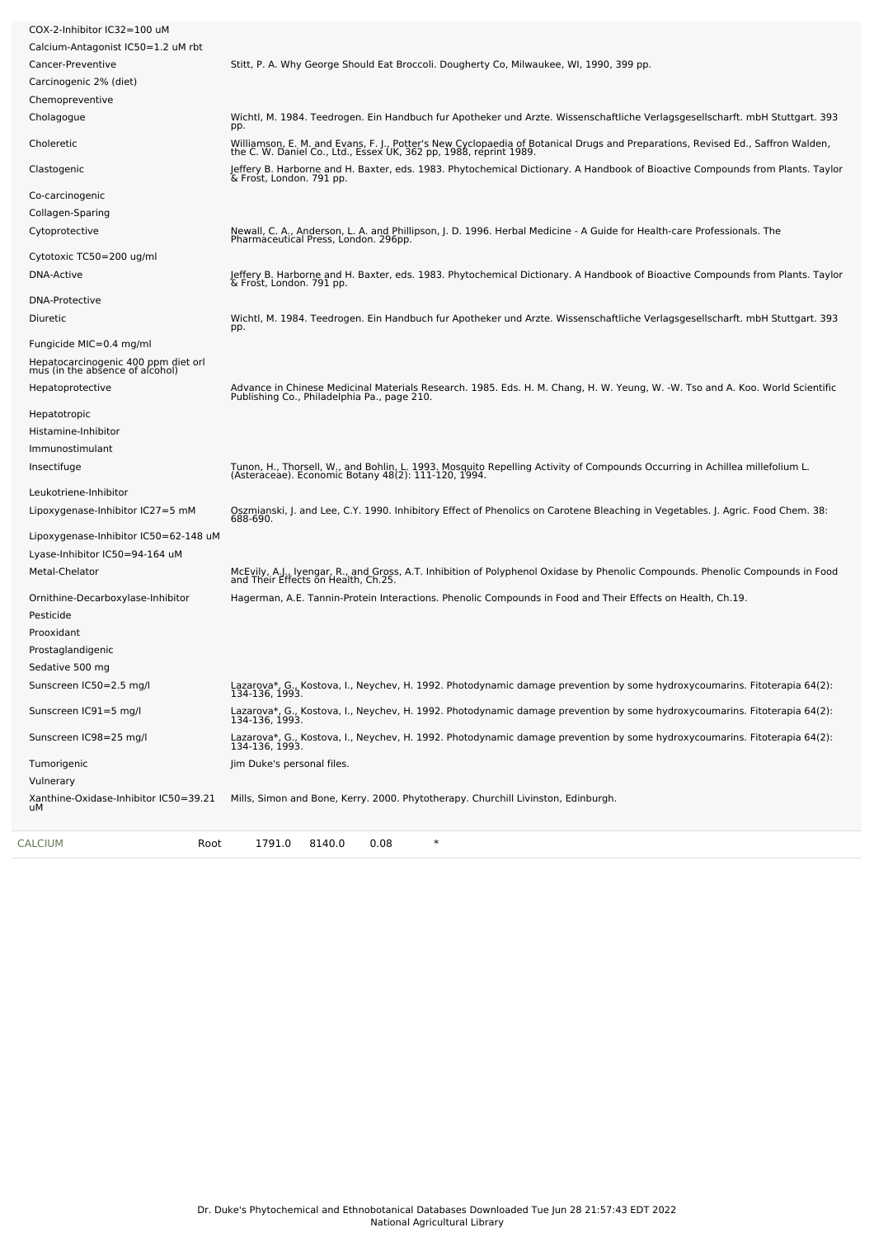| Calcium-Antagonist IC50=1.2 uM rbt<br>Cancer-Preventive<br>Carcinogenic 2% (diet)<br>Chemopreventive<br>Cholagogue<br>pp.<br>Choleretic<br>Clastogenic<br>Co-carcinogenic<br>Collagen-Sparing | Stitt, P. A. Why George Should Eat Broccoli. Dougherty Co, Milwaukee, WI, 1990, 399 pp.<br>Wichtl, M. 1984. Teedrogen. Ein Handbuch fur Apotheker und Arzte. Wissenschaftliche Verlagsgesellscharft. mbH Stuttgart. 393<br>Williamson, E. M. and Evans, F. J., Potter's New Cyclopaedia of Botanical Drugs and Preparations, Revised Ed., Saffron Walden, the C. W. Daniel Co., Ltd., Essex UK, 362 pp. 1988, reprint 1989.<br>Jeffery B. Harborne and H. Baxter, eds. 1983. Phytochemical Dictionary. A Handbook of Bioactive Compounds from Plants. Taylor<br>& Frost, London. 791 pp. |
|-----------------------------------------------------------------------------------------------------------------------------------------------------------------------------------------------|------------------------------------------------------------------------------------------------------------------------------------------------------------------------------------------------------------------------------------------------------------------------------------------------------------------------------------------------------------------------------------------------------------------------------------------------------------------------------------------------------------------------------------------------------------------------------------------|
|                                                                                                                                                                                               |                                                                                                                                                                                                                                                                                                                                                                                                                                                                                                                                                                                          |
|                                                                                                                                                                                               |                                                                                                                                                                                                                                                                                                                                                                                                                                                                                                                                                                                          |
|                                                                                                                                                                                               |                                                                                                                                                                                                                                                                                                                                                                                                                                                                                                                                                                                          |
|                                                                                                                                                                                               |                                                                                                                                                                                                                                                                                                                                                                                                                                                                                                                                                                                          |
|                                                                                                                                                                                               |                                                                                                                                                                                                                                                                                                                                                                                                                                                                                                                                                                                          |
|                                                                                                                                                                                               |                                                                                                                                                                                                                                                                                                                                                                                                                                                                                                                                                                                          |
|                                                                                                                                                                                               |                                                                                                                                                                                                                                                                                                                                                                                                                                                                                                                                                                                          |
|                                                                                                                                                                                               |                                                                                                                                                                                                                                                                                                                                                                                                                                                                                                                                                                                          |
|                                                                                                                                                                                               |                                                                                                                                                                                                                                                                                                                                                                                                                                                                                                                                                                                          |
| Cytoprotective                                                                                                                                                                                | Newall, C. A., Anderson, L. A. and Phillipson, J. D. 1996. Herbal Medicine - A Guide for Health-care Professionals. The<br>Pharmaceutical Press, London. 296pp.                                                                                                                                                                                                                                                                                                                                                                                                                          |
| Cytotoxic TC50=200 ug/ml                                                                                                                                                                      |                                                                                                                                                                                                                                                                                                                                                                                                                                                                                                                                                                                          |
| <b>DNA-Active</b>                                                                                                                                                                             | Jeffery B. Harborne and H. Baxter, eds. 1983. Phytochemical Dictionary. A Handbook of Bioactive Compounds from Plants. Taylor<br>& Frost, London. 791 pp.                                                                                                                                                                                                                                                                                                                                                                                                                                |
| <b>DNA-Protective</b>                                                                                                                                                                         |                                                                                                                                                                                                                                                                                                                                                                                                                                                                                                                                                                                          |
| Diuretic<br>pp.                                                                                                                                                                               | Wichtl, M. 1984. Teedrogen. Ein Handbuch fur Apotheker und Arzte. Wissenschaftliche Verlagsgesellscharft. mbH Stuttgart. 393                                                                                                                                                                                                                                                                                                                                                                                                                                                             |
| Fungicide MIC=0.4 mg/ml                                                                                                                                                                       |                                                                                                                                                                                                                                                                                                                                                                                                                                                                                                                                                                                          |
| Hepatocarcinogenic 400 ppm diet orl<br>mus (in the absence of alcohol)                                                                                                                        |                                                                                                                                                                                                                                                                                                                                                                                                                                                                                                                                                                                          |
| Hepatoprotective                                                                                                                                                                              | Advance in Chinese Medicinal Materials Research. 1985. Eds. H. M. Chang, H. W. Yeung, W. -W. Tso and A. Koo. World Scientific<br>Publishing Co., Philadelphia Pa., page 210.                                                                                                                                                                                                                                                                                                                                                                                                             |
| Hepatotropic                                                                                                                                                                                  |                                                                                                                                                                                                                                                                                                                                                                                                                                                                                                                                                                                          |
| Histamine-Inhibitor                                                                                                                                                                           |                                                                                                                                                                                                                                                                                                                                                                                                                                                                                                                                                                                          |
| Immunostimulant                                                                                                                                                                               |                                                                                                                                                                                                                                                                                                                                                                                                                                                                                                                                                                                          |
| Insectifuge                                                                                                                                                                                   | Tunon, H., Thorsell, W., and Bohlin, L. 1993. Mosquito Repelling Activity of Compounds Occurring in Achillea millefolium L.<br>(Asteraceae). Economic Botany 48(2): 111-120, 1994.                                                                                                                                                                                                                                                                                                                                                                                                       |
| Leukotriene-Inhibitor                                                                                                                                                                         |                                                                                                                                                                                                                                                                                                                                                                                                                                                                                                                                                                                          |
| Lipoxygenase-Inhibitor IC27=5 mM                                                                                                                                                              | Oszmianski, J. and Lee, C.Y. 1990. Inhibitory Effect of Phenolics on Carotene Bleaching in Vegetables. J. Agric. Food Chem. 38:<br>688-690.                                                                                                                                                                                                                                                                                                                                                                                                                                              |
| Lipoxygenase-Inhibitor IC50=62-148 uM                                                                                                                                                         |                                                                                                                                                                                                                                                                                                                                                                                                                                                                                                                                                                                          |
| Lyase-Inhibitor IC50=94-164 uM                                                                                                                                                                |                                                                                                                                                                                                                                                                                                                                                                                                                                                                                                                                                                                          |
| Metal-Chelator                                                                                                                                                                                | McEvily, A.J., Iyengar, R., and Gross, A.T. Inhibition of Polyphenol Oxidase by Phenolic Compounds. Phenolic Compounds in Food<br>and Their Effects on Health, Ch.25.                                                                                                                                                                                                                                                                                                                                                                                                                    |
| Ornithine-Decarboxylase-Inhibitor                                                                                                                                                             | Hagerman, A.E. Tannin-Protein Interactions. Phenolic Compounds in Food and Their Effects on Health, Ch.19.                                                                                                                                                                                                                                                                                                                                                                                                                                                                               |
| Pesticide                                                                                                                                                                                     |                                                                                                                                                                                                                                                                                                                                                                                                                                                                                                                                                                                          |
| Prooxidant                                                                                                                                                                                    |                                                                                                                                                                                                                                                                                                                                                                                                                                                                                                                                                                                          |
| Prostaglandigenic                                                                                                                                                                             |                                                                                                                                                                                                                                                                                                                                                                                                                                                                                                                                                                                          |
| Sedative 500 mg                                                                                                                                                                               |                                                                                                                                                                                                                                                                                                                                                                                                                                                                                                                                                                                          |
| Sunscreen IC50=2.5 mg/l                                                                                                                                                                       | Lazarova*, G., Kostova, I., Neychev, H. 1992. Photodynamic damage prevention by some hydroxycoumarins. Fitoterapia 64(2):<br>134-136, 1993.                                                                                                                                                                                                                                                                                                                                                                                                                                              |
| Sunscreen IC91=5 mg/l                                                                                                                                                                         | Lazarova*, G., Kostova, I., Neychev, H. 1992. Photodynamic damage prevention by some hydroxycoumarins. Fitoterapia 64(2):<br>134-136, 1993.                                                                                                                                                                                                                                                                                                                                                                                                                                              |
| Sunscreen IC98=25 mg/l                                                                                                                                                                        | Lazarova*, G., Kostova, I., Neychev, H. 1992. Photodynamic damage prevention by some hydroxycoumarins. Fitoterapia 64(2):<br>134-136, 1993.                                                                                                                                                                                                                                                                                                                                                                                                                                              |
| Tumorigenic<br>Vulnerary                                                                                                                                                                      | Jim Duke's personal files.                                                                                                                                                                                                                                                                                                                                                                                                                                                                                                                                                               |
| Xanthine-Oxidase-Inhibitor IC50=39.21                                                                                                                                                         | Mills, Simon and Bone, Kerry. 2000. Phytotherapy. Churchill Livinston, Edinburgh.                                                                                                                                                                                                                                                                                                                                                                                                                                                                                                        |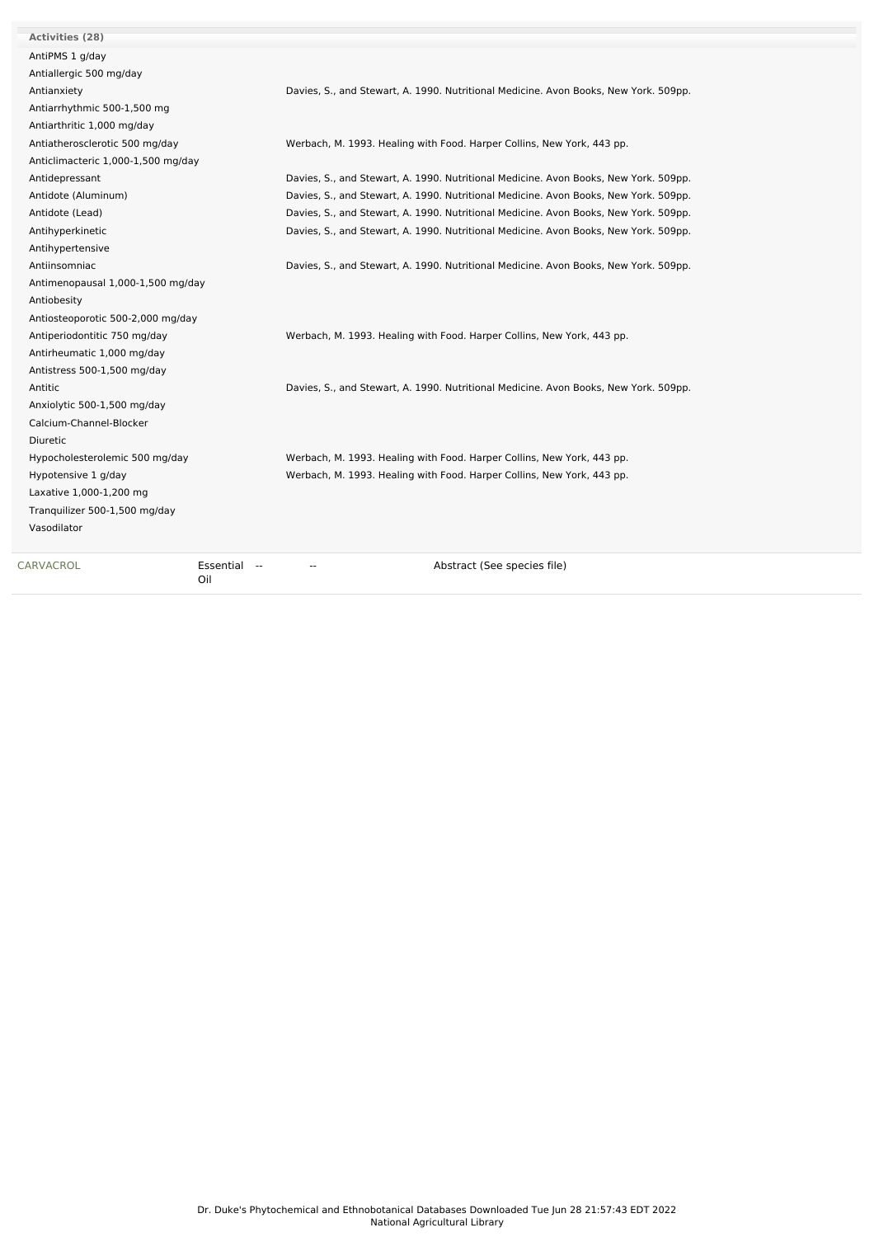| Activities (28)                    |                                                                                      |
|------------------------------------|--------------------------------------------------------------------------------------|
| AntiPMS 1 g/day                    |                                                                                      |
| Antiallergic 500 mg/day            |                                                                                      |
| Antianxiety                        | Davies, S., and Stewart, A. 1990. Nutritional Medicine. Avon Books, New York. 509pp. |
| Antiarrhythmic 500-1,500 mg        |                                                                                      |
| Antiarthritic 1,000 mg/day         |                                                                                      |
| Antiatherosclerotic 500 mg/day     | Werbach, M. 1993. Healing with Food. Harper Collins, New York, 443 pp.               |
| Anticlimacteric 1,000-1,500 mg/day |                                                                                      |
| Antidepressant                     | Davies, S., and Stewart, A. 1990. Nutritional Medicine. Avon Books, New York. 509pp. |
| Antidote (Aluminum)                | Davies, S., and Stewart, A. 1990. Nutritional Medicine. Avon Books, New York. 509pp. |
| Antidote (Lead)                    | Davies, S., and Stewart, A. 1990. Nutritional Medicine. Avon Books, New York. 509pp. |
| Antihyperkinetic                   | Davies, S., and Stewart, A. 1990. Nutritional Medicine. Avon Books, New York. 509pp. |
| Antihypertensive                   |                                                                                      |
| Antiinsomniac                      | Davies, S., and Stewart, A. 1990. Nutritional Medicine. Avon Books, New York. 509pp. |
| Antimenopausal 1,000-1,500 mg/day  |                                                                                      |
| Antiobesity                        |                                                                                      |
| Antiosteoporotic 500-2,000 mg/day  |                                                                                      |
| Antiperiodontitic 750 mg/day       | Werbach, M. 1993. Healing with Food. Harper Collins, New York, 443 pp.               |
| Antirheumatic 1,000 mg/day         |                                                                                      |
| Antistress 500-1,500 mg/day        |                                                                                      |
| Antitic                            | Davies, S., and Stewart, A. 1990. Nutritional Medicine. Avon Books, New York. 509pp. |
| Anxiolytic 500-1,500 mg/day        |                                                                                      |
| Calcium-Channel-Blocker            |                                                                                      |
| <b>Diuretic</b>                    |                                                                                      |
| Hypocholesterolemic 500 mg/day     | Werbach, M. 1993. Healing with Food. Harper Collins, New York, 443 pp.               |
| Hypotensive 1 g/day                | Werbach, M. 1993. Healing with Food. Harper Collins, New York, 443 pp.               |
| Laxative 1,000-1,200 mg            |                                                                                      |
| Tranquilizer 500-1,500 mg/day      |                                                                                      |
| Vasodilator                        |                                                                                      |
|                                    |                                                                                      |
|                                    |                                                                                      |

[CARVACROL](file:///phytochem/chemicals/show/5379) **Essential** --Oil

-- -- Abstract (See species file)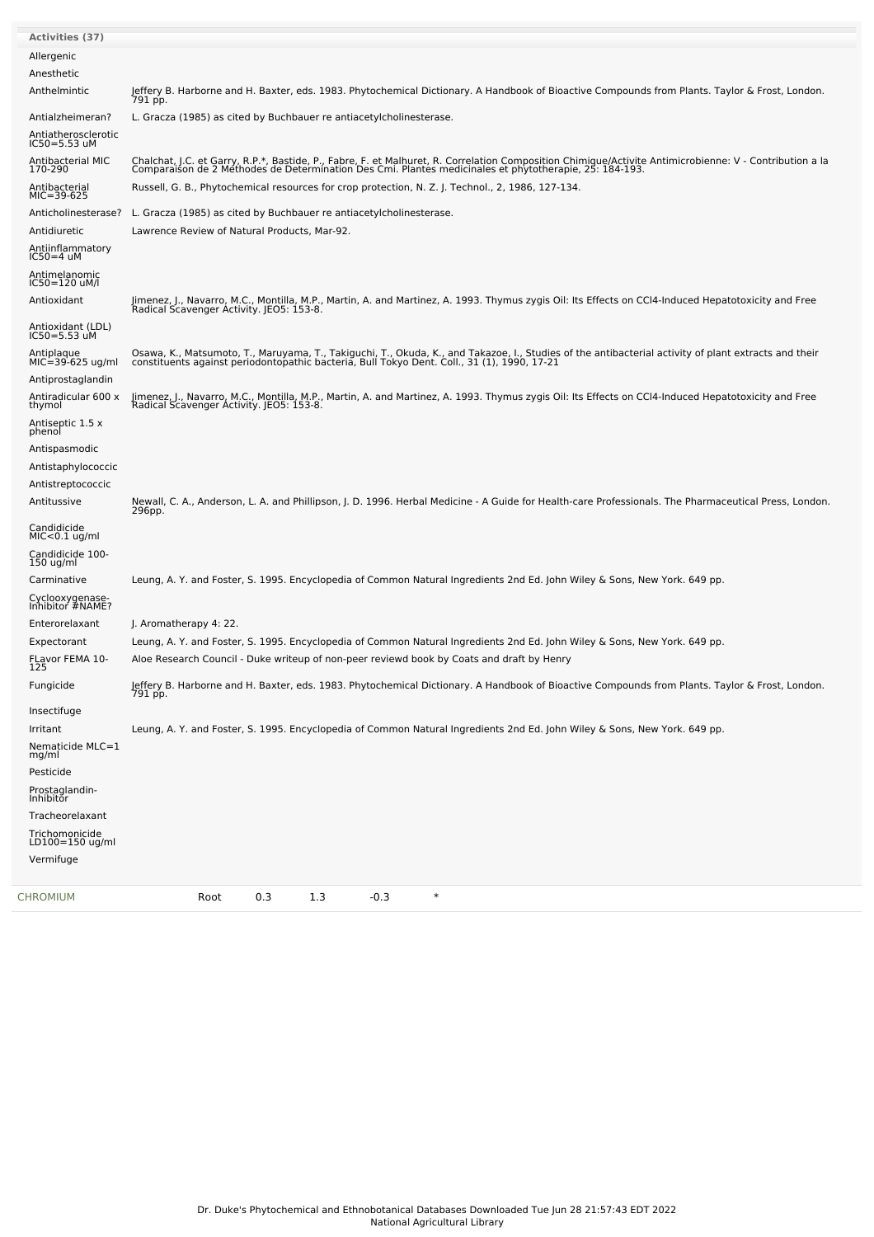| <b>Activities (37)</b>                  |                                                                                                                                                                                                                                                     |
|-----------------------------------------|-----------------------------------------------------------------------------------------------------------------------------------------------------------------------------------------------------------------------------------------------------|
| Allergenic                              |                                                                                                                                                                                                                                                     |
| Anesthetic                              |                                                                                                                                                                                                                                                     |
| Anthelmintic                            | Jeffery B. Harborne and H. Baxter, eds. 1983. Phytochemical Dictionary. A Handbook of Bioactive Compounds from Plants. Taylor & Frost, London.<br>791 pp.                                                                                           |
| Antialzheimeran?                        | L. Gracza (1985) as cited by Buchbauer re antiacetylcholinesterase.                                                                                                                                                                                 |
| Antiatherosclerotic<br>$IC50 = 5.53$ uM |                                                                                                                                                                                                                                                     |
| Antibacterial MIC<br>170-290            | Chalchat, J.C. et Garry, R.P.*, Bastide, P., Fabre, F. et Malhuret, R. Correlation Composition Chimique/Activite Antimicrobienne: V - Contribution a la<br>Comparaison de 2 Methodes de Determination Des Cmi. Plantes medicinale                   |
| Antibacterial<br>$MIC=39-625$           | Russell, G. B., Phytochemical resources for crop protection, N. Z. J. Technol., 2, 1986, 127-134.                                                                                                                                                   |
| Anticholinesterase?                     | L. Gracza (1985) as cited by Buchbauer re antiacetylcholinesterase.                                                                                                                                                                                 |
| Antidiuretic                            | Lawrence Review of Natural Products, Mar-92.                                                                                                                                                                                                        |
| Antiinflammatory<br>$IC50=4$ uM         |                                                                                                                                                                                                                                                     |
| Antimelanomic<br>IC50=120 uM/l          |                                                                                                                                                                                                                                                     |
| Antioxidant                             | Jimenez, J., Navarro, M.C., Montilla, M.P., Martin, A. and Martinez, A. 1993. Thymus zygis Oil: Its Effects on CCl4-Induced Hepatotoxicity and Free<br>Radical Scavenger Activity. JEO5: 153-8.                                                     |
| Antioxidant (LDL)<br>$IC50 = 5.53$ uM   |                                                                                                                                                                                                                                                     |
| Antiplaque<br>$MIC=39-625$ ug/ml        | Osawa, K., Matsumoto, T., Maruyama, T., Takiguchi, T., Okuda, K., and Takazoe, I., Studies of the antibacterial activity of plant extracts and their<br>constituents against periodontopathic bacteria, Bull Tokyo Dent. Coll., 31 (1), 1990, 17-21 |
| Antiprostaglandin                       |                                                                                                                                                                                                                                                     |
| Antiradicular 600 x<br>thymol           | Jimenez, J., Navarro, M.C., Montilla, M.P., Martin, A. and Martinez, A. 1993. Thymus zygis Oil: Its Effects on CCl4-Induced Hepatotoxicity and Free<br>Radical Scavenger Activity. JEO5: 153-8.                                                     |
| Antiseptic 1.5 x<br>phenol              |                                                                                                                                                                                                                                                     |
| Antispasmodic                           |                                                                                                                                                                                                                                                     |
| Antistaphylococcic                      |                                                                                                                                                                                                                                                     |
| Antistreptococcic                       |                                                                                                                                                                                                                                                     |
| Antitussive                             | Newall, C. A., Anderson, L. A. and Phillipson, J. D. 1996. Herbal Medicine - A Guide for Health-care Professionals. The Pharmaceutical Press, London.<br>296pp.                                                                                     |
| Candidicide<br>$MIC< 0.1$ ug/ml         |                                                                                                                                                                                                                                                     |
| Candidicide 100-<br>$150$ ug/ml         |                                                                                                                                                                                                                                                     |
| Carminative                             | Leung, A. Y. and Foster, S. 1995. Encyclopedia of Common Natural Ingredients 2nd Ed. John Wiley & Sons, New York. 649 pp.                                                                                                                           |
| Cyclooxygenase-<br>Inhibitor #NAME?     |                                                                                                                                                                                                                                                     |
| Enterorelaxant                          | J. Aromatherapy 4: 22.                                                                                                                                                                                                                              |
| Expectorant                             | Leung, A. Y. and Foster, S. 1995. Encyclopedia of Common Natural Ingredients 2nd Ed. John Wiley & Sons, New York. 649 pp.                                                                                                                           |
| FLavor FEMA 10-<br>125                  | Aloe Research Council - Duke writeup of non-peer reviewd book by Coats and draft by Henry                                                                                                                                                           |
| Fungicide                               | Jeffery B. Harborne and H. Baxter, eds. 1983. Phytochemical Dictionary. A Handbook of Bioactive Compounds from Plants. Taylor & Frost, London.<br>791 pp.                                                                                           |
| Insectifuge                             |                                                                                                                                                                                                                                                     |
| Irritant                                | Leung, A. Y. and Foster, S. 1995. Encyclopedia of Common Natural Ingredients 2nd Ed. John Wiley & Sons, New York. 649 pp.                                                                                                                           |
| Nematicide MLC=1<br>mg/ml               |                                                                                                                                                                                                                                                     |
| Pesticide                               |                                                                                                                                                                                                                                                     |
| Prostaglandin-<br>Inhibitor             |                                                                                                                                                                                                                                                     |
| Tracheorelaxant                         |                                                                                                                                                                                                                                                     |
| Trichomonicide<br>LD100=150 ug/ml       |                                                                                                                                                                                                                                                     |
| Vermifuge                               |                                                                                                                                                                                                                                                     |
| CHROMIUM                                | $\ast$<br>0.3<br>1.3<br>$-0.3$<br>Root                                                                                                                                                                                                              |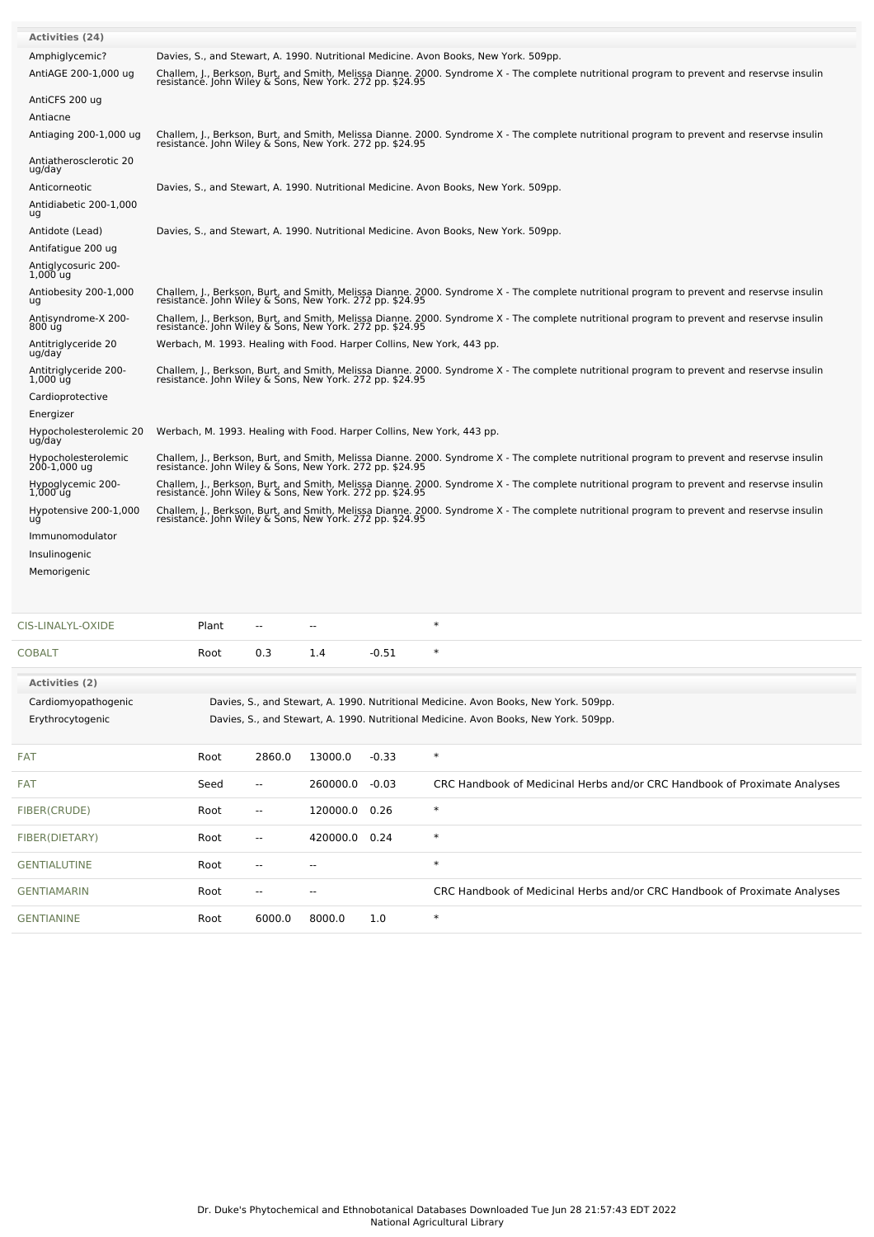| <b>Activities (24)</b>                       |                                                                                                                                                                                                        |                                                                                                                                                                                                        |                          |         |                                                                                                                                            |  |  |  |  |
|----------------------------------------------|--------------------------------------------------------------------------------------------------------------------------------------------------------------------------------------------------------|--------------------------------------------------------------------------------------------------------------------------------------------------------------------------------------------------------|--------------------------|---------|--------------------------------------------------------------------------------------------------------------------------------------------|--|--|--|--|
| Amphiglycemic?                               | Davies, S., and Stewart, A. 1990. Nutritional Medicine. Avon Books, New York. 509pp.                                                                                                                   |                                                                                                                                                                                                        |                          |         |                                                                                                                                            |  |  |  |  |
| AntiAGE 200-1,000 ug                         | Challem, J., Berkson, Burt, and Smith, Melissa Dianne. 2000. Syndrome X - The complete nutritional program to prevent and reservse insulin<br>resistance. John Wiley & Sons, New York. 272 pp. \$24.95 |                                                                                                                                                                                                        |                          |         |                                                                                                                                            |  |  |  |  |
| AntiCFS 200 ug                               |                                                                                                                                                                                                        |                                                                                                                                                                                                        |                          |         |                                                                                                                                            |  |  |  |  |
| Antiacne                                     |                                                                                                                                                                                                        |                                                                                                                                                                                                        |                          |         |                                                                                                                                            |  |  |  |  |
| Antiaging 200-1,000 ug                       | Challem, J., Berkson, Burt, and Smith, Melissa Dianne. 2000. Syndrome X - The complete nutritional program to prevent and reservse insulin<br>resistance. John Wiley & Sons, New York. 272 pp. \$24.95 |                                                                                                                                                                                                        |                          |         |                                                                                                                                            |  |  |  |  |
| Antiatherosclerotic 20<br>ug/day             |                                                                                                                                                                                                        |                                                                                                                                                                                                        |                          |         |                                                                                                                                            |  |  |  |  |
| Anticorneotic                                |                                                                                                                                                                                                        | Davies, S., and Stewart, A. 1990. Nutritional Medicine. Avon Books, New York. 509pp.                                                                                                                   |                          |         |                                                                                                                                            |  |  |  |  |
| Antidiabetic 200-1,000<br>ug                 |                                                                                                                                                                                                        |                                                                                                                                                                                                        |                          |         |                                                                                                                                            |  |  |  |  |
| Antidote (Lead)                              | Davies, S., and Stewart, A. 1990. Nutritional Medicine. Avon Books, New York. 509pp.                                                                                                                   |                                                                                                                                                                                                        |                          |         |                                                                                                                                            |  |  |  |  |
| Antifatigue 200 ug                           |                                                                                                                                                                                                        |                                                                                                                                                                                                        |                          |         |                                                                                                                                            |  |  |  |  |
| Antiglycosuric 200-<br>$1,000$ ug            |                                                                                                                                                                                                        |                                                                                                                                                                                                        |                          |         |                                                                                                                                            |  |  |  |  |
| Antiobesity 200-1,000<br>ug                  | resistance. John Wiley & Sons, New York. 272 pp. \$24.95                                                                                                                                               |                                                                                                                                                                                                        |                          |         | Challem, J., Berkson, Burt, and Smith, Melissa Dianne. 2000. Syndrome X - The complete nutritional program to prevent and reservse insulin |  |  |  |  |
| Antisyndrome-X 200-<br>800 ug                | resistance. John Wiley & Sons, New York. 272 pp. \$24.95                                                                                                                                               |                                                                                                                                                                                                        |                          |         | Challem, J., Berkson, Burt, and Smith, Melissa Dianne. 2000. Syndrome X - The complete nutritional program to prevent and reservse insulin |  |  |  |  |
| Antitriglyceride 20<br>ug/day                | Werbach, M. 1993. Healing with Food. Harper Collins, New York, 443 pp.                                                                                                                                 |                                                                                                                                                                                                        |                          |         |                                                                                                                                            |  |  |  |  |
| Antitriglyceride 200-<br>$1,000$ $\bar{u}$ g |                                                                                                                                                                                                        | Challem, J., Berkson, Burt, and Smith, Melissa Dianne. 2000. Syndrome X - The complete nutritional program to prevent and reservse insulin<br>resistance. John Wiley & Sons, New York. 272 pp. \$24.95 |                          |         |                                                                                                                                            |  |  |  |  |
| Cardioprotective                             |                                                                                                                                                                                                        |                                                                                                                                                                                                        |                          |         |                                                                                                                                            |  |  |  |  |
| Energizer                                    |                                                                                                                                                                                                        |                                                                                                                                                                                                        |                          |         |                                                                                                                                            |  |  |  |  |
| Hypocholesterolemic 20<br>ug/day             | Werbach, M. 1993. Healing with Food. Harper Collins, New York, 443 pp.                                                                                                                                 |                                                                                                                                                                                                        |                          |         |                                                                                                                                            |  |  |  |  |
| Hypocholesterolemic<br>200-1,000 ug          | Challem, J., Berkson, Burt, and Smith, Melissa Dianne. 2000. Syndrome X - The complete nutritional program to prevent and reservse insulin resistance. John Wiley & Sons, New York. 272 pp. \$24.95    |                                                                                                                                                                                                        |                          |         |                                                                                                                                            |  |  |  |  |
| Hypoglycemic 200-<br>$1,000$ ug              | Challem, J., Berkson, Burt, and Smith, Melissa Dianne. 2000. Syndrome X - The complete nutritional program to prevent and reservse insulin<br>resistance. John Wiley & Sons, New York. 272 pp. \$24.95 |                                                                                                                                                                                                        |                          |         |                                                                                                                                            |  |  |  |  |
| Hypotensive 200-1,000<br>ug                  | Challem, J., Berkson, Burt, and Smith, Melissa Dianne. 2000. Syndrome X - The complete nutritional program to prevent and reservse insulin<br>resistance. John Wiley & Sons, New York. 272 pp. \$24.95 |                                                                                                                                                                                                        |                          |         |                                                                                                                                            |  |  |  |  |
| Immunomodulator                              |                                                                                                                                                                                                        |                                                                                                                                                                                                        |                          |         |                                                                                                                                            |  |  |  |  |
| Insulinogenic                                |                                                                                                                                                                                                        |                                                                                                                                                                                                        |                          |         |                                                                                                                                            |  |  |  |  |
| Memorigenic                                  |                                                                                                                                                                                                        |                                                                                                                                                                                                        |                          |         |                                                                                                                                            |  |  |  |  |
|                                              |                                                                                                                                                                                                        |                                                                                                                                                                                                        |                          |         |                                                                                                                                            |  |  |  |  |
| CIS-LINALYL-OXIDE                            | Plant                                                                                                                                                                                                  |                                                                                                                                                                                                        |                          |         | $\ast$                                                                                                                                     |  |  |  |  |
| COBALT                                       | Root                                                                                                                                                                                                   | 0.3                                                                                                                                                                                                    | 1.4                      | $-0.51$ | $\ast$                                                                                                                                     |  |  |  |  |
| <b>Activities (2)</b>                        |                                                                                                                                                                                                        |                                                                                                                                                                                                        |                          |         |                                                                                                                                            |  |  |  |  |
| Cardiomyopathogenic                          |                                                                                                                                                                                                        |                                                                                                                                                                                                        |                          |         | Davies, S., and Stewart, A. 1990. Nutritional Medicine. Avon Books, New York. 509pp.                                                       |  |  |  |  |
| Erythrocytogenic                             |                                                                                                                                                                                                        |                                                                                                                                                                                                        |                          |         | Davies, S., and Stewart, A. 1990. Nutritional Medicine. Avon Books, New York. 509pp.                                                       |  |  |  |  |
| FAT                                          | Root                                                                                                                                                                                                   | 2860.0                                                                                                                                                                                                 | 13000.0                  | $-0.33$ | $\ast$                                                                                                                                     |  |  |  |  |
| FAT                                          | Seed                                                                                                                                                                                                   | $\overline{\phantom{a}}$                                                                                                                                                                               | 260000.0                 | $-0.03$ | CRC Handbook of Medicinal Herbs and/or CRC Handbook of Proximate Analyses                                                                  |  |  |  |  |
| FIBER(CRUDE)                                 | Root                                                                                                                                                                                                   | $\overline{\phantom{a}}$                                                                                                                                                                               | 120000.0                 | 0.26    | $\ast$                                                                                                                                     |  |  |  |  |
| FIBER(DIETARY)                               | Root                                                                                                                                                                                                   | $\overline{\phantom{a}}$                                                                                                                                                                               | 420000.0 0.24            |         | $\ast$                                                                                                                                     |  |  |  |  |
| GENTIALUTINE                                 | Root                                                                                                                                                                                                   | $\overline{\phantom{a}}$                                                                                                                                                                               | $\overline{\phantom{a}}$ |         | $\ast$                                                                                                                                     |  |  |  |  |

National Agricultural Library

[GENTIAMARIN](file:///phytochem/chemicals/show/8897) Root -- - - - - CRC Handbook of Medicinal Herbs and/or CRC Handbook of Proximate Analyses

[GENTIANINE](file:///phytochem/chemicals/show/8899) Root 6000.0 8000.0 1.0 \*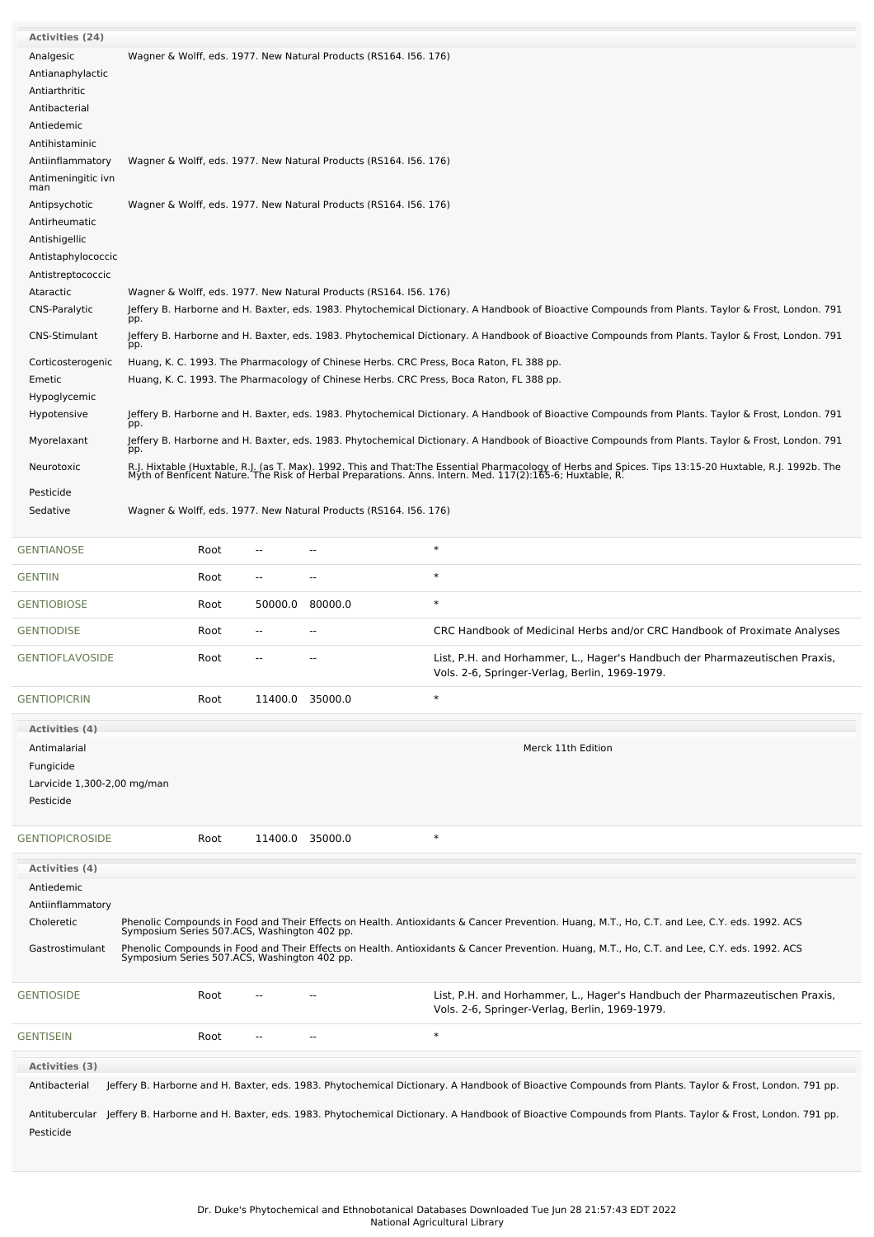| <b>Activities (24)</b>                                                                                              |                                                                                              |                                                                                                                                                                                                                         |                 |                                                                   |                                                                                                                                                                                                                                                                                              |  |  |
|---------------------------------------------------------------------------------------------------------------------|----------------------------------------------------------------------------------------------|-------------------------------------------------------------------------------------------------------------------------------------------------------------------------------------------------------------------------|-----------------|-------------------------------------------------------------------|----------------------------------------------------------------------------------------------------------------------------------------------------------------------------------------------------------------------------------------------------------------------------------------------|--|--|
| Analgesic<br>Antianaphylactic<br>Antiarthritic<br>Antibacterial<br>Antiedemic<br>Antihistaminic<br>Antiinflammatory |                                                                                              |                                                                                                                                                                                                                         |                 | Wagner & Wolff, eds. 1977. New Natural Products (RS164. 156. 176) |                                                                                                                                                                                                                                                                                              |  |  |
| Antimeningitic ivn<br>man                                                                                           | Wagner & Wolff, eds. 1977. New Natural Products (RS164. 156. 176)                            |                                                                                                                                                                                                                         |                 |                                                                   |                                                                                                                                                                                                                                                                                              |  |  |
| Antipsychotic<br>Antirheumatic<br>Antishigellic<br>Antistaphylococcic<br>Antistreptococcic                          | Wagner & Wolff, eds. 1977. New Natural Products (RS164. 156. 176)                            |                                                                                                                                                                                                                         |                 |                                                                   |                                                                                                                                                                                                                                                                                              |  |  |
| Ataractic<br>CNS-Paralytic                                                                                          |                                                                                              | Wagner & Wolff, eds. 1977. New Natural Products (RS164. 156. 176)<br>Jeffery B. Harborne and H. Baxter, eds. 1983. Phytochemical Dictionary. A Handbook of Bioactive Compounds from Plants. Taylor & Frost, London. 791 |                 |                                                                   |                                                                                                                                                                                                                                                                                              |  |  |
| CNS-Stimulant                                                                                                       | pp.<br>pp.                                                                                   |                                                                                                                                                                                                                         |                 |                                                                   | Jeffery B. Harborne and H. Baxter, eds. 1983. Phytochemical Dictionary. A Handbook of Bioactive Compounds from Plants. Taylor & Frost, London. 791                                                                                                                                           |  |  |
| Corticosterogenic<br>Emetic                                                                                         |                                                                                              |                                                                                                                                                                                                                         |                 |                                                                   | Huang, K. C. 1993. The Pharmacology of Chinese Herbs. CRC Press, Boca Raton, FL 388 pp.<br>Huang, K. C. 1993. The Pharmacology of Chinese Herbs. CRC Press, Boca Raton, FL 388 pp.                                                                                                           |  |  |
| Hypoglycemic<br>Hypotensive                                                                                         |                                                                                              |                                                                                                                                                                                                                         |                 |                                                                   | Jeffery B. Harborne and H. Baxter, eds. 1983. Phytochemical Dictionary. A Handbook of Bioactive Compounds from Plants. Taylor & Frost, London. 791                                                                                                                                           |  |  |
| Myorelaxant                                                                                                         | pp.<br>pp.                                                                                   |                                                                                                                                                                                                                         |                 |                                                                   | Jeffery B. Harborne and H. Baxter, eds. 1983. Phytochemical Dictionary. A Handbook of Bioactive Compounds from Plants. Taylor & Frost, London. 791                                                                                                                                           |  |  |
| Neurotoxic                                                                                                          |                                                                                              |                                                                                                                                                                                                                         |                 |                                                                   | R.J. Hixtable (Huxtable, R.J. (as T. Max). 1992. This and That:The Essential Pharmacology of Herbs and Spices. Tips 13:15-20 Huxtable, R.J. 1992b. The<br>Myth of Benficent Nature. The Risk of Herbal Preparations. Anns. Intern                                                            |  |  |
| Pesticide<br>Sedative                                                                                               |                                                                                              |                                                                                                                                                                                                                         |                 | Wagner & Wolff, eds. 1977. New Natural Products (RS164. 156. 176) |                                                                                                                                                                                                                                                                                              |  |  |
| <b>GENTIANOSE</b>                                                                                                   |                                                                                              | Root                                                                                                                                                                                                                    |                 |                                                                   | $\ast$                                                                                                                                                                                                                                                                                       |  |  |
| <b>GENTIIN</b>                                                                                                      |                                                                                              | Root                                                                                                                                                                                                                    | --              | --                                                                | $\ast$                                                                                                                                                                                                                                                                                       |  |  |
| <b>GENTIOBIOSE</b>                                                                                                  |                                                                                              | Root                                                                                                                                                                                                                    | 50000.0         | 80000.0                                                           | $\ast$                                                                                                                                                                                                                                                                                       |  |  |
| <b>GENTIODISE</b>                                                                                                   |                                                                                              | Root                                                                                                                                                                                                                    | --              |                                                                   | CRC Handbook of Medicinal Herbs and/or CRC Handbook of Proximate Analyses                                                                                                                                                                                                                    |  |  |
| <b>GENTIOFLAVOSIDE</b>                                                                                              |                                                                                              | Root                                                                                                                                                                                                                    |                 |                                                                   | List, P.H. and Horhammer, L., Hager's Handbuch der Pharmazeutischen Praxis,<br>Vols. 2-6, Springer-Verlag, Berlin, 1969-1979.                                                                                                                                                                |  |  |
| <b>GENTIOPICRIN</b>                                                                                                 |                                                                                              | Root                                                                                                                                                                                                                    |                 | 11400.0 35000.0                                                   | $\ast$                                                                                                                                                                                                                                                                                       |  |  |
| <b>Activities (4)</b><br>Antimalarial<br>Fungicide<br>Larvicide 1,300-2,00 mg/man<br>Pesticide                      |                                                                                              |                                                                                                                                                                                                                         |                 |                                                                   | Merck 11th Edition                                                                                                                                                                                                                                                                           |  |  |
| <b>GENTIOPICROSIDE</b>                                                                                              |                                                                                              | Root                                                                                                                                                                                                                    | 11400.0 35000.0 |                                                                   | $\ast$                                                                                                                                                                                                                                                                                       |  |  |
| <b>Activities</b> (4)<br>Antiedemic<br>Antiinflammatory<br>Choleretic<br>Gastrostimulant                            | Symposium Series 507.ACS, Washington 402 pp.<br>Symposium Series 507.ACS, Washington 402 pp. |                                                                                                                                                                                                                         |                 |                                                                   | Phenolic Compounds in Food and Their Effects on Health. Antioxidants & Cancer Prevention. Huang, M.T., Ho, C.T. and Lee, C.Y. eds. 1992. ACS<br>Phenolic Compounds in Food and Their Effects on Health. Antioxidants & Cancer Prevention. Huang, M.T., Ho, C.T. and Lee, C.Y. eds. 1992. ACS |  |  |
| <b>GENTIOSIDE</b>                                                                                                   |                                                                                              | Root                                                                                                                                                                                                                    |                 |                                                                   | List, P.H. and Horhammer, L., Hager's Handbuch der Pharmazeutischen Praxis,<br>Vols. 2-6, Springer-Verlag, Berlin, 1969-1979.                                                                                                                                                                |  |  |
| <b>GENTISEIN</b>                                                                                                    |                                                                                              | Root                                                                                                                                                                                                                    | --              |                                                                   | $\ast$                                                                                                                                                                                                                                                                                       |  |  |
| Activities (3)<br>Antibacterial                                                                                     |                                                                                              |                                                                                                                                                                                                                         |                 |                                                                   | Jeffery B. Harborne and H. Baxter, eds. 1983. Phytochemical Dictionary. A Handbook of Bioactive Compounds from Plants. Taylor & Frost, London. 791 pp.                                                                                                                                       |  |  |
| Pesticide                                                                                                           |                                                                                              |                                                                                                                                                                                                                         |                 |                                                                   | Antitubercular Jeffery B. Harborne and H. Baxter, eds. 1983. Phytochemical Dictionary. A Handbook of Bioactive Compounds from Plants. Taylor & Frost, London. 791 pp.                                                                                                                        |  |  |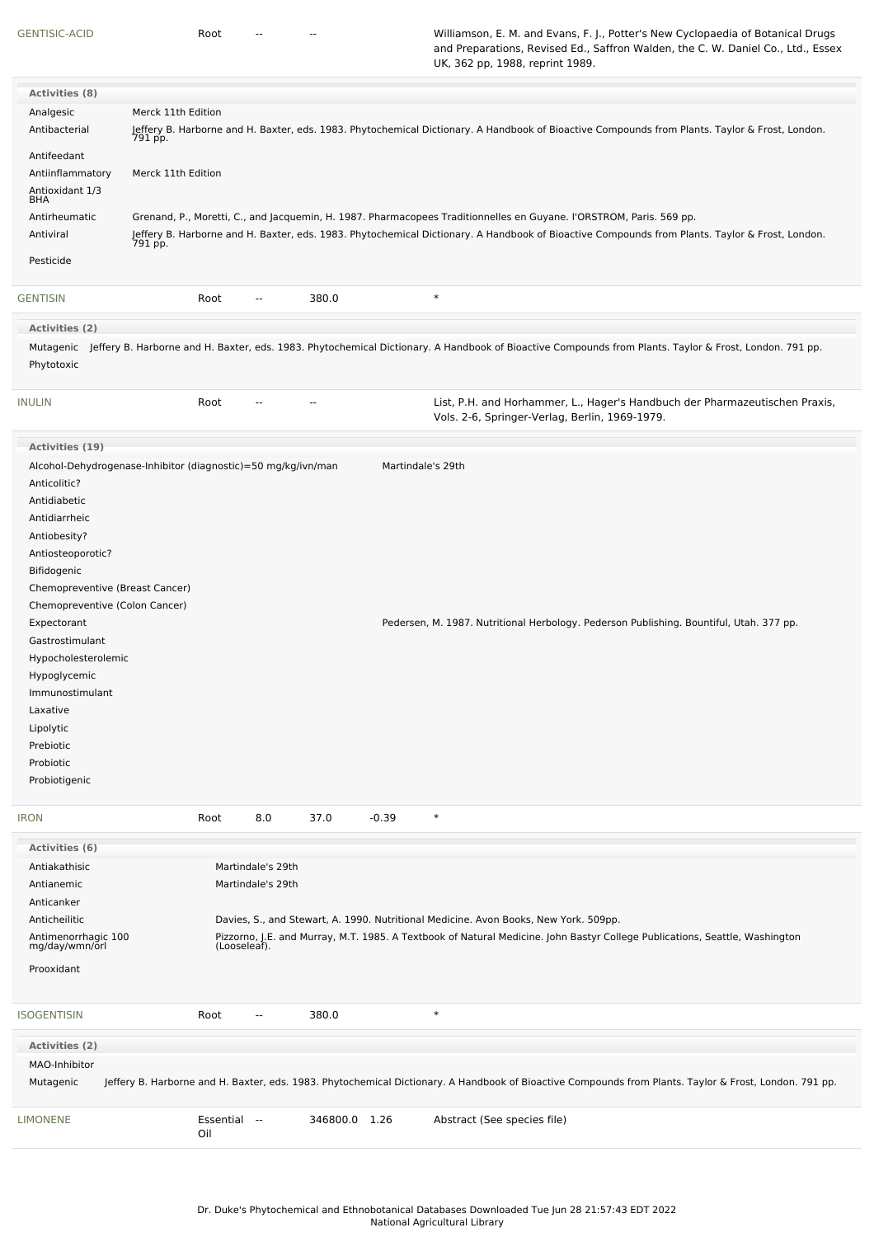[GENTISIC-ACID](file:///phytochem/chemicals/show/8919) **Root -- -- -- -- Williamson, E. M. and Evans, F. J., Potter's New Cyclopaedia of Botanical Drugs** and Preparations, Revised Ed., Saffron Walden, the C. W. Daniel Co., Ltd., Essex UK, 362 pp, 1988, reprint 1989.

| <b>Activities (8)</b>                 |                                                               |                          |                |         |                                                                                                                                                                  |
|---------------------------------------|---------------------------------------------------------------|--------------------------|----------------|---------|------------------------------------------------------------------------------------------------------------------------------------------------------------------|
| Analgesic                             | Merck 11th Edition                                            |                          |                |         |                                                                                                                                                                  |
| Antibacterial                         |                                                               |                          |                |         | Jeffery B. Harborne and H. Baxter, eds. 1983. Phytochemical Dictionary. A Handbook of Bioactive Compounds from Plants. Taylor & Frost, London.<br>791 pp.        |
| Antifeedant                           |                                                               |                          |                |         |                                                                                                                                                                  |
| Antiinflammatory                      | Merck 11th Edition                                            |                          |                |         |                                                                                                                                                                  |
| Antioxidant 1/3<br>BHA                |                                                               |                          |                |         |                                                                                                                                                                  |
| Antirheumatic                         |                                                               |                          |                |         | Grenand, P., Moretti, C., and Jacquemin, H. 1987. Pharmacopees Traditionnelles en Guyane. l'ORSTROM, Paris. 569 pp.                                              |
| Antiviral                             |                                                               |                          |                |         | Jeffery B. Harborne and H. Baxter, eds. 1983. Phytochemical Dictionary. A Handbook of Bioactive Compounds from Plants. Taylor & Frost, London.<br>791 pp.        |
| Pesticide                             |                                                               |                          |                |         |                                                                                                                                                                  |
| <b>GENTISIN</b>                       | Root                                                          | $\overline{\phantom{a}}$ | 380.0          |         | $\ast$                                                                                                                                                           |
| <b>Activities (2)</b>                 |                                                               |                          |                |         |                                                                                                                                                                  |
|                                       |                                                               |                          |                |         |                                                                                                                                                                  |
| Phytotoxic                            |                                                               |                          |                |         | Mutagenic Jeffery B. Harborne and H. Baxter, eds. 1983. Phytochemical Dictionary. A Handbook of Bioactive Compounds from Plants. Taylor & Frost, London. 791 pp. |
| <b>INULIN</b>                         | Root                                                          | $-$                      | $\overline{a}$ |         | List, P.H. and Horhammer, L., Hager's Handbuch der Pharmazeutischen Praxis,<br>Vols. 2-6, Springer-Verlag, Berlin, 1969-1979.                                    |
| Activities (19)                       |                                                               |                          |                |         |                                                                                                                                                                  |
| Anticolitic?                          | Alcohol-Dehydrogenase-Inhibitor (diagnostic)=50 mg/kg/ivn/man |                          |                |         | Martindale's 29th                                                                                                                                                |
| Antidiabetic                          |                                                               |                          |                |         |                                                                                                                                                                  |
| Antidiarrheic                         |                                                               |                          |                |         |                                                                                                                                                                  |
| Antiobesity?                          |                                                               |                          |                |         |                                                                                                                                                                  |
| Antiosteoporotic?                     |                                                               |                          |                |         |                                                                                                                                                                  |
| Bifidogenic                           |                                                               |                          |                |         |                                                                                                                                                                  |
| Chemopreventive (Breast Cancer)       |                                                               |                          |                |         |                                                                                                                                                                  |
| Chemopreventive (Colon Cancer)        |                                                               |                          |                |         |                                                                                                                                                                  |
| Expectorant                           |                                                               |                          |                |         | Pedersen, M. 1987. Nutritional Herbology. Pederson Publishing. Bountiful, Utah. 377 pp.                                                                          |
| Gastrostimulant                       |                                                               |                          |                |         |                                                                                                                                                                  |
| Hypocholesterolemic                   |                                                               |                          |                |         |                                                                                                                                                                  |
| Hypoglycemic                          |                                                               |                          |                |         |                                                                                                                                                                  |
| Immunostimulant                       |                                                               |                          |                |         |                                                                                                                                                                  |
| Laxative                              |                                                               |                          |                |         |                                                                                                                                                                  |
| Lipolytic                             |                                                               |                          |                |         |                                                                                                                                                                  |
| Prebiotic                             |                                                               |                          |                |         |                                                                                                                                                                  |
| Probiotic                             |                                                               |                          |                |         |                                                                                                                                                                  |
| Probiotigenic                         |                                                               |                          |                |         |                                                                                                                                                                  |
|                                       |                                                               |                          |                |         |                                                                                                                                                                  |
| <b>IRON</b>                           | Root                                                          | 8.0                      | 37.0           | $-0.39$ | $\ast$                                                                                                                                                           |
| <b>Activities (6)</b>                 |                                                               |                          |                |         |                                                                                                                                                                  |
| Antiakathisic                         |                                                               | Martindale's 29th        |                |         |                                                                                                                                                                  |
| Antianemic                            |                                                               | Martindale's 29th        |                |         |                                                                                                                                                                  |
| Anticanker                            |                                                               |                          |                |         |                                                                                                                                                                  |
| Anticheilitic                         |                                                               |                          |                |         | Davies, S., and Stewart, A. 1990. Nutritional Medicine. Avon Books, New York. 509pp.                                                                             |
| Antimenorrhagic 100<br>mg/day/wmn/orl |                                                               | (Looseleaf).             |                |         | Pizzorno, J.E. and Murray, M.T. 1985. A Textbook of Natural Medicine. John Bastyr College Publications, Seattle, Washington                                      |
| Prooxidant                            |                                                               |                          |                |         |                                                                                                                                                                  |
| <b>ISOGENTISIN</b>                    | Root                                                          |                          | 380.0          |         | $\ast$                                                                                                                                                           |
| Activities (2)                        |                                                               |                          |                |         |                                                                                                                                                                  |
| MAO-Inhibitor                         |                                                               |                          |                |         |                                                                                                                                                                  |
| Mutagenic                             |                                                               |                          |                |         | Jeffery B. Harborne and H. Baxter, eds. 1983. Phytochemical Dictionary. A Handbook of Bioactive Compounds from Plants. Taylor & Frost, London. 791 pp.           |
| <b>LIMONENE</b>                       | Essential --<br>Oil                                           |                          | 346800.0 1.26  |         | Abstract (See species file)                                                                                                                                      |
|                                       |                                                               |                          |                |         |                                                                                                                                                                  |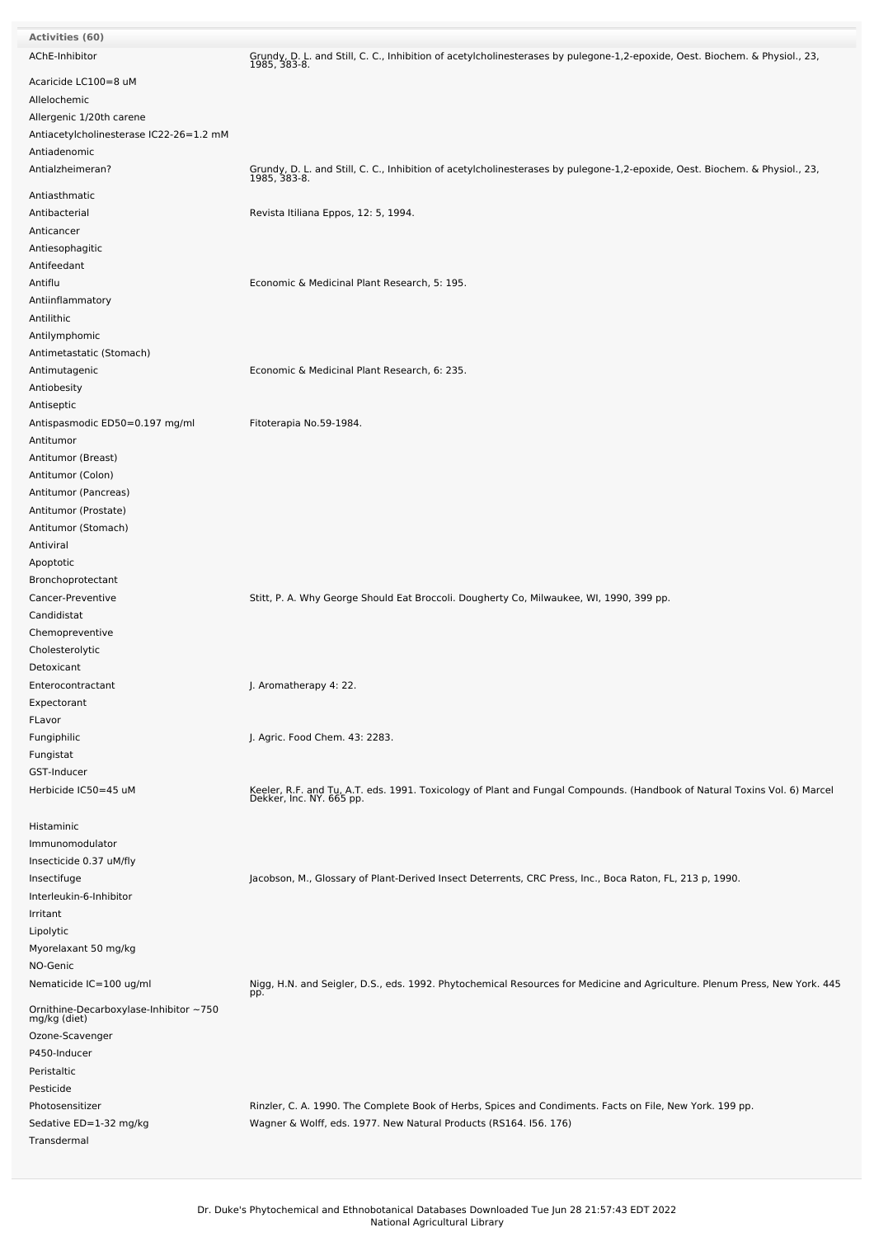| <b>Activities (60)</b>                                 |                                                                                                                                                                               |
|--------------------------------------------------------|-------------------------------------------------------------------------------------------------------------------------------------------------------------------------------|
| AChE-Inhibitor                                         | Grundy, D. L. and Still, C. C., Inhibition of acetylcholinesterases by pulegone-1,2-epoxide, Oest. Biochem. & Physiol., 23,<br>1985, 383-8.                                   |
| Acaricide LC100=8 uM<br>Allelochemic                   |                                                                                                                                                                               |
| Allergenic 1/20th carene                               |                                                                                                                                                                               |
| Antiacetylcholinesterase IC22-26=1.2 mM                |                                                                                                                                                                               |
| Antiadenomic                                           |                                                                                                                                                                               |
| Antialzheimeran?                                       | Grundy, D. L. and Still, C. C., Inhibition of acetylcholinesterases by pulegone-1,2-epoxide, Oest. Biochem. & Physiol., 23,<br>1985, 383-8.                                   |
| Antiasthmatic                                          |                                                                                                                                                                               |
| Antibacterial                                          | Revista Itiliana Eppos, 12: 5, 1994.                                                                                                                                          |
| Anticancer                                             |                                                                                                                                                                               |
| Antiesophagitic                                        |                                                                                                                                                                               |
| Antifeedant                                            |                                                                                                                                                                               |
| Antiflu                                                | Economic & Medicinal Plant Research, 5: 195.                                                                                                                                  |
| Antiinflammatory                                       |                                                                                                                                                                               |
| Antilithic                                             |                                                                                                                                                                               |
| Antilymphomic                                          |                                                                                                                                                                               |
| Antimetastatic (Stomach)                               |                                                                                                                                                                               |
| Antimutagenic                                          | Economic & Medicinal Plant Research, 6: 235.                                                                                                                                  |
| Antiobesity                                            |                                                                                                                                                                               |
| Antiseptic<br>Antispasmodic ED50=0.197 mg/ml           | Fitoterapia No.59-1984.                                                                                                                                                       |
| Antitumor                                              |                                                                                                                                                                               |
| Antitumor (Breast)                                     |                                                                                                                                                                               |
| Antitumor (Colon)                                      |                                                                                                                                                                               |
| Antitumor (Pancreas)                                   |                                                                                                                                                                               |
| Antitumor (Prostate)                                   |                                                                                                                                                                               |
| Antitumor (Stomach)                                    |                                                                                                                                                                               |
| Antiviral                                              |                                                                                                                                                                               |
| Apoptotic                                              |                                                                                                                                                                               |
| Bronchoprotectant                                      |                                                                                                                                                                               |
| Cancer-Preventive                                      | Stitt, P. A. Why George Should Eat Broccoli. Dougherty Co, Milwaukee, WI, 1990, 399 pp.                                                                                       |
| Candidistat                                            |                                                                                                                                                                               |
| Chemopreventive                                        |                                                                                                                                                                               |
| Cholesterolytic                                        |                                                                                                                                                                               |
| Detoxicant                                             |                                                                                                                                                                               |
| Enterocontractant                                      | J. Aromatherapy 4: 22.                                                                                                                                                        |
| Expectorant                                            |                                                                                                                                                                               |
| FLavor                                                 |                                                                                                                                                                               |
| Fungiphilic                                            | J. Agric. Food Chem. 43: 2283.                                                                                                                                                |
| Fungistat                                              |                                                                                                                                                                               |
| GST-Inducer                                            |                                                                                                                                                                               |
| Herbicide IC50=45 uM                                   | Keeler, R.F. and Tu, A.T. eds. 1991. Toxicology of Plant and Fungal Compounds. (Handbook of Natural Toxins Vol. 6) Marcel<br>Dekker, Inc. NY. 665 pp.                         |
| Histaminic                                             |                                                                                                                                                                               |
| Immunomodulator                                        |                                                                                                                                                                               |
| Insecticide 0.37 uM/fly                                |                                                                                                                                                                               |
| Insectifuge                                            | Jacobson, M., Glossary of Plant-Derived Insect Deterrents, CRC Press, Inc., Boca Raton, FL, 213 p, 1990.                                                                      |
| Interleukin-6-Inhibitor                                |                                                                                                                                                                               |
| Irritant                                               |                                                                                                                                                                               |
| Lipolytic<br>Myorelaxant 50 mg/kg                      |                                                                                                                                                                               |
| NO-Genic                                               |                                                                                                                                                                               |
| Nematicide IC=100 ug/ml                                | Nigg, H.N. and Seigler, D.S., eds. 1992. Phytochemical Resources for Medicine and Agriculture. Plenum Press, New York. 445                                                    |
| Ornithine-Decarboxylase-Inhibitor ~750<br>mg/kg (diet) | pp.                                                                                                                                                                           |
|                                                        |                                                                                                                                                                               |
| Ozone-Scavenger                                        |                                                                                                                                                                               |
| P450-Inducer<br>Peristaltic                            |                                                                                                                                                                               |
| Pesticide                                              |                                                                                                                                                                               |
| Photosensitizer                                        |                                                                                                                                                                               |
|                                                        |                                                                                                                                                                               |
| Sedative ED=1-32 mg/kg                                 | Rinzler, C. A. 1990. The Complete Book of Herbs, Spices and Condiments. Facts on File, New York. 199 pp.<br>Wagner & Wolff, eds. 1977. New Natural Products (RS164. I56. 176) |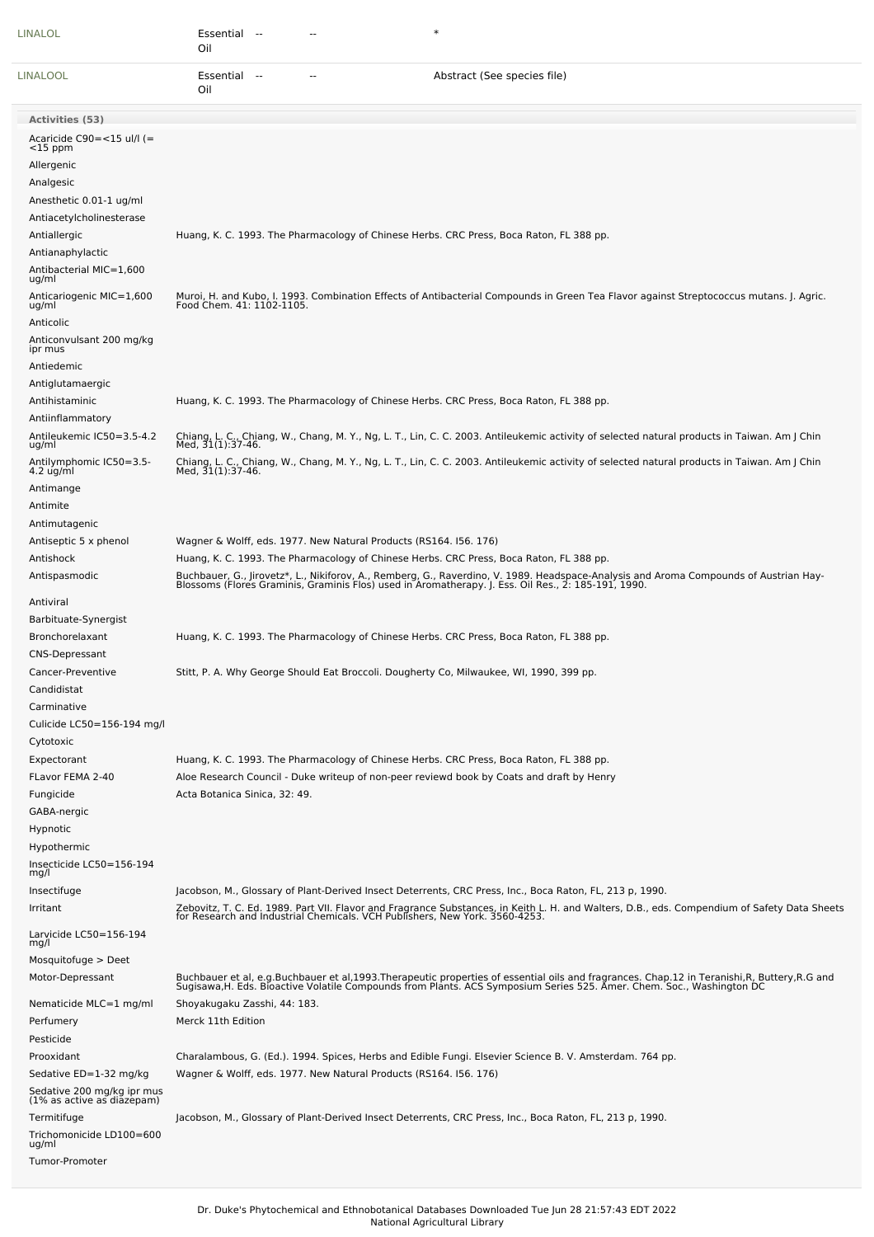| LINALOL                                                                                           | $\ast$<br>Essential<br>$\rightarrow$<br>Oil                                                                                                                                                                                                                                                                                             |
|---------------------------------------------------------------------------------------------------|-----------------------------------------------------------------------------------------------------------------------------------------------------------------------------------------------------------------------------------------------------------------------------------------------------------------------------------------|
| LINALOOL                                                                                          | Essential --<br>Abstract (See species file)<br>Oil                                                                                                                                                                                                                                                                                      |
| <b>Activities (53)</b>                                                                            |                                                                                                                                                                                                                                                                                                                                         |
| Acaricide $C90 = <15$ ul/l (=<br>$<$ 15 ppm<br>Allergenic<br>Analgesic<br>Anesthetic 0.01-1 ug/ml |                                                                                                                                                                                                                                                                                                                                         |
| Antiacetylcholinesterase<br>Antiallergic<br>Antianaphylactic<br>Antibacterial MIC=1,600           | Huang, K. C. 1993. The Pharmacology of Chinese Herbs. CRC Press, Boca Raton, FL 388 pp.                                                                                                                                                                                                                                                 |
| ug/ml<br>Anticariogenic MIC=1,600<br>ug/ml                                                        | Muroi, H. and Kubo, I. 1993. Combination Effects of Antibacterial Compounds in Green Tea Flavor against Streptococcus mutans. J. Agric.<br>Food Chem. 41: 1102-1105.                                                                                                                                                                    |
| Anticolic<br>Anticonvulsant 200 mg/kg<br>ipr mus<br>Antiedemic<br>Antiglutamaergic                |                                                                                                                                                                                                                                                                                                                                         |
| Antihistaminic<br>Antiinflammatory                                                                | Huang, K. C. 1993. The Pharmacology of Chinese Herbs. CRC Press, Boca Raton, FL 388 pp.                                                                                                                                                                                                                                                 |
| Antileukemic IC50=3.5-4.2<br>ug/ml                                                                | Chiang, L. C., Chiang, W., Chang, M. Y., Ng, L. T., Lin, C. C. 2003. Antileukemic activity of selected natural products in Taiwan. Am J Chin<br>Med, 31(1):37-46.                                                                                                                                                                       |
| Antilymphomic IC50=3.5-<br>$4.2$ ug/ml                                                            | Chiang, L. C., Chiang, W., Chang, M. Y., Ng, L. T., Lin, C. C. 2003. Antileukemic activity of selected natural products in Taiwan. Am J Chin<br>Med, 31(1):37-46.                                                                                                                                                                       |
| Antimange<br>Antimite<br>Antimutagenic                                                            |                                                                                                                                                                                                                                                                                                                                         |
| Antiseptic 5 x phenol<br>Antishock<br>Antispasmodic                                               | Wagner & Wolff, eds. 1977. New Natural Products (RS164. 156. 176)<br>Huang, K. C. 1993. The Pharmacology of Chinese Herbs. CRC Press, Boca Raton, FL 388 pp.                                                                                                                                                                            |
| Antiviral<br>Barbituate-Synergist                                                                 | Buchbauer, G., Jirovetz*, L., Nikiforov, A., Remberg, G., Raverdino, V. 1989. Headspace-Analysis and Aroma Compounds of Austrian Hay-<br>Blossoms (Flores Graminis, Graminis Flos) used in Aromatherapy. J. Ess. Oil Res., 2: 185                                                                                                       |
| Bronchorelaxant<br><b>CNS-Depressant</b>                                                          | Huang, K. C. 1993. The Pharmacology of Chinese Herbs. CRC Press, Boca Raton, FL 388 pp.                                                                                                                                                                                                                                                 |
| Cancer-Preventive<br>Candidistat                                                                  | Stitt, P. A. Why George Should Eat Broccoli. Dougherty Co, Milwaukee, WI, 1990, 399 pp.                                                                                                                                                                                                                                                 |
| Carminative<br>Culicide LC50=156-194 mg/l<br>Cytotoxic                                            |                                                                                                                                                                                                                                                                                                                                         |
| Expectorant<br>FLavor FEMA 2-40<br>Fungicide<br>GABA-nergic<br>Hypnotic                           | Huang, K. C. 1993. The Pharmacology of Chinese Herbs. CRC Press, Boca Raton, FL 388 pp.<br>Aloe Research Council - Duke writeup of non-peer reviewd book by Coats and draft by Henry<br>Acta Botanica Sinica, 32: 49.                                                                                                                   |
| Hypothermic<br>Insecticide LC50=156-194<br>mg/l                                                   |                                                                                                                                                                                                                                                                                                                                         |
| Insectifuge<br>Irritant                                                                           | Jacobson, M., Glossary of Plant-Derived Insect Deterrents, CRC Press, Inc., Boca Raton, FL, 213 p, 1990.<br>Zebovitz, T. C. Ed. 1989. Part VII. Flavor and Fragrance Substances, in Keith L. H. and Walters, D.B., eds. Compendium of Safety Data Sheets<br>for Research and Industrial Chemicals. VCH Publishers, New York. 3560-4253. |
| Larvicide LC50=156-194<br>mg/l                                                                    |                                                                                                                                                                                                                                                                                                                                         |
| Mosquitofuge > Deet<br>Motor-Depressant                                                           | Buchbauer et al, e.g.Buchbauer et al,1993.Therapeutic properties of essential oils and fragrances. Chap.12 in Teranishi,R, Buttery,R.G and<br>Sugisawa,H. Eds. Bioactive Volatile Compounds from Plants. ACS Symposium Series 525                                                                                                       |
| Nematicide MLC=1 mg/ml<br>Perfumery<br>Pesticide                                                  | Shoyakugaku Zasshi, 44: 183.<br>Merck 11th Edition                                                                                                                                                                                                                                                                                      |
| Prooxidant<br>Sedative ED=1-32 mg/kg                                                              | Charalambous, G. (Ed.). 1994. Spices, Herbs and Edible Fungi. Elsevier Science B. V. Amsterdam. 764 pp.<br>Wagner & Wolff, eds. 1977. New Natural Products (RS164. 156. 176)                                                                                                                                                            |
| Sedative 200 mg/kg ipr mus<br>(1% as active as diazepam)<br>Termitifuge                           | Jacobson, M., Glossary of Plant-Derived Insect Deterrents, CRC Press, Inc., Boca Raton, FL, 213 p, 1990.                                                                                                                                                                                                                                |
| Trichomonicide LD100=600<br>ug/ml                                                                 |                                                                                                                                                                                                                                                                                                                                         |
| Tumor-Promoter                                                                                    |                                                                                                                                                                                                                                                                                                                                         |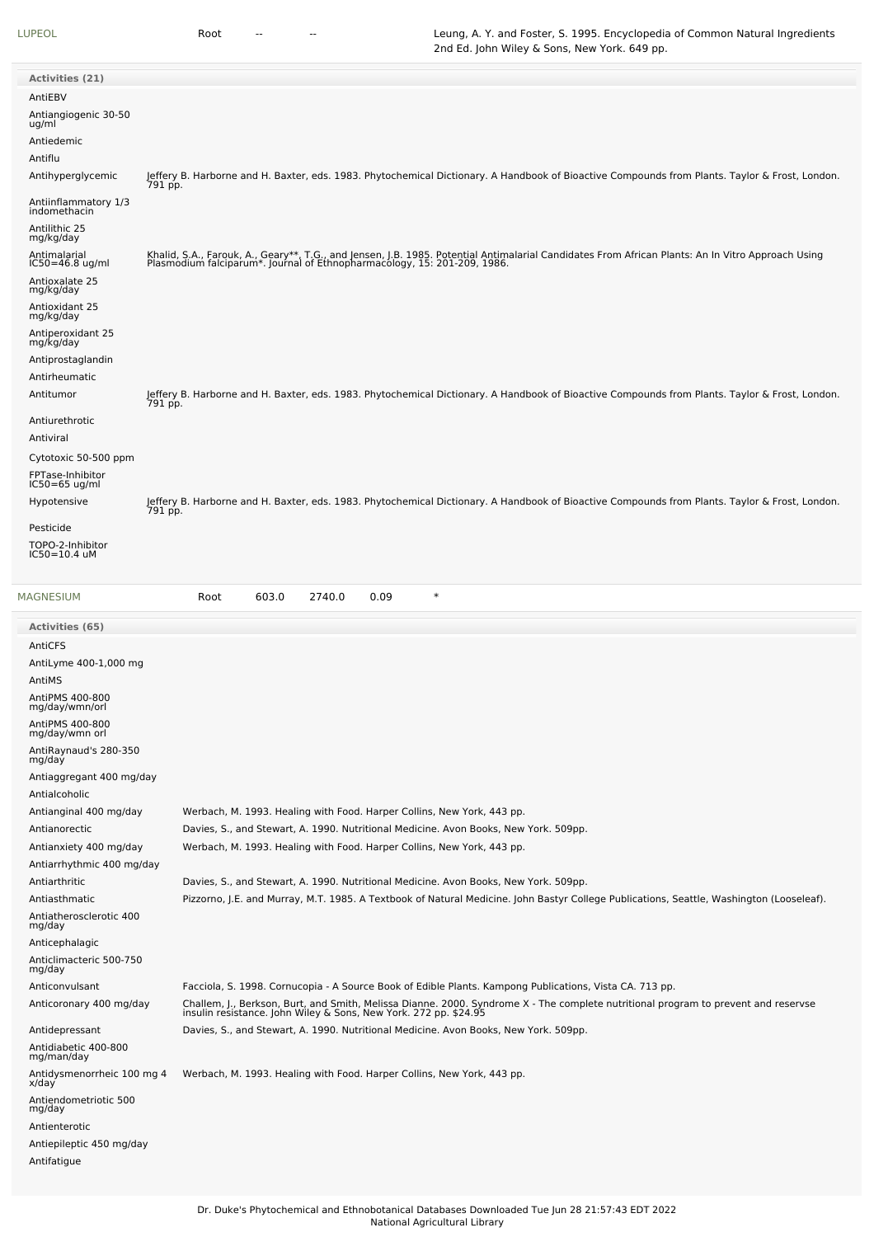| Activities (21)                      |                                                                                                                                                                                                                               |
|--------------------------------------|-------------------------------------------------------------------------------------------------------------------------------------------------------------------------------------------------------------------------------|
| AntiEBV                              |                                                                                                                                                                                                                               |
| Antiangiogenic 30-50<br>ug/ml        |                                                                                                                                                                                                                               |
| Antiedemic                           |                                                                                                                                                                                                                               |
| Antiflu                              |                                                                                                                                                                                                                               |
| Antihyperglycemic                    | Jeffery B. Harborne and H. Baxter, eds. 1983. Phytochemical Dictionary. A Handbook of Bioactive Compounds from Plants. Taylor & Frost, London.<br>791 pp.                                                                     |
| Antiinflammatory 1/3<br>indomethacin |                                                                                                                                                                                                                               |
| Antilithic 25<br>mg/kg/day           |                                                                                                                                                                                                                               |
| Antimalarial<br>IC50=46.8 ug/ml      | Khalid, S.A., Farouk, A., Geary**, T.G., and Jensen, J.B. 1985. Potential Antimalarial Candidates From African Plants: An In Vitro Approach Using<br>Plasmodium falciparum*. Journal of Ethnopharmacology, 15: 201-209, 1986. |
| Antioxalate 25<br>mg/kg/day          |                                                                                                                                                                                                                               |
| Antioxidant 25<br>mg/kg/day          |                                                                                                                                                                                                                               |
| Antiperoxidant 25<br>mg/kg/day       |                                                                                                                                                                                                                               |
| Antiprostaglandin                    |                                                                                                                                                                                                                               |
| Antirheumatic                        |                                                                                                                                                                                                                               |
| Antitumor                            | Jeffery B. Harborne and H. Baxter, eds. 1983. Phytochemical Dictionary. A Handbook of Bioactive Compounds from Plants. Taylor & Frost, London.<br>791 pp.                                                                     |
| Antiurethrotic                       |                                                                                                                                                                                                                               |
| Antiviral                            |                                                                                                                                                                                                                               |
| Cytotoxic 50-500 ppm                 |                                                                                                                                                                                                                               |
| FPTase-Inhibitor<br>IC50=65 ug/ml    |                                                                                                                                                                                                                               |
| Hypotensive                          | Jeffery B. Harborne and H. Baxter, eds. 1983. Phytochemical Dictionary. A Handbook of Bioactive Compounds from Plants. Taylor & Frost, London.<br>791 pp.                                                                     |
| Pesticide                            |                                                                                                                                                                                                                               |
| TOPO-2-Inhibitor<br>IC50=10.4 uM     |                                                                                                                                                                                                                               |
| <b>MAGNESIUM</b>                     | $\ast$<br>603.0<br>2740.0<br>0.09<br>Root                                                                                                                                                                                     |
| Activities (65)                      |                                                                                                                                                                                                                               |
| AntiCFS                              |                                                                                                                                                                                                                               |
| AntiLyme 400-1,000 mg                |                                                                                                                                                                                                                               |
| AntiMS                               |                                                                                                                                                                                                                               |
| AntiPMS 400-800<br>mg/day/wmn/orl    |                                                                                                                                                                                                                               |

| mg/day/wmn/orl                      |                                                                                                                                                                                                     |
|-------------------------------------|-----------------------------------------------------------------------------------------------------------------------------------------------------------------------------------------------------|
| AntiPMS 400-800<br>mg/day/wmn orl   |                                                                                                                                                                                                     |
| AntiRaynaud's 280-350<br>mg/day     |                                                                                                                                                                                                     |
| Antiaggregant 400 mg/day            |                                                                                                                                                                                                     |
| Antialcoholic                       |                                                                                                                                                                                                     |
| Antianginal 400 mg/day              | Werbach, M. 1993. Healing with Food. Harper Collins, New York, 443 pp.                                                                                                                              |
| Antianorectic                       | Davies, S., and Stewart, A. 1990. Nutritional Medicine. Avon Books, New York. 509pp.                                                                                                                |
| Antianxiety 400 mg/day              | Werbach, M. 1993. Healing with Food. Harper Collins, New York, 443 pp.                                                                                                                              |
| Antiarrhythmic 400 mg/day           |                                                                                                                                                                                                     |
| Antiarthritic                       | Davies, S., and Stewart, A. 1990. Nutritional Medicine. Avon Books, New York. 509pp.                                                                                                                |
| Antiasthmatic                       | Pizzorno, J.E. and Murray, M.T. 1985. A Textbook of Natural Medicine. John Bastyr College Publications, Seattle, Washington (Looseleaf).                                                            |
| Antiatherosclerotic 400<br>mg/day   |                                                                                                                                                                                                     |
| Anticephalagic                      |                                                                                                                                                                                                     |
| Anticlimacteric 500-750<br>mg/day   |                                                                                                                                                                                                     |
| Anticonvulsant                      | Facciola, S. 1998. Cornucopia - A Source Book of Edible Plants. Kampong Publications, Vista CA. 713 pp.                                                                                             |
| Anticoronary 400 mg/day             | Challem, J., Berkson, Burt, and Smith, Melissa Dianne. 2000. Syndrome X - The complete nutritional program to prevent and reservse insulin resistance. John Wiley & Sons, New York. 272 pp. \$24.95 |
| Antidepressant                      | Davies, S., and Stewart, A. 1990. Nutritional Medicine. Avon Books, New York. 509pp.                                                                                                                |
| Antidiabetic 400-800<br>mg/man/day  |                                                                                                                                                                                                     |
| Antidysmenorrheic 100 mg 4<br>x/day | Werbach, M. 1993. Healing with Food. Harper Collins, New York, 443 pp.                                                                                                                              |
| Antiendometriotic 500<br>mg/day     |                                                                                                                                                                                                     |
| Antienterotic                       |                                                                                                                                                                                                     |
| Antiepileptic 450 mg/day            |                                                                                                                                                                                                     |
| Antifatigue                         |                                                                                                                                                                                                     |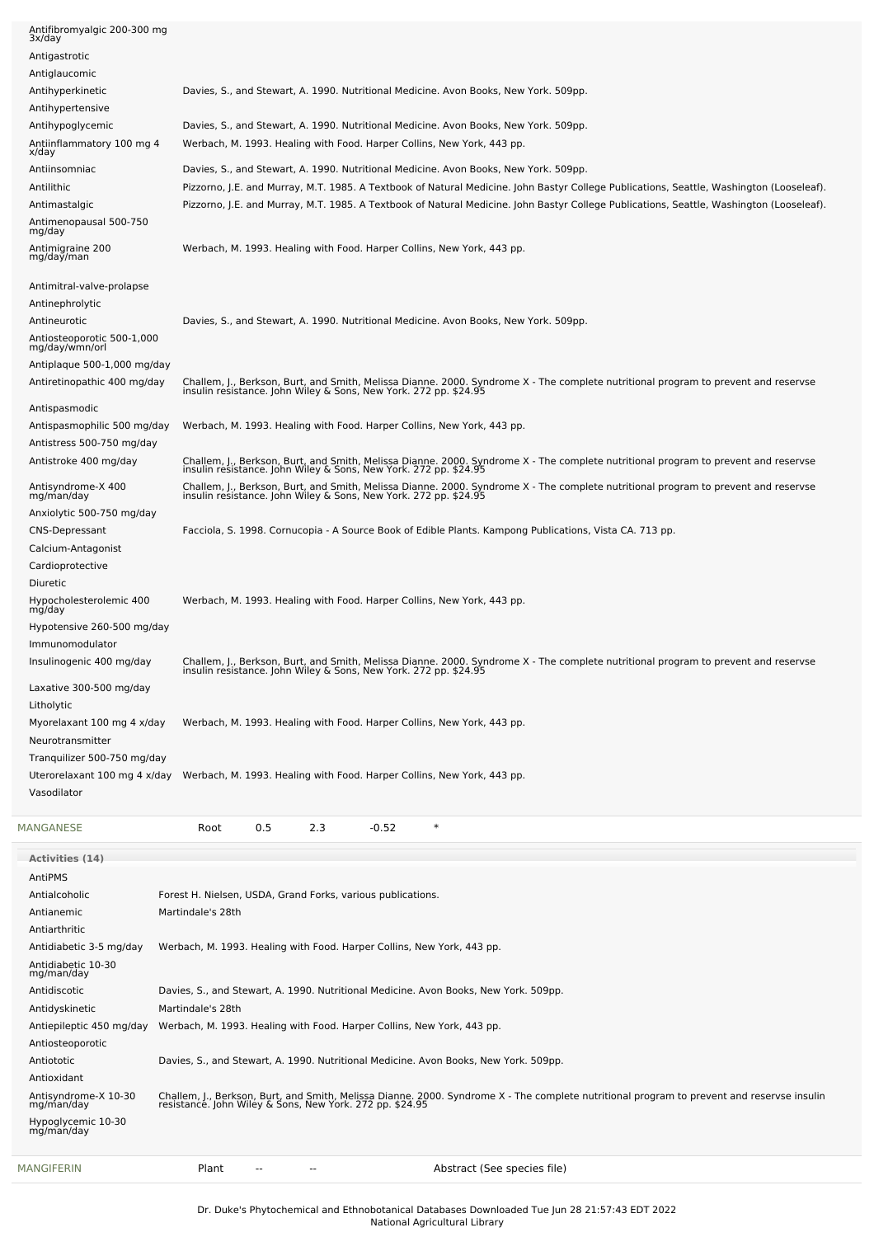| MANGIFERIN                                                             | Abstract (See species file)<br>Plant                                                                                                                                                                                             |
|------------------------------------------------------------------------|----------------------------------------------------------------------------------------------------------------------------------------------------------------------------------------------------------------------------------|
| Antisyndrome-X 10-30<br>mg/man/day<br>Hypoglycemic 10-30<br>mg/man/day | Challem, J., Berkson, Burt, and Smith, Melissa Dianne. 2000. Syndrome X - The complete nutritional program to prevent and reservse insulin<br>resistance. John Wiley & Sons, New York. 272 pp. \$24.95                           |
| Antiosteoporotic<br>Antiototic<br>Antioxidant                          | Davies, S., and Stewart, A. 1990. Nutritional Medicine. Avon Books, New York. 509pp.                                                                                                                                             |
| Antiepileptic 450 mg/day                                               | Werbach, M. 1993. Healing with Food. Harper Collins, New York, 443 pp.                                                                                                                                                           |
| Antidiscotic<br>Antidyskinetic                                         | Davies, S., and Stewart, A. 1990. Nutritional Medicine. Avon Books, New York. 509pp.<br>Martindale's 28th                                                                                                                        |
| Antidiabetic 10-30<br>mg/man/day                                       |                                                                                                                                                                                                                                  |
| Antiarthritic<br>Antidiabetic 3-5 mg/day                               | Werbach, M. 1993. Healing with Food. Harper Collins, New York, 443 pp.                                                                                                                                                           |
| Antialcoholic<br>Antianemic                                            | Forest H. Nielsen, USDA, Grand Forks, various publications.<br>Martindale's 28th                                                                                                                                                 |
| AntiPMS                                                                |                                                                                                                                                                                                                                  |
| <b>Activities (14)</b>                                                 |                                                                                                                                                                                                                                  |
| MANGANESE                                                              | $\ast$<br>0.5<br>2.3<br>$-0.52$<br>Root                                                                                                                                                                                          |
| Vasodilator                                                            | Uterorelaxant 100 mg 4 x/day Werbach, M. 1993. Healing with Food. Harper Collins, New York, 443 pp.                                                                                                                              |
| Tranquilizer 500-750 mg/day                                            |                                                                                                                                                                                                                                  |
| Myorelaxant 100 mg 4 x/day<br>Neurotransmitter                         | Werbach, M. 1993. Healing with Food. Harper Collins, New York, 443 pp.                                                                                                                                                           |
| Litholytic                                                             |                                                                                                                                                                                                                                  |
| Laxative 300-500 mg/day                                                | Challem, J., Berkson, Burt, and Smith, Melissa Dianne. 2000. Syndrome X - The complete nutritional program to prevent and reservse<br>insulin resistance. John Wiley & Sons, New York. 272 pp. \$24.95                           |
| Immunomodulator<br>Insulinogenic 400 mg/day                            |                                                                                                                                                                                                                                  |
| mg/day<br>Hypotensive 260-500 mg/day                                   |                                                                                                                                                                                                                                  |
| Diuretic<br>Hypocholesterolemic 400                                    | Werbach, M. 1993. Healing with Food. Harper Collins, New York, 443 pp.                                                                                                                                                           |
| Cardioprotective                                                       |                                                                                                                                                                                                                                  |
| <b>CNS-Depressant</b><br>Calcium-Antagonist                            | Facciola, S. 1998. Cornucopia - A Source Book of Edible Plants. Kampong Publications, Vista CA. 713 pp.                                                                                                                          |
| mg/man/day<br>Anxiolytic 500-750 mg/day                                |                                                                                                                                                                                                                                  |
| Antisyndrome-X 400                                                     | Challem, J., Berkson, Burt, and Smith, Melissa Dianne. 2000. Syndrome X - The complete nutritional program to prevent and reservse<br>insulin resistance. John Wiley & Sons, New York. 272 pp. \$24.95                           |
| Antistress 500-750 mg/day<br>Antistroke 400 mg/day                     | Challem, J., Berkson, Burt, and Smith, Melissa Dianne. 2000. Syndrome X - The complete nutritional program to prevent and reservse<br>insulin resistance. John Wiley & Sons, New York. 272 pp. \$24.95                           |
| Antispasmophilic 500 mg/day                                            | Werbach, M. 1993. Healing with Food. Harper Collins, New York, 443 pp.                                                                                                                                                           |
| Antispasmodic                                                          | Challem, J., Berkson, Burt, and Smith, Melissa Dianne. 2000. Syndrome X - The complete nutritional program to prevent and reservse<br>insulin resistance. John Wiley & Sons, New York. 272 pp. \$24.95                           |
| Antiplaque 500-1,000 mg/day<br>Antiretinopathic 400 mg/day             |                                                                                                                                                                                                                                  |
| Antiosteoporotic 500-1,000<br>mg/day/wmn/orl                           |                                                                                                                                                                                                                                  |
| Antinephrolytic<br>Antineurotic                                        | Davies, S., and Stewart, A. 1990. Nutritional Medicine. Avon Books, New York. 509pp.                                                                                                                                             |
| Antimitral-valve-prolapse                                              |                                                                                                                                                                                                                                  |
| Antimigraine 200<br>mg/day/man                                         | Werbach, M. 1993. Healing with Food. Harper Collins, New York, 443 pp.                                                                                                                                                           |
| Antimenopausal 500-750<br>mg/day                                       |                                                                                                                                                                                                                                  |
| Antimastalgic                                                          | Pizzorno, J.E. and Murray, M.T. 1985. A Textbook of Natural Medicine. John Bastyr College Publications, Seattle, Washington (Looseleaf).                                                                                         |
| Antiinsomniac<br>Antilithic                                            | Davies, S., and Stewart, A. 1990. Nutritional Medicine. Avon Books, New York. 509pp.<br>Pizzorno, J.E. and Murray, M.T. 1985. A Textbook of Natural Medicine. John Bastyr College Publications, Seattle, Washington (Looseleaf). |
| Antiinflammatory 100 mg 4<br>x/day                                     | Werbach, M. 1993. Healing with Food. Harper Collins, New York, 443 pp.                                                                                                                                                           |
| Antihypoglycemic                                                       | Davies, S., and Stewart, A. 1990. Nutritional Medicine. Avon Books, New York. 509pp.                                                                                                                                             |
| Antihyperkinetic<br>Antihypertensive                                   | Davies, S., and Stewart, A. 1990. Nutritional Medicine. Avon Books, New York. 509pp.                                                                                                                                             |
| Antiglaucomic                                                          |                                                                                                                                                                                                                                  |
| 3x/day<br>Antigastrotic                                                |                                                                                                                                                                                                                                  |
| Antifibromyalgic 200-300 mg                                            |                                                                                                                                                                                                                                  |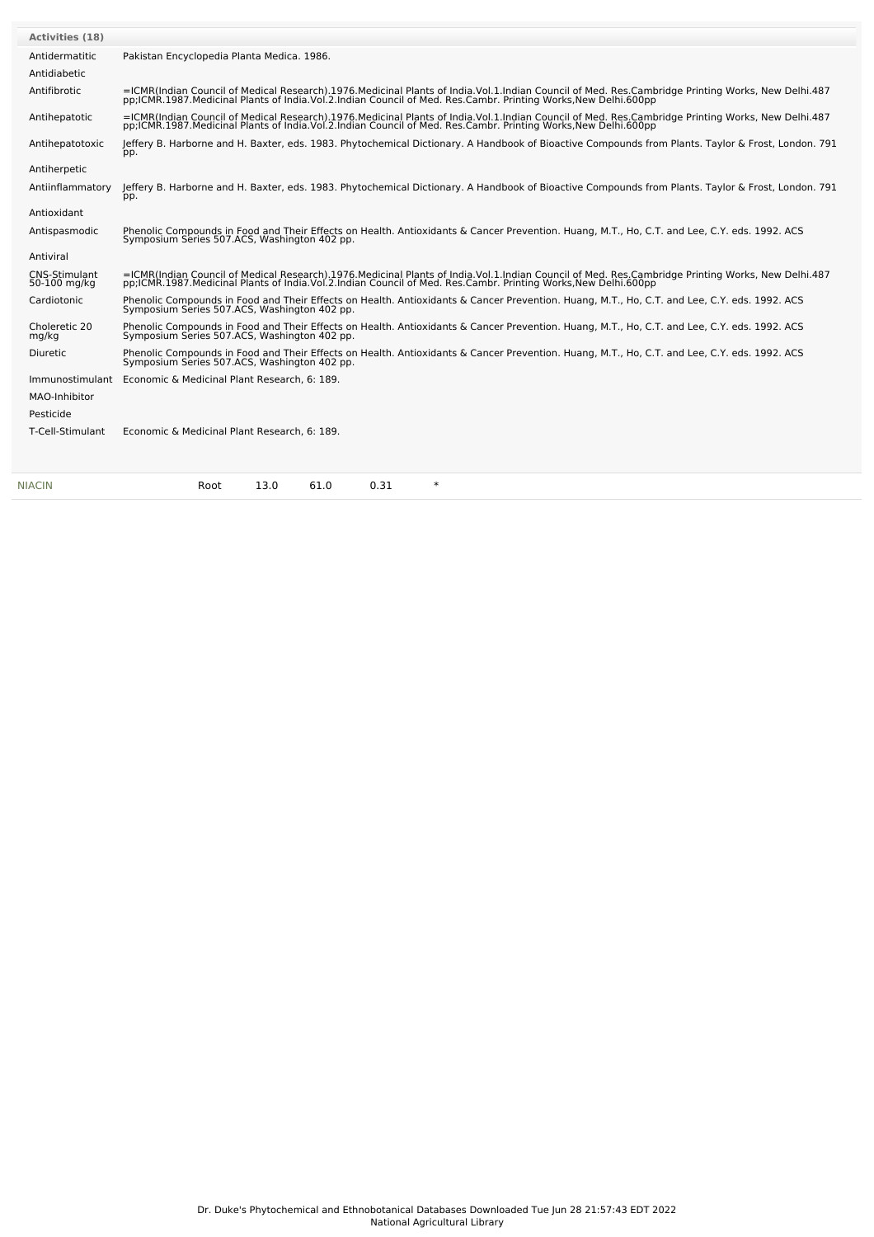| <b>NIACIN</b>                        | $\ast$<br>13.0<br>61.0<br>0.31<br>Root                                                                                                                                                                                                                             |
|--------------------------------------|--------------------------------------------------------------------------------------------------------------------------------------------------------------------------------------------------------------------------------------------------------------------|
|                                      |                                                                                                                                                                                                                                                                    |
| T-Cell-Stimulant                     | Economic & Medicinal Plant Research, 6: 189.                                                                                                                                                                                                                       |
| Pesticide                            |                                                                                                                                                                                                                                                                    |
| MAO-Inhibitor                        |                                                                                                                                                                                                                                                                    |
| Immunostimulant                      | Economic & Medicinal Plant Research, 6: 189.                                                                                                                                                                                                                       |
| Diuretic                             | Phenolic Compounds in Food and Their Effects on Health. Antioxidants & Cancer Prevention. Huang, M.T., Ho, C.T. and Lee, C.Y. eds. 1992. ACS<br>Symposium Series 507.ACS, Washington 402 pp.                                                                       |
| Choleretic 20<br>mg/kg               | Phenolic Compounds in Food and Their Effects on Health. Antioxidants & Cancer Prevention. Huang, M.T., Ho, C.T. and Lee, C.Y. eds. 1992. ACS<br>Symposium Series 507.ACS, Washington 402 pp.                                                                       |
| Cardiotonic                          | Phenolic Compounds in Food and Their Effects on Health. Antioxidants & Cancer Prevention. Huang, M.T., Ho, C.T. and Lee, C.Y. eds. 1992. ACS<br>Symposium Series 507.ACS, Washington 402 pp.                                                                       |
| <b>CNS-Stimulant</b><br>50-100 mg/kg | =ICMR(Indian Council of Medical Research).1976.Medicinal Plants of India.Vol.1.Indian Council of Med. Res.Cambridge Printing Works, New Delhi.487<br>pp;ICMR.1987.Medicinal Plants of India.Vol.2.Indian Council of Med. Res.Cambr. Printing Works,New Delhi.600pp |
| Antiviral                            |                                                                                                                                                                                                                                                                    |
| Antispasmodic                        | Phenolic Compounds in Food and Their Effects on Health. Antioxidants & Cancer Prevention. Huang, M.T., Ho, C.T. and Lee, C.Y. eds. 1992. ACS<br>Symposium Series 507.ACS, Washington 402 pp.                                                                       |
| Antioxidant                          |                                                                                                                                                                                                                                                                    |
| Antiinflammatory                     | Jeffery B. Harborne and H. Baxter, eds. 1983. Phytochemical Dictionary. A Handbook of Bioactive Compounds from Plants. Taylor & Frost, London. 791<br>pp.                                                                                                          |
| Antiherpetic                         |                                                                                                                                                                                                                                                                    |
|                                      | pp.                                                                                                                                                                                                                                                                |
| Antihepatotoxic                      | Jeffery B. Harborne and H. Baxter, eds. 1983. Phytochemical Dictionary. A Handbook of Bioactive Compounds from Plants. Taylor & Frost, London. 791                                                                                                                 |
| Antihepatotic                        | =ICMR(Indian Council of Medical Research).1976.Medicinal Plants of India.Vol.1.Indian Council of Med. Res.Cambridge Printing Works, New Delhi.487<br>pp;ICMR.1987.Medicinal Plants of India.Vol.2.Indian Council of Med. Res.Camb                                  |
| Antifibrotic                         | =ICMR(Indian Council of Medical Research).1976.Medicinal Plants of India.Vol.1.Indian Council of Med. Res.Cambridge Printing Works, New Delhi.487<br>pp;ICMR.1987.Medicinal Plants of India.Vol.2.Indian Council of Med. Res.Camb                                  |
| Antidiabetic                         |                                                                                                                                                                                                                                                                    |
| Antidermatitic                       | Pakistan Encyclopedia Planta Medica. 1986.                                                                                                                                                                                                                         |
| <b>Activities (18)</b>               |                                                                                                                                                                                                                                                                    |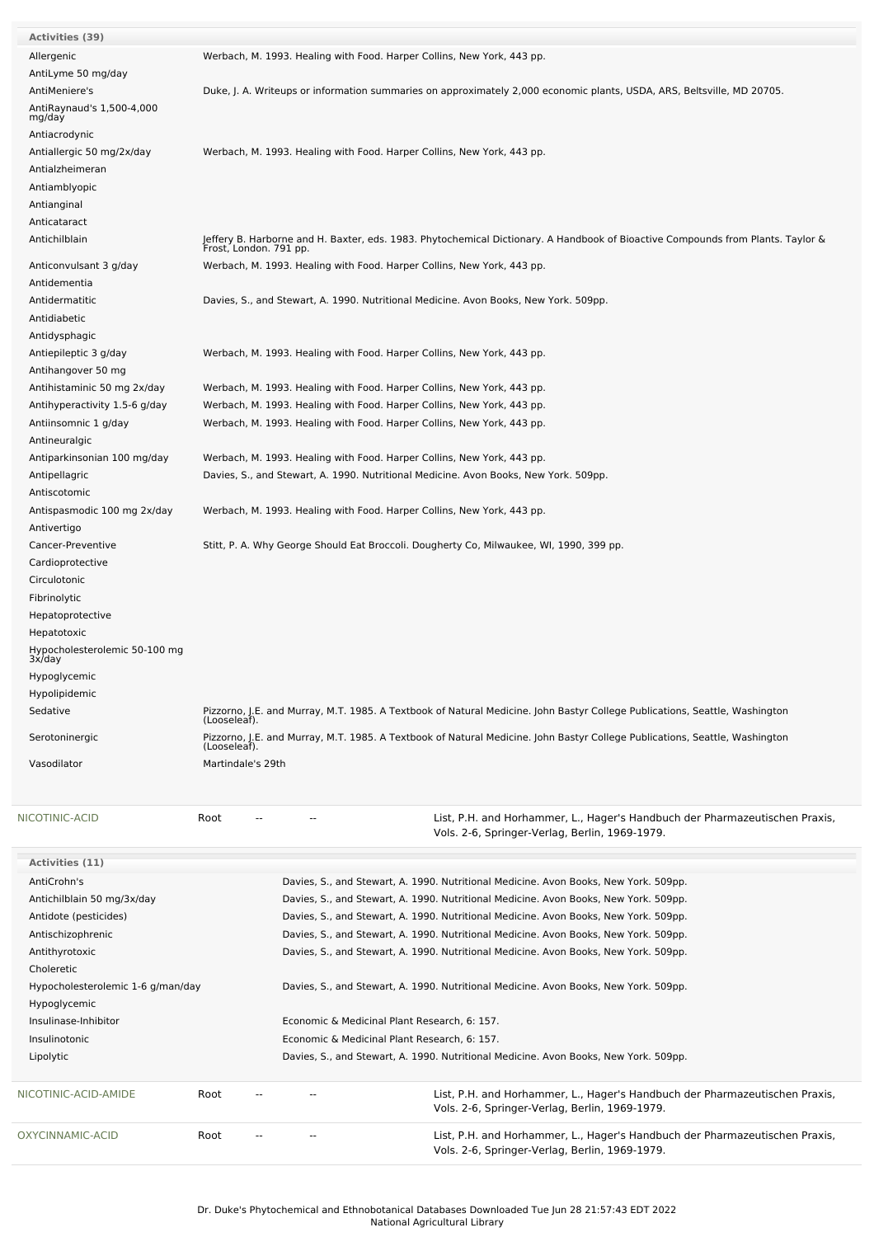| <b>Activities (39)</b>                  |                        |                                                                        |                                                                                                                                 |
|-----------------------------------------|------------------------|------------------------------------------------------------------------|---------------------------------------------------------------------------------------------------------------------------------|
| Allergenic                              |                        | Werbach, M. 1993. Healing with Food. Harper Collins, New York, 443 pp. |                                                                                                                                 |
| AntiLyme 50 mg/day                      |                        |                                                                        |                                                                                                                                 |
| AntiMeniere's                           |                        |                                                                        | Duke, J. A. Writeups or information summaries on approximately 2,000 economic plants, USDA, ARS, Beltsville, MD 20705.          |
| AntiRaynaud's 1,500-4,000               |                        |                                                                        |                                                                                                                                 |
| mg/day                                  |                        |                                                                        |                                                                                                                                 |
| Antiacrodynic                           |                        |                                                                        |                                                                                                                                 |
| Antiallergic 50 mg/2x/day               |                        | Werbach, M. 1993. Healing with Food. Harper Collins, New York, 443 pp. |                                                                                                                                 |
| Antialzheimeran                         |                        |                                                                        |                                                                                                                                 |
| Antiamblyopic                           |                        |                                                                        |                                                                                                                                 |
| Antianginal                             |                        |                                                                        |                                                                                                                                 |
| Anticataract                            |                        |                                                                        |                                                                                                                                 |
| Antichilblain                           | Frost, London. 791 pp. |                                                                        | Jeffery B. Harborne and H. Baxter, eds. 1983. Phytochemical Dictionary. A Handbook of Bioactive Compounds from Plants. Taylor & |
| Anticonvulsant 3 g/day                  |                        | Werbach, M. 1993. Healing with Food. Harper Collins, New York, 443 pp. |                                                                                                                                 |
| Antidementia                            |                        |                                                                        |                                                                                                                                 |
| Antidermatitic                          |                        |                                                                        | Davies, S., and Stewart, A. 1990. Nutritional Medicine. Avon Books, New York. 509pp.                                            |
| Antidiabetic                            |                        |                                                                        |                                                                                                                                 |
| Antidysphagic                           |                        |                                                                        |                                                                                                                                 |
| Antiepileptic 3 g/day                   |                        | Werbach, M. 1993. Healing with Food. Harper Collins, New York, 443 pp. |                                                                                                                                 |
| Antihangover 50 mg                      |                        |                                                                        |                                                                                                                                 |
| Antihistaminic 50 mg 2x/day             |                        | Werbach, M. 1993. Healing with Food. Harper Collins, New York, 443 pp. |                                                                                                                                 |
| Antihyperactivity 1.5-6 g/day           |                        | Werbach, M. 1993. Healing with Food. Harper Collins, New York, 443 pp. |                                                                                                                                 |
| Antiinsomnic 1 g/day                    |                        | Werbach, M. 1993. Healing with Food. Harper Collins, New York, 443 pp. |                                                                                                                                 |
|                                         |                        |                                                                        |                                                                                                                                 |
| Antineuralgic                           |                        |                                                                        |                                                                                                                                 |
| Antiparkinsonian 100 mg/day             |                        | Werbach, M. 1993. Healing with Food. Harper Collins, New York, 443 pp. |                                                                                                                                 |
| Antipellagric                           |                        |                                                                        | Davies, S., and Stewart, A. 1990. Nutritional Medicine. Avon Books, New York. 509pp.                                            |
| Antiscotomic                            |                        |                                                                        |                                                                                                                                 |
| Antispasmodic 100 mg 2x/day             |                        | Werbach, M. 1993. Healing with Food. Harper Collins, New York, 443 pp. |                                                                                                                                 |
| Antivertigo                             |                        |                                                                        |                                                                                                                                 |
| Cancer-Preventive                       |                        |                                                                        | Stitt, P. A. Why George Should Eat Broccoli. Dougherty Co, Milwaukee, WI, 1990, 399 pp.                                         |
| Cardioprotective                        |                        |                                                                        |                                                                                                                                 |
| Circulotonic                            |                        |                                                                        |                                                                                                                                 |
| Fibrinolytic                            |                        |                                                                        |                                                                                                                                 |
| Hepatoprotective                        |                        |                                                                        |                                                                                                                                 |
| Hepatotoxic                             |                        |                                                                        |                                                                                                                                 |
| Hypocholesterolemic 50-100 mg<br>3x/day |                        |                                                                        |                                                                                                                                 |
| Hypoglycemic                            |                        |                                                                        |                                                                                                                                 |
| Hypolipidemic                           |                        |                                                                        |                                                                                                                                 |
| Sedative                                |                        |                                                                        | Pizzorno, J.E. and Murray, M.T. 1985. A Textbook of Natural Medicine. John Bastyr College Publications, Seattle, Washington     |
|                                         | (Looseleaf).           |                                                                        |                                                                                                                                 |
| Serotoninergic                          | (Looseleaf).           |                                                                        | Pizzorno, J.E. and Murray, M.T. 1985. A Textbook of Natural Medicine. John Bastyr College Publications, Seattle, Washington     |
| Vasodilator                             | Martindale's 29th      |                                                                        |                                                                                                                                 |
|                                         |                        |                                                                        |                                                                                                                                 |
|                                         |                        |                                                                        |                                                                                                                                 |
| NICOTINIC-ACID                          | Root                   |                                                                        | List, P.H. and Horhammer, L., Hager's Handbuch der Pharmazeutischen Praxis,                                                     |
|                                         |                        |                                                                        | Vols. 2-6, Springer-Verlag, Berlin, 1969-1979.                                                                                  |
|                                         |                        |                                                                        |                                                                                                                                 |
| Activities (11)                         |                        |                                                                        |                                                                                                                                 |
| AntiCrohn's                             |                        |                                                                        | Davies, S., and Stewart, A. 1990. Nutritional Medicine. Avon Books, New York. 509pp.                                            |
| Antichilblain 50 mg/3x/day              |                        |                                                                        | Davies, S., and Stewart, A. 1990. Nutritional Medicine. Avon Books, New York. 509pp.                                            |
| Antidote (pesticides)                   |                        |                                                                        | Davies, S., and Stewart, A. 1990. Nutritional Medicine. Avon Books, New York. 509pp.                                            |
| Antischizophrenic                       |                        |                                                                        | Davies, S., and Stewart, A. 1990. Nutritional Medicine. Avon Books, New York. 509pp.                                            |
| Antithyrotoxic                          |                        |                                                                        | Davies, S., and Stewart, A. 1990. Nutritional Medicine. Avon Books, New York. 509pp.                                            |
| Choleretic                              |                        |                                                                        |                                                                                                                                 |
| Hypocholesterolemic 1-6 g/man/day       |                        |                                                                        | Davies, S., and Stewart, A. 1990. Nutritional Medicine. Avon Books, New York. 509pp.                                            |
| Hypoglycemic                            |                        |                                                                        |                                                                                                                                 |
| Insulinase-Inhibitor                    |                        | Economic & Medicinal Plant Research, 6: 157.                           |                                                                                                                                 |
| Insulinotonic                           |                        | Economic & Medicinal Plant Research, 6: 157.                           |                                                                                                                                 |
| Lipolytic                               |                        |                                                                        | Davies, S., and Stewart, A. 1990. Nutritional Medicine. Avon Books, New York. 509pp.                                            |
|                                         |                        |                                                                        |                                                                                                                                 |
| NICOTINIC-ACID-AMIDE                    | Root                   | $\overline{\phantom{a}}$                                               | List, P.H. and Horhammer, L., Hager's Handbuch der Pharmazeutischen Praxis,                                                     |
|                                         |                        |                                                                        | Vols. 2-6, Springer-Verlag, Berlin, 1969-1979.                                                                                  |
|                                         |                        |                                                                        |                                                                                                                                 |
| OXYCINNAMIC-ACID                        | Root                   |                                                                        | List, P.H. and Horhammer, L., Hager's Handbuch der Pharmazeutischen Praxis,                                                     |
|                                         |                        |                                                                        | Vols. 2-6, Springer-Verlag, Berlin, 1969-1979.                                                                                  |

ī,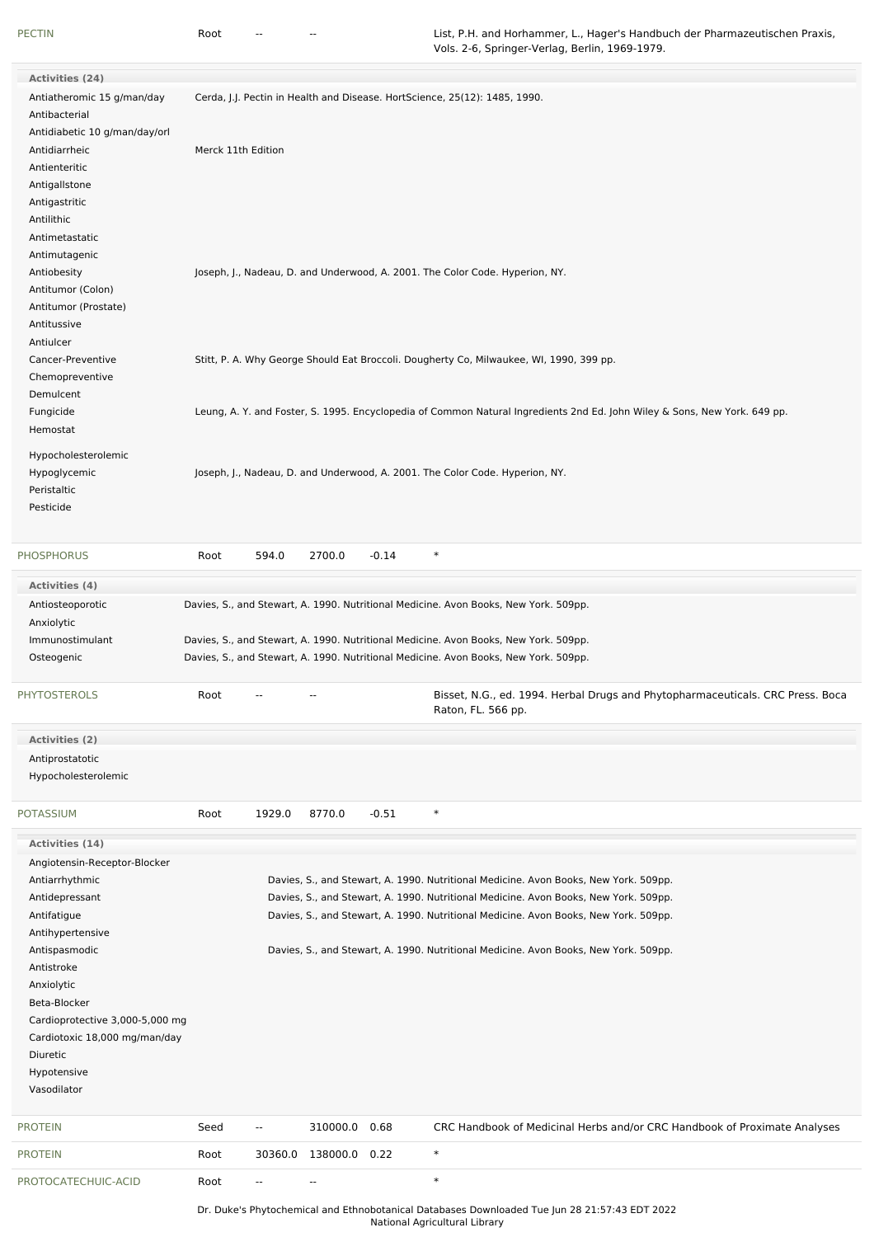| <b>Activities (24)</b>        |                                 |                    |                          |                          |         |                                                                                                                           |
|-------------------------------|---------------------------------|--------------------|--------------------------|--------------------------|---------|---------------------------------------------------------------------------------------------------------------------------|
| Antiatheromic 15 g/man/day    |                                 |                    |                          |                          |         | Cerda, J.J. Pectin in Health and Disease. HortScience, 25(12): 1485, 1990.                                                |
| Antibacterial                 |                                 |                    |                          |                          |         |                                                                                                                           |
| Antidiabetic 10 g/man/day/orl |                                 |                    |                          |                          |         |                                                                                                                           |
| Antidiarrheic                 |                                 | Merck 11th Edition |                          |                          |         |                                                                                                                           |
| Antienteritic                 |                                 |                    |                          |                          |         |                                                                                                                           |
| Antigallstone                 |                                 |                    |                          |                          |         |                                                                                                                           |
| Antigastritic                 |                                 |                    |                          |                          |         |                                                                                                                           |
| Antilithic                    |                                 |                    |                          |                          |         |                                                                                                                           |
| Antimetastatic                |                                 |                    |                          |                          |         |                                                                                                                           |
| Antimutagenic                 |                                 |                    |                          |                          |         |                                                                                                                           |
| Antiobesity                   |                                 |                    |                          |                          |         | Joseph, J., Nadeau, D. and Underwood, A. 2001. The Color Code. Hyperion, NY.                                              |
| Antitumor (Colon)             |                                 |                    |                          |                          |         |                                                                                                                           |
| Antitumor (Prostate)          |                                 |                    |                          |                          |         |                                                                                                                           |
| Antitussive                   |                                 |                    |                          |                          |         |                                                                                                                           |
| Antiulcer                     |                                 |                    |                          |                          |         |                                                                                                                           |
| Cancer-Preventive             |                                 |                    |                          |                          |         | Stitt, P. A. Why George Should Eat Broccoli. Dougherty Co, Milwaukee, WI, 1990, 399 pp.                                   |
| Chemopreventive               |                                 |                    |                          |                          |         |                                                                                                                           |
| Demulcent                     |                                 |                    |                          |                          |         |                                                                                                                           |
| Fungicide                     |                                 |                    |                          |                          |         | Leung, A. Y. and Foster, S. 1995. Encyclopedia of Common Natural Ingredients 2nd Ed. John Wiley & Sons, New York. 649 pp. |
| Hemostat                      |                                 |                    |                          |                          |         |                                                                                                                           |
| Hypocholesterolemic           |                                 |                    |                          |                          |         |                                                                                                                           |
| Hypoglycemic                  |                                 |                    |                          |                          |         | Joseph, J., Nadeau, D. and Underwood, A. 2001. The Color Code. Hyperion, NY.                                              |
| Peristaltic                   |                                 |                    |                          |                          |         |                                                                                                                           |
| Pesticide                     |                                 |                    |                          |                          |         |                                                                                                                           |
|                               |                                 |                    |                          |                          |         |                                                                                                                           |
|                               |                                 |                    |                          |                          |         |                                                                                                                           |
| PHOSPHORUS                    |                                 | Root               | 594.0                    | 2700.0                   | $-0.14$ | $\ast$                                                                                                                    |
| Activities (4)                |                                 |                    |                          |                          |         |                                                                                                                           |
| Antiosteoporotic              |                                 |                    |                          |                          |         | Davies, S., and Stewart, A. 1990. Nutritional Medicine. Avon Books, New York. 509pp.                                      |
| Anxiolytic                    |                                 |                    |                          |                          |         |                                                                                                                           |
| Immunostimulant               |                                 |                    |                          |                          |         | Davies, S., and Stewart, A. 1990. Nutritional Medicine. Avon Books, New York. 509pp.                                      |
| Osteogenic                    |                                 |                    |                          |                          |         | Davies, S., and Stewart, A. 1990. Nutritional Medicine. Avon Books, New York. 509pp.                                      |
|                               |                                 |                    |                          |                          |         |                                                                                                                           |
| PHYTOSTEROLS                  |                                 | Root               |                          |                          |         | Bisset, N.G., ed. 1994. Herbal Drugs and Phytopharmaceuticals. CRC Press. Boca<br>Raton, FL. 566 pp.                      |
|                               |                                 |                    |                          |                          |         |                                                                                                                           |
| Activities (2)                |                                 |                    |                          |                          |         |                                                                                                                           |
| Antiprostatotic               |                                 |                    |                          |                          |         |                                                                                                                           |
| Hypocholesterolemic           |                                 |                    |                          |                          |         |                                                                                                                           |
|                               |                                 |                    |                          |                          |         |                                                                                                                           |
| POTASSIUM                     |                                 | Root               | 1929.0                   | 8770.0                   | $-0.51$ | $\ast$                                                                                                                    |
| Activities (14)               |                                 |                    |                          |                          |         |                                                                                                                           |
| Angiotensin-Receptor-Blocker  |                                 |                    |                          |                          |         |                                                                                                                           |
| Antiarrhythmic                |                                 |                    |                          |                          |         | Davies, S., and Stewart, A. 1990. Nutritional Medicine. Avon Books, New York. 509pp.                                      |
| Antidepressant                |                                 |                    |                          |                          |         |                                                                                                                           |
| Antifatigue                   |                                 |                    |                          |                          |         |                                                                                                                           |
| Antihypertensive              |                                 |                    |                          |                          |         | Davies, S., and Stewart, A. 1990. Nutritional Medicine. Avon Books, New York. 509pp.                                      |
|                               |                                 |                    |                          |                          |         | Davies, S., and Stewart, A. 1990. Nutritional Medicine. Avon Books, New York. 509pp.                                      |
|                               |                                 |                    |                          |                          |         |                                                                                                                           |
| Antispasmodic                 |                                 |                    |                          |                          |         | Davies, S., and Stewart, A. 1990. Nutritional Medicine. Avon Books, New York. 509pp.                                      |
| Antistroke                    |                                 |                    |                          |                          |         |                                                                                                                           |
| Anxiolytic                    |                                 |                    |                          |                          |         |                                                                                                                           |
| Beta-Blocker                  |                                 |                    |                          |                          |         |                                                                                                                           |
|                               | Cardioprotective 3,000-5,000 mg |                    |                          |                          |         |                                                                                                                           |
| Diuretic                      | Cardiotoxic 18,000 mg/man/day   |                    |                          |                          |         |                                                                                                                           |
|                               |                                 |                    |                          |                          |         |                                                                                                                           |
| Hypotensive<br>Vasodilator    |                                 |                    |                          |                          |         |                                                                                                                           |
|                               |                                 |                    |                          |                          |         |                                                                                                                           |
| PROTEIN                       |                                 | Seed               | $\overline{\phantom{a}}$ | 310000.0 0.68            |         | CRC Handbook of Medicinal Herbs and/or CRC Handbook of Proximate Analyses                                                 |
| PROTEIN                       |                                 | Root               | 30360.0                  | 138000.0 0.22            |         | $\ast$                                                                                                                    |
| PROTOCATECHUIC-ACID           |                                 | Root               | ۰.                       | $\overline{\phantom{a}}$ |         | $\ast$                                                                                                                    |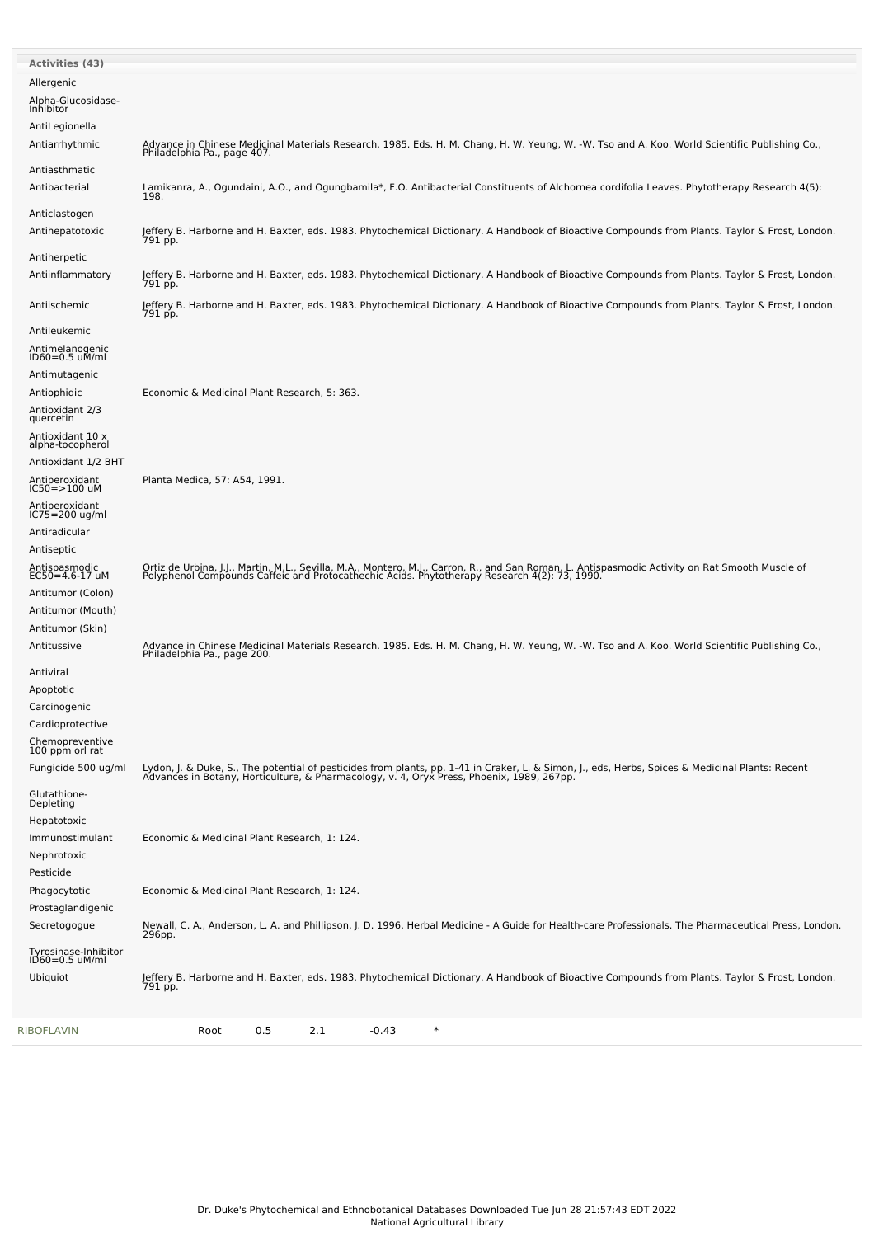| RIBOFLAVIN                                         | $\ast$<br>0.5<br>2.1<br>$-0.43$<br>Root                                                                                                                                                                                           |
|----------------------------------------------------|-----------------------------------------------------------------------------------------------------------------------------------------------------------------------------------------------------------------------------------|
| Tyrosinase-Inhibitor<br>ID60=0.5 uM/ml<br>Ubiquiot | Jeffery B. Harborne and H. Baxter, eds. 1983. Phytochemical Dictionary. A Handbook of Bioactive Compounds from Plants. Taylor & Frost, London.<br>791 pp.                                                                         |
| Secretogogue                                       | Newall, C. A., Anderson, L. A. and Phillipson, J. D. 1996. Herbal Medicine - A Guide for Health-care Professionals. The Pharmaceutical Press, London.<br>296pp.                                                                   |
| Prostaglandigenic                                  |                                                                                                                                                                                                                                   |
| Phagocytotic                                       | Economic & Medicinal Plant Research, 1: 124.                                                                                                                                                                                      |
| Nephrotoxic<br>Pesticide                           |                                                                                                                                                                                                                                   |
| Immunostimulant                                    | Economic & Medicinal Plant Research, 1: 124.                                                                                                                                                                                      |
| Hepatotoxic                                        |                                                                                                                                                                                                                                   |
| Glutathione-<br>Depleting                          |                                                                                                                                                                                                                                   |
| Fungicide 500 ug/ml                                | Lydon, J. & Duke, S., The potential of pesticides from plants, pp. 1-41 in Craker, L. & Simon, J., eds, Herbs, Spices & Medicinal Plants: Recent<br>Advances in Botany, Horticulture, & Pharmacology, v. 4, Oryx Press, Phoenix,  |
| Chemopreventive<br>100 ppm orl rat                 |                                                                                                                                                                                                                                   |
| Cardioprotective                                   |                                                                                                                                                                                                                                   |
| Carcinogenic                                       |                                                                                                                                                                                                                                   |
| Antiviral<br>Apoptotic                             |                                                                                                                                                                                                                                   |
|                                                    | Advance in Chinese Medicinal Materials Research. 1985. Eds. H. M. Chang, H. W. Yeung, W. -W. Tso and A. Koo. World Scientific Publishing Co., Philadelphia Pa., page 200.                                                         |
| Antitumor (Skin)<br>Antitussive                    |                                                                                                                                                                                                                                   |
| Antitumor (Mouth)                                  |                                                                                                                                                                                                                                   |
| Antitumor (Colon)                                  |                                                                                                                                                                                                                                   |
| Antispasmodic<br>$EC50 = 4.6 - 17$ uM              | Ortiz de Urbina, J.J., Martin, M.L., Sevilla, M.A., Montero, M.J., Carron, R., and San Roman, L. Antispasmodic Activity on Rat Smooth Muscle of<br>Polyphenol Compounds Caffeic and Protocathechic Acids. Phytotherapy Research 4 |
| Antiseptic                                         |                                                                                                                                                                                                                                   |
| $IC75 = 200$ ug/ml<br>Antiradicular                |                                                                                                                                                                                                                                   |
| Antiperoxidant<br>IC50=>100 uM<br>Antiperoxidant   |                                                                                                                                                                                                                                   |
| Antioxidant 1/2 BHT                                | Planta Medica, 57: A54, 1991.                                                                                                                                                                                                     |
| alpha-tocopherol                                   |                                                                                                                                                                                                                                   |
| quercetin<br>Antioxidant 10 x                      |                                                                                                                                                                                                                                   |
| Antiophidic<br>Antioxidant 2/3                     | Economic & Medicinal Plant Research, 5: 363.                                                                                                                                                                                      |
| Antimutagenic                                      |                                                                                                                                                                                                                                   |
| Antimelanogenic<br>ID60=0.5 uM/ml                  |                                                                                                                                                                                                                                   |
| Antileukemic                                       |                                                                                                                                                                                                                                   |
| Antiischemic                                       | Jeffery B. Harborne and H. Baxter, eds. 1983. Phytochemical Dictionary. A Handbook of Bioactive Compounds from Plants. Taylor & Frost, London.<br>791 pp.                                                                         |
| Antiinflammatory                                   | Jeffery B. Harborne and H. Baxter, eds. 1983. Phytochemical Dictionary. A Handbook of Bioactive Compounds from Plants. Taylor & Frost, London.<br>791 pp.                                                                         |
| Antiherpetic                                       |                                                                                                                                                                                                                                   |
| Antihepatotoxic                                    | Jeffery B. Harborne and H. Baxter, eds. 1983. Phytochemical Dictionary. A Handbook of Bioactive Compounds from Plants. Taylor & Frost, London.<br>791 pp.                                                                         |
| Anticlastogen                                      |                                                                                                                                                                                                                                   |
| Antibacterial                                      | Lamikanra, A., Ogundaini, A.O., and Ogungbamila*, F.O. Antibacterial Constituents of Alchornea cordifolia Leaves. Phytotherapy Research 4(5):<br>198.                                                                             |
| Antiasthmatic                                      |                                                                                                                                                                                                                                   |
| Antiarrhythmic                                     | Advance in Chinese Medicinal Materials Research. 1985. Eds. H. M. Chang, H. W. Yeung, W. -W. Tso and A. Koo. World Scientific Publishing Co.,<br>Philadelphia Pa., page 407.                                                      |
| AntiLegionella                                     |                                                                                                                                                                                                                                   |
| Alpha-Glucosidase-<br>Inhibitor                    |                                                                                                                                                                                                                                   |
| Allergenic                                         |                                                                                                                                                                                                                                   |
| <b>Activities (43)</b>                             |                                                                                                                                                                                                                                   |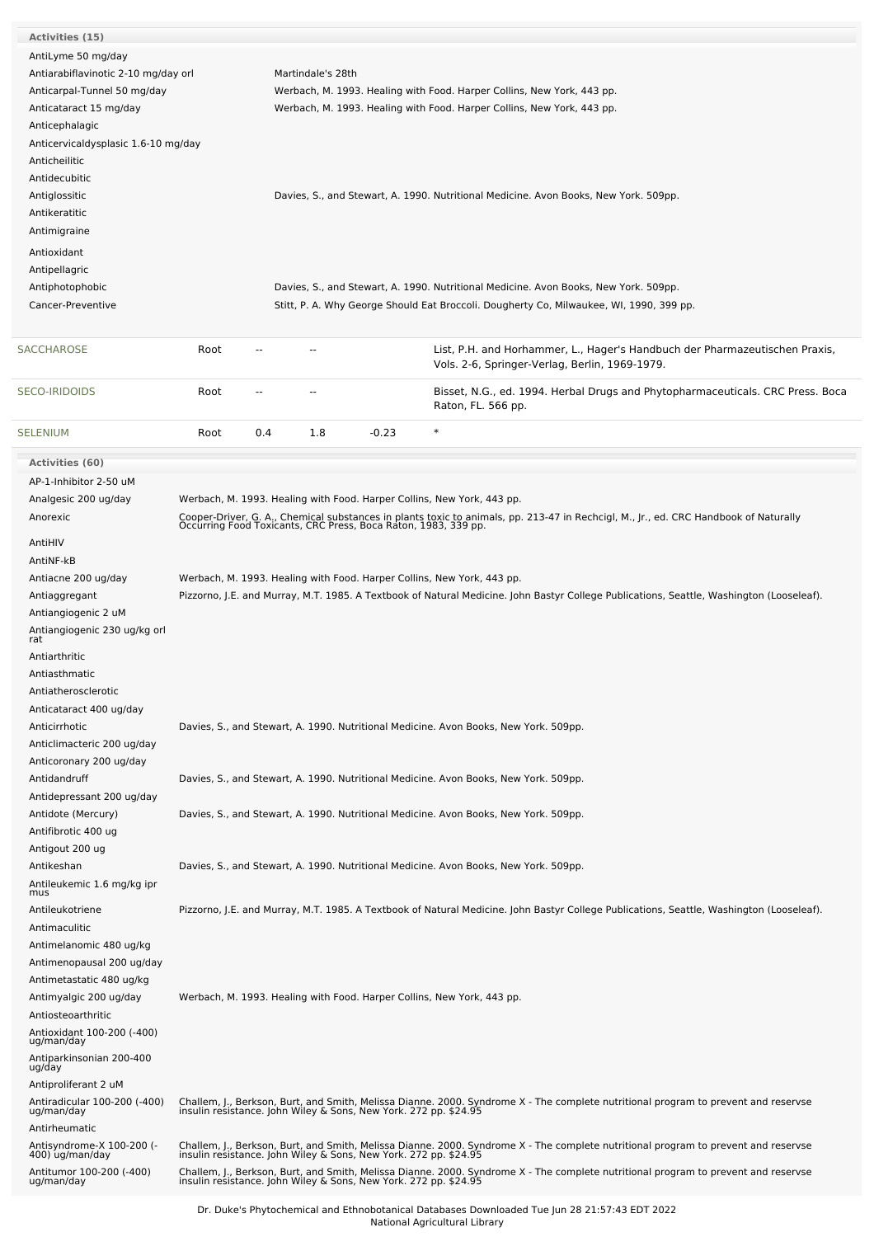| Activities (15)                                  |      |     |                   |                                                                  |                                                                                                                                                                                                        |
|--------------------------------------------------|------|-----|-------------------|------------------------------------------------------------------|--------------------------------------------------------------------------------------------------------------------------------------------------------------------------------------------------------|
| AntiLyme 50 mg/day                               |      |     |                   |                                                                  |                                                                                                                                                                                                        |
| Antiarabiflavinotic 2-10 mg/day orl              |      |     | Martindale's 28th |                                                                  |                                                                                                                                                                                                        |
| Anticarpal-Tunnel 50 mg/day                      |      |     |                   |                                                                  | Werbach, M. 1993. Healing with Food. Harper Collins, New York, 443 pp.                                                                                                                                 |
| Anticataract 15 mg/day                           |      |     |                   |                                                                  | Werbach, M. 1993. Healing with Food. Harper Collins, New York, 443 pp.                                                                                                                                 |
| Anticephalagic                                   |      |     |                   |                                                                  |                                                                                                                                                                                                        |
| Anticervicaldysplasic 1.6-10 mg/day              |      |     |                   |                                                                  |                                                                                                                                                                                                        |
| Anticheilitic                                    |      |     |                   |                                                                  |                                                                                                                                                                                                        |
| Antidecubitic                                    |      |     |                   |                                                                  |                                                                                                                                                                                                        |
| Antiglossitic                                    |      |     |                   |                                                                  | Davies, S., and Stewart, A. 1990. Nutritional Medicine. Avon Books, New York. 509pp.                                                                                                                   |
| Antikeratitic                                    |      |     |                   |                                                                  |                                                                                                                                                                                                        |
| Antimigraine                                     |      |     |                   |                                                                  |                                                                                                                                                                                                        |
| Antioxidant                                      |      |     |                   |                                                                  |                                                                                                                                                                                                        |
|                                                  |      |     |                   |                                                                  |                                                                                                                                                                                                        |
| Antipellagric                                    |      |     |                   |                                                                  |                                                                                                                                                                                                        |
| Antiphotophobic<br>Cancer-Preventive             |      |     |                   |                                                                  | Davies, S., and Stewart, A. 1990. Nutritional Medicine. Avon Books, New York. 509pp.<br>Stitt, P. A. Why George Should Eat Broccoli. Dougherty Co, Milwaukee, WI, 1990, 399 pp.                        |
|                                                  |      |     |                   |                                                                  |                                                                                                                                                                                                        |
| <b>SACCHAROSE</b>                                | Root |     |                   |                                                                  | List, P.H. and Horhammer, L., Hager's Handbuch der Pharmazeutischen Praxis,<br>Vols. 2-6, Springer-Verlag, Berlin, 1969-1979.                                                                          |
| <b>SECO-IRIDOIDS</b>                             | Root | $-$ | $\overline{a}$    |                                                                  | Bisset, N.G., ed. 1994. Herbal Drugs and Phytopharmaceuticals. CRC Press. Boca<br>Raton, FL. 566 pp.                                                                                                   |
| <b>SELENIUM</b>                                  | Root | 0.4 | 1.8               | $-0.23$                                                          | $\ast$                                                                                                                                                                                                 |
|                                                  |      |     |                   |                                                                  |                                                                                                                                                                                                        |
| Activities (60)                                  |      |     |                   |                                                                  |                                                                                                                                                                                                        |
| AP-1-Inhibitor 2-50 uM                           |      |     |                   |                                                                  |                                                                                                                                                                                                        |
| Analgesic 200 ug/day<br>Anorexic                 |      |     |                   |                                                                  | Werbach, M. 1993. Healing with Food. Harper Collins, New York, 443 pp.                                                                                                                                 |
|                                                  |      |     |                   |                                                                  | Cooper-Driver, G. A., Chemical substances in plants toxic to animals, pp. 213-47 in Rechcigl, M., Jr., ed. CRC Handbook of Naturally<br>Occurring Food Toxicants, CRC Press, Boca Raton, 1983, 339 pp. |
| AntiHIV                                          |      |     |                   |                                                                  |                                                                                                                                                                                                        |
| AntiNF-kB                                        |      |     |                   |                                                                  |                                                                                                                                                                                                        |
| Antiacne 200 ug/day                              |      |     |                   |                                                                  | Werbach, M. 1993. Healing with Food. Harper Collins, New York, 443 pp.                                                                                                                                 |
| Antiaggregant                                    |      |     |                   |                                                                  | Pizzorno, J.E. and Murray, M.T. 1985. A Textbook of Natural Medicine. John Bastyr College Publications, Seattle, Washington (Looseleaf).                                                               |
| Antiangiogenic 2 uM                              |      |     |                   |                                                                  |                                                                                                                                                                                                        |
| Antiangiogenic 230 ug/kg orl<br>rat              |      |     |                   |                                                                  |                                                                                                                                                                                                        |
| Antiarthritic                                    |      |     |                   |                                                                  |                                                                                                                                                                                                        |
| Antiasthmatic                                    |      |     |                   |                                                                  |                                                                                                                                                                                                        |
| Antiatherosclerotic                              |      |     |                   |                                                                  |                                                                                                                                                                                                        |
| Anticataract 400 ug/day                          |      |     |                   |                                                                  |                                                                                                                                                                                                        |
| Anticirrhotic                                    |      |     |                   |                                                                  | Davies, S., and Stewart, A. 1990. Nutritional Medicine. Avon Books, New York. 509pp.                                                                                                                   |
| Anticlimacteric 200 ug/day                       |      |     |                   |                                                                  |                                                                                                                                                                                                        |
| Anticoronary 200 ug/day                          |      |     |                   |                                                                  |                                                                                                                                                                                                        |
| Antidandruff                                     |      |     |                   |                                                                  | Davies, S., and Stewart, A. 1990. Nutritional Medicine. Avon Books, New York. 509pp.                                                                                                                   |
| Antidepressant 200 ug/day                        |      |     |                   |                                                                  |                                                                                                                                                                                                        |
| Antidote (Mercury)                               |      |     |                   |                                                                  | Davies, S., and Stewart, A. 1990. Nutritional Medicine. Avon Books, New York. 509pp.                                                                                                                   |
| Antifibrotic 400 ug                              |      |     |                   |                                                                  |                                                                                                                                                                                                        |
| Antigout 200 ug                                  |      |     |                   |                                                                  |                                                                                                                                                                                                        |
| Antikeshan                                       |      |     |                   |                                                                  | Davies, S., and Stewart, A. 1990. Nutritional Medicine. Avon Books, New York. 509pp.                                                                                                                   |
| Antileukemic 1.6 mg/kg ipr                       |      |     |                   |                                                                  |                                                                                                                                                                                                        |
| mus                                              |      |     |                   |                                                                  |                                                                                                                                                                                                        |
| Antileukotriene                                  |      |     |                   |                                                                  | Pizzorno, J.E. and Murray, M.T. 1985. A Textbook of Natural Medicine. John Bastyr College Publications, Seattle, Washington (Looseleaf).                                                               |
| Antimaculitic                                    |      |     |                   |                                                                  |                                                                                                                                                                                                        |
| Antimelanomic 480 ug/kg                          |      |     |                   |                                                                  |                                                                                                                                                                                                        |
| Antimenopausal 200 ug/day                        |      |     |                   |                                                                  |                                                                                                                                                                                                        |
| Antimetastatic 480 ug/kg                         |      |     |                   |                                                                  |                                                                                                                                                                                                        |
| Antimyalgic 200 ug/day                           |      |     |                   |                                                                  | Werbach, M. 1993. Healing with Food. Harper Collins, New York, 443 pp.                                                                                                                                 |
| Antiosteoarthritic<br>Antioxidant 100-200 (-400) |      |     |                   |                                                                  |                                                                                                                                                                                                        |
| ug/man/day                                       |      |     |                   |                                                                  |                                                                                                                                                                                                        |
| Antiparkinsonian 200-400<br>ug/day               |      |     |                   |                                                                  |                                                                                                                                                                                                        |
| Antiproliferant 2 uM                             |      |     |                   |                                                                  |                                                                                                                                                                                                        |
| Antiradicular 100-200 (-400)<br>ug/man/day       |      |     |                   |                                                                  | Challem, J., Berkson, Burt, and Smith, Melissa Dianne. 2000. Syndrome X - The complete nutritional program to prevent and reservse<br>insulin resistance. John Wiley & Sons, New York. 272 pp. \$24.95 |
| Antirheumatic                                    |      |     |                   |                                                                  |                                                                                                                                                                                                        |
| Antisyndrome-X 100-200 (-                        |      |     |                   |                                                                  | Challem, J., Berkson, Burt, and Smith, Melissa Dianne. 2000. Syndrome X - The complete nutritional program to prevent and reservse<br>insulin resistance. John Wiley & Sons, New York. 272 pp. \$24.95 |
| 400) ug/man/day                                  |      |     |                   |                                                                  |                                                                                                                                                                                                        |
| Antitumor 100-200 (-400)<br>ug/man/day           |      |     |                   | insulin resistance. John Wiley & Sons, New York. 272 pp. \$24.95 | Challem, J., Berkson, Burt, and Smith, Melissa Dianne. 2000. Syndrome X - The complete nutritional program to prevent and reservse                                                                     |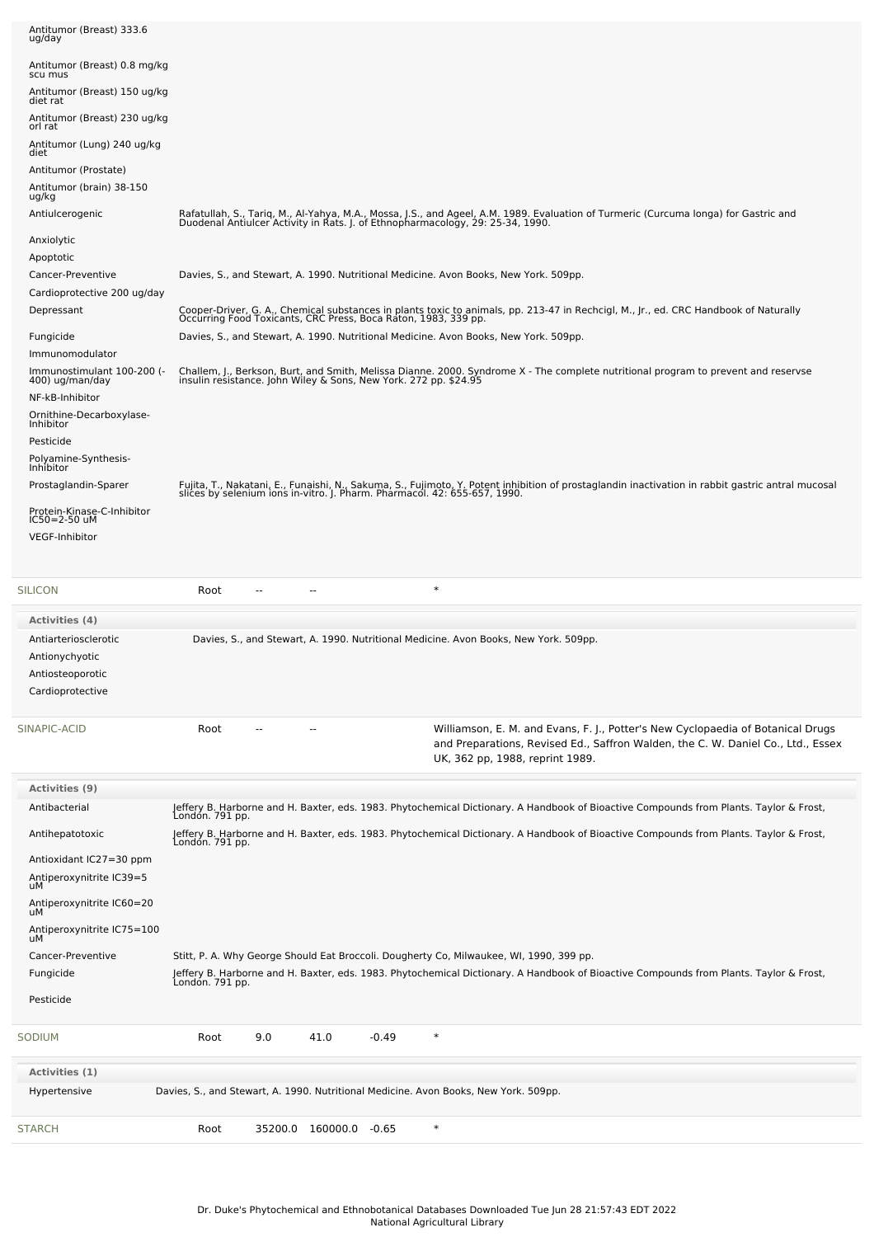| Antitumor (Breast) 333.6                         |                 |                        |      |         |                                                                                                                                                                                                                                |  |
|--------------------------------------------------|-----------------|------------------------|------|---------|--------------------------------------------------------------------------------------------------------------------------------------------------------------------------------------------------------------------------------|--|
| ug/day                                           |                 |                        |      |         |                                                                                                                                                                                                                                |  |
| Antitumor (Breast) 0.8 mg/kg<br>scu mus          |                 |                        |      |         |                                                                                                                                                                                                                                |  |
| Antitumor (Breast) 150 ug/kg<br>diet rat         |                 |                        |      |         |                                                                                                                                                                                                                                |  |
| Antitumor (Breast) 230 ug/kg<br>orl rat          |                 |                        |      |         |                                                                                                                                                                                                                                |  |
| Antitumor (Lung) 240 ug/kg<br>diet               |                 |                        |      |         |                                                                                                                                                                                                                                |  |
| Antitumor (Prostate)                             |                 |                        |      |         |                                                                                                                                                                                                                                |  |
| Antitumor (brain) 38-150<br>ug/kg                |                 |                        |      |         |                                                                                                                                                                                                                                |  |
| Antiulcerogenic                                  |                 |                        |      |         | Rafatullah, S., Tariq, M., Al-Yahya, M.A., Mossa, J.S., and Ageel, A.M. 1989. Evaluation of Turmeric (Curcuma longa) for Gastric and<br>Duodenal Antiulcer Activity in Rats. J. of Ethnopharmacology, 29: 25-34, 1990.         |  |
| Anxiolytic                                       |                 |                        |      |         |                                                                                                                                                                                                                                |  |
| Apoptotic<br>Cancer-Preventive                   |                 |                        |      |         | Davies, S., and Stewart, A. 1990. Nutritional Medicine. Avon Books, New York. 509pp.                                                                                                                                           |  |
| Cardioprotective 200 ug/day                      |                 |                        |      |         |                                                                                                                                                                                                                                |  |
| Depressant                                       |                 |                        |      |         | Cooper-Driver, G. A., Chemical substances in plants toxic to animals, pp. 213-47 in Rechcigl, M., Jr., ed. CRC Handbook of Naturally<br>Occurring Food Toxicants, CRC Press, Boca Raton, 1983, 339 pp.                         |  |
| Fungicide                                        |                 |                        |      |         | Davies, S., and Stewart, A. 1990. Nutritional Medicine. Avon Books, New York. 509pp.                                                                                                                                           |  |
| Immunomodulator                                  |                 |                        |      |         |                                                                                                                                                                                                                                |  |
| Immunostimulant 100-200 (-<br>400) ug/man/day    |                 |                        |      |         | Challem, J., Berkson, Burt, and Smith, Melissa Dianne. 2000. Syndrome X - The complete nutritional program to prevent and reservse<br>insulin resistance. John Wiley & Sons, New York. 272 pp. \$24.95                         |  |
| NF-kB-Inhibitor<br>Ornithine-Decarboxylase-      |                 |                        |      |         |                                                                                                                                                                                                                                |  |
| Inhibitor                                        |                 |                        |      |         |                                                                                                                                                                                                                                |  |
| Pesticide<br>Polyamine-Synthesis-                |                 |                        |      |         |                                                                                                                                                                                                                                |  |
| Inhibitor<br>Prostaglandin-Sparer                |                 |                        |      |         |                                                                                                                                                                                                                                |  |
|                                                  |                 |                        |      |         | Fujita, T., Nakatani, E., Funaishi, N., Sakuma, S., Fujimoto, Y. Potent inhibition of prostaglandin inactivation in rabbit gastric antral mucosal<br>slices by selenium ions in-vitro. J. Pharm. Pharmacol. 42: 655-657, 1990. |  |
| Protein-Kinase-C-Inhibitor<br>$IC50 = 2 - 50$ uM |                 |                        |      |         |                                                                                                                                                                                                                                |  |
| <b>VEGF-Inhibitor</b>                            |                 |                        |      |         |                                                                                                                                                                                                                                |  |
|                                                  |                 |                        |      |         |                                                                                                                                                                                                                                |  |
| <b>SILICON</b>                                   | Root            | $\overline{a}$         | --   |         | $\ast$                                                                                                                                                                                                                         |  |
| Activities (4)                                   |                 |                        |      |         |                                                                                                                                                                                                                                |  |
| Antiarteriosclerotic                             |                 |                        |      |         | Davies, S., and Stewart, A. 1990. Nutritional Medicine. Avon Books, New York. 509pp.                                                                                                                                           |  |
| Antionychyotic<br>Antiosteoporotic               |                 |                        |      |         |                                                                                                                                                                                                                                |  |
| Cardioprotective                                 |                 |                        |      |         |                                                                                                                                                                                                                                |  |
|                                                  |                 |                        |      |         |                                                                                                                                                                                                                                |  |
| SINAPIC-ACID                                     | Root            |                        |      |         | Williamson, E. M. and Evans, F. J., Potter's New Cyclopaedia of Botanical Drugs<br>and Preparations, Revised Ed., Saffron Walden, the C. W. Daniel Co., Ltd., Essex<br>UK, 362 pp, 1988, reprint 1989.                         |  |
| <b>Activities (9)</b>                            |                 |                        |      |         |                                                                                                                                                                                                                                |  |
| Antibacterial                                    | London. 791 pp. |                        |      |         | Jeffery B. Harborne and H. Baxter, eds. 1983. Phytochemical Dictionary. A Handbook of Bioactive Compounds from Plants. Taylor & Frost,                                                                                         |  |
| Antihepatotoxic                                  | London. 791 pp. |                        |      |         | Jeffery B. Harborne and H. Baxter, eds. 1983. Phytochemical Dictionary. A Handbook of Bioactive Compounds from Plants. Taylor & Frost,                                                                                         |  |
| Antioxidant IC27=30 ppm                          |                 |                        |      |         |                                                                                                                                                                                                                                |  |
| Antiperoxynitrite IC39=5<br>uМ                   |                 |                        |      |         |                                                                                                                                                                                                                                |  |
| Antiperoxynitrite IC60=20<br>uМ                  |                 |                        |      |         |                                                                                                                                                                                                                                |  |
| Antiperoxynitrite IC75=100<br>uМ                 |                 |                        |      |         |                                                                                                                                                                                                                                |  |
| Cancer-Preventive                                |                 |                        |      |         |                                                                                                                                                                                                                                |  |
|                                                  |                 |                        |      |         | Stitt, P. A. Why George Should Eat Broccoli. Dougherty Co, Milwaukee, WI, 1990, 399 pp.                                                                                                                                        |  |
| Fungicide                                        | Londón. 791 pp. |                        |      |         | Jeffery B. Harborne and H. Baxter, eds. 1983. Phytochemical Dictionary. A Handbook of Bioactive Compounds from Plants. Taylor & Frost,                                                                                         |  |
| Pesticide                                        |                 |                        |      |         |                                                                                                                                                                                                                                |  |
| SODIUM                                           | Root            | 9.0                    | 41.0 | $-0.49$ | $\ast$                                                                                                                                                                                                                         |  |
| Activities (1)                                   |                 |                        |      |         |                                                                                                                                                                                                                                |  |
| Hypertensive                                     |                 |                        |      |         | Davies, S., and Stewart, A. 1990. Nutritional Medicine. Avon Books, New York. 509pp.                                                                                                                                           |  |
| STARCH                                           | Root            | 35200.0 160000.0 -0.65 |      |         | $\ast$                                                                                                                                                                                                                         |  |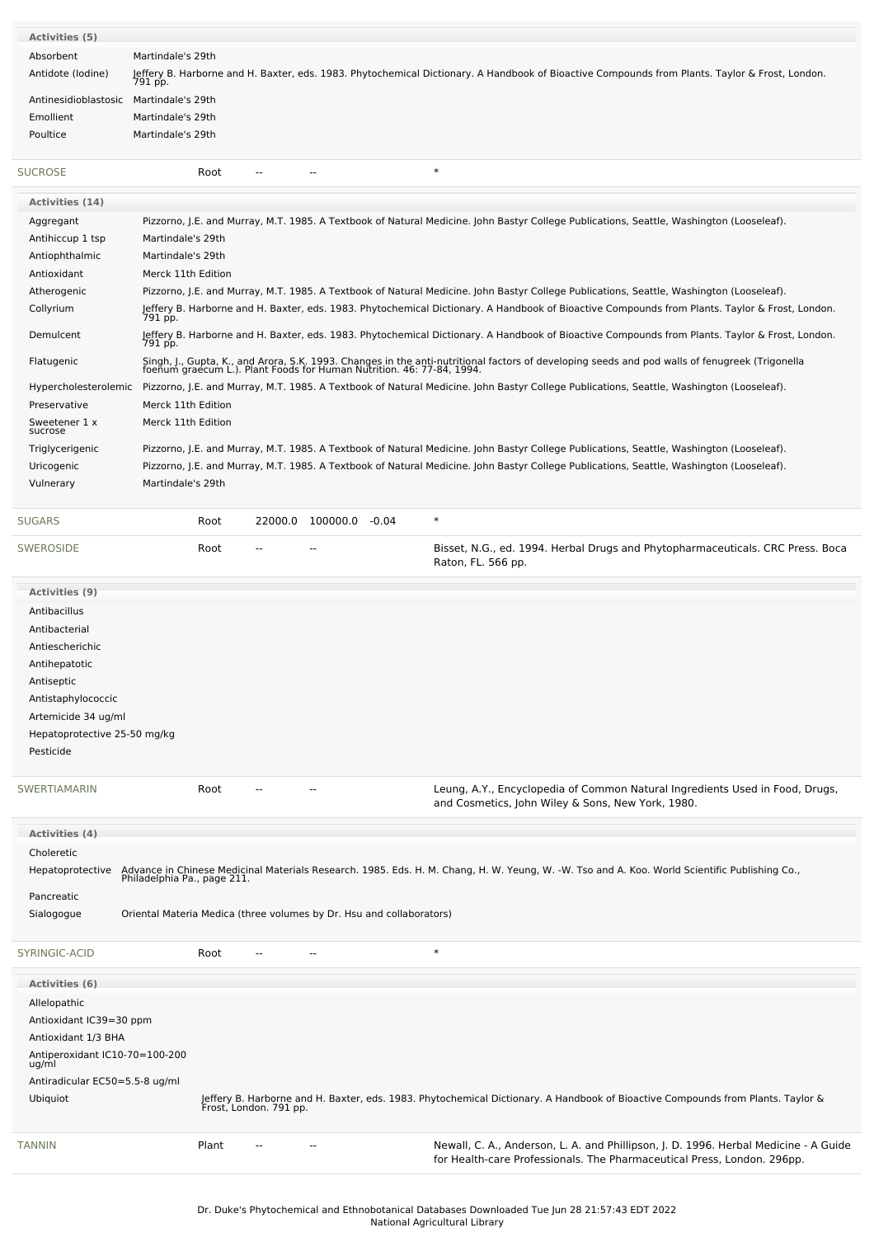| <b>Activities (5)</b>          |                             |       |                        |                                                                      |                                                                                                                                                                                                                         |
|--------------------------------|-----------------------------|-------|------------------------|----------------------------------------------------------------------|-------------------------------------------------------------------------------------------------------------------------------------------------------------------------------------------------------------------------|
| Absorbent                      | Martindale's 29th           |       |                        |                                                                      |                                                                                                                                                                                                                         |
| Antidote (Iodine)              |                             |       |                        |                                                                      | Jeffery B. Harborne and H. Baxter, eds. 1983. Phytochemical Dictionary. A Handbook of Bioactive Compounds from Plants. Taylor & Frost, London.<br>791 pp.                                                               |
| Antinesidioblastosic           | Martindale's 29th           |       |                        |                                                                      |                                                                                                                                                                                                                         |
| Emollient                      | Martindale's 29th           |       |                        |                                                                      |                                                                                                                                                                                                                         |
| Poultice                       | Martindale's 29th           |       |                        |                                                                      |                                                                                                                                                                                                                         |
| <b>SUCROSE</b>                 |                             | Root  | --                     |                                                                      | $\ast$                                                                                                                                                                                                                  |
| <b>Activities (14)</b>         |                             |       |                        |                                                                      |                                                                                                                                                                                                                         |
| Aggregant                      |                             |       |                        |                                                                      | Pizzorno, J.E. and Murray, M.T. 1985. A Textbook of Natural Medicine. John Bastyr College Publications, Seattle, Washington (Looseleaf).                                                                                |
| Antihiccup 1 tsp               | Martindale's 29th           |       |                        |                                                                      |                                                                                                                                                                                                                         |
| Antiophthalmic                 | Martindale's 29th           |       |                        |                                                                      |                                                                                                                                                                                                                         |
| Antioxidant                    | Merck 11th Edition          |       |                        |                                                                      |                                                                                                                                                                                                                         |
| Atherogenic                    |                             |       |                        |                                                                      | Pizzorno, J.E. and Murray, M.T. 1985. A Textbook of Natural Medicine. John Bastyr College Publications, Seattle, Washington (Looseleaf).                                                                                |
| Collyrium                      | 791 pp.                     |       |                        |                                                                      | Jeffery B. Harborne and H. Baxter, eds. 1983. Phytochemical Dictionary. A Handbook of Bioactive Compounds from Plants. Taylor & Frost, London.                                                                          |
| Demulcent                      | 791 pp.                     |       |                        |                                                                      | Jeffery B. Harborne and H. Baxter, eds. 1983. Phytochemical Dictionary. A Handbook of Bioactive Compounds from Plants. Taylor & Frost, London.                                                                          |
| Flatugenic                     |                             |       |                        |                                                                      | Singh, J., Gupta, K., and Arora, S.K. 1993. Changes in the anti-nutritional factors of developing seeds and pod walls of fenugreek (Trigonella<br>foenum graecum L.). Plant Foods for Human Nutrition. 46: 77-84, 1994. |
|                                |                             |       |                        |                                                                      | Hypercholesterolemic Pizzorno, J.E. and Murray, M.T. 1985. A Textbook of Natural Medicine. John Bastyr College Publications, Seattle, Washington (Looseleaf).                                                           |
| Preservative                   | Merck 11th Edition          |       |                        |                                                                      |                                                                                                                                                                                                                         |
| Sweetener 1 x<br>sucrose       | Merck 11th Edition          |       |                        |                                                                      |                                                                                                                                                                                                                         |
| Triglycerigenic                |                             |       |                        |                                                                      | Pizzorno, J.E. and Murray, M.T. 1985. A Textbook of Natural Medicine. John Bastyr College Publications, Seattle, Washington (Looseleaf).                                                                                |
| Uricogenic                     |                             |       |                        |                                                                      | Pizzorno, J.E. and Murray, M.T. 1985. A Textbook of Natural Medicine. John Bastyr College Publications, Seattle, Washington (Looseleaf).                                                                                |
| Vulnerary                      | Martindale's 29th           |       |                        |                                                                      |                                                                                                                                                                                                                         |
|                                |                             |       |                        |                                                                      |                                                                                                                                                                                                                         |
| <b>SUGARS</b>                  |                             | Root  |                        | 22000.0 100000.0 -0.04                                               | $\ast$                                                                                                                                                                                                                  |
| <b>SWEROSIDE</b>               |                             | Root  |                        |                                                                      | Bisset, N.G., ed. 1994. Herbal Drugs and Phytopharmaceuticals. CRC Press. Boca<br>Raton, FL. 566 pp.                                                                                                                    |
| <b>Activities (9)</b>          |                             |       |                        |                                                                      |                                                                                                                                                                                                                         |
| Antibacillus                   |                             |       |                        |                                                                      |                                                                                                                                                                                                                         |
| Antibacterial                  |                             |       |                        |                                                                      |                                                                                                                                                                                                                         |
| Antiescherichic                |                             |       |                        |                                                                      |                                                                                                                                                                                                                         |
| Antihepatotic                  |                             |       |                        |                                                                      |                                                                                                                                                                                                                         |
| Antiseptic                     |                             |       |                        |                                                                      |                                                                                                                                                                                                                         |
| Antistaphylococcic             |                             |       |                        |                                                                      |                                                                                                                                                                                                                         |
| Artemicide 34 ug/ml            |                             |       |                        |                                                                      |                                                                                                                                                                                                                         |
| Hepatoprotective 25-50 mg/kg   |                             |       |                        |                                                                      |                                                                                                                                                                                                                         |
| Pesticide                      |                             |       |                        |                                                                      |                                                                                                                                                                                                                         |
|                                |                             |       |                        |                                                                      |                                                                                                                                                                                                                         |
| <b>SWERTIAMARIN</b>            |                             | Root  |                        |                                                                      | Leung, A.Y., Encyclopedia of Common Natural Ingredients Used in Food, Drugs,<br>and Cosmetics, John Wiley & Sons, New York, 1980.                                                                                       |
| Activities (4)                 |                             |       |                        |                                                                      |                                                                                                                                                                                                                         |
| Choleretic                     |                             |       |                        |                                                                      |                                                                                                                                                                                                                         |
| Hepatoprotective               | Philadelphia Pa., page 211. |       |                        |                                                                      | Advance in Chinese Medicinal Materials Research. 1985. Eds. H. M. Chang, H. W. Yeung, W. -W. Tso and A. Koo. World Scientific Publishing Co.,                                                                           |
| Pancreatic                     |                             |       |                        |                                                                      |                                                                                                                                                                                                                         |
| Sialogogue                     |                             |       |                        | Oriental Materia Medica (three volumes by Dr. Hsu and collaborators) |                                                                                                                                                                                                                         |
| SYRINGIC-ACID                  |                             | Root  |                        | --                                                                   | $\ast$                                                                                                                                                                                                                  |
| <b>Activities (6)</b>          |                             |       |                        |                                                                      |                                                                                                                                                                                                                         |
| Allelopathic                   |                             |       |                        |                                                                      |                                                                                                                                                                                                                         |
| Antioxidant IC39=30 ppm        |                             |       |                        |                                                                      |                                                                                                                                                                                                                         |
| Antioxidant 1/3 BHA            |                             |       |                        |                                                                      |                                                                                                                                                                                                                         |
| Antiperoxidant IC10-70=100-200 |                             |       |                        |                                                                      |                                                                                                                                                                                                                         |
| ug/ml                          |                             |       |                        |                                                                      |                                                                                                                                                                                                                         |
| Antiradicular EC50=5.5-8 ug/ml |                             |       |                        |                                                                      |                                                                                                                                                                                                                         |
| Ubiquiot                       |                             |       | Frost, London. 791 pp. |                                                                      | Jeffery B. Harborne and H. Baxter, eds. 1983. Phytochemical Dictionary. A Handbook of Bioactive Compounds from Plants. Taylor &                                                                                         |
| TANNIN                         |                             | Plant |                        |                                                                      | Newall, C. A., Anderson, L. A. and Phillipson, J. D. 1996. Herbal Medicine - A Guide<br>for Health-care Professionals. The Pharmaceutical Press, London. 296pp.                                                         |
|                                |                             |       |                        |                                                                      |                                                                                                                                                                                                                         |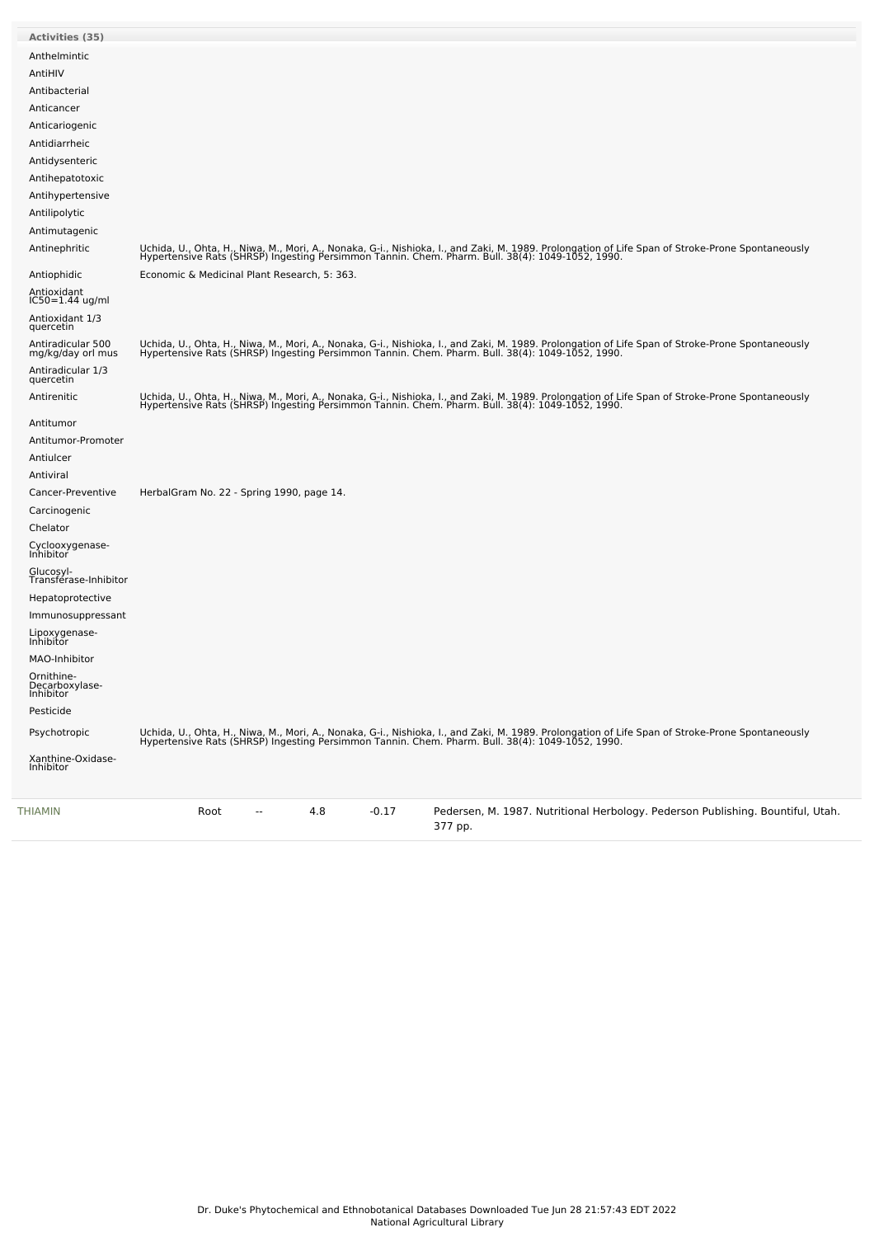| THIAMIN                                | Root<br>4.8<br>$-0.17$<br>Pedersen, M. 1987. Nutritional Herbology. Pederson Publishing. Bountiful, Utah.<br>377 pp.                                                                                                              |
|----------------------------------------|-----------------------------------------------------------------------------------------------------------------------------------------------------------------------------------------------------------------------------------|
| Xanthine-Oxidase-<br>Inhibitor         |                                                                                                                                                                                                                                   |
| Psychotropic                           | Uchida, U., Ohta, H., Niwa, M., Mori, A., Nonaka, G-i., Nishioka, I., and Zaki, M. 1989. Prolongation of Life Span of Stroke-Prone Spontaneously<br>Hypertensive Rats (SHRSP) Ingesting Persimmon Tannin. Chem. Pharm. Bull. 38(4 |
| Pesticide                              |                                                                                                                                                                                                                                   |
| Decarboxylase-<br>Inhibitor            |                                                                                                                                                                                                                                   |
| Ornithine-                             |                                                                                                                                                                                                                                   |
| MAO-Inhibitor                          |                                                                                                                                                                                                                                   |
| Lipoxygenase-<br>Inhibitor             |                                                                                                                                                                                                                                   |
| Immunosuppressant                      |                                                                                                                                                                                                                                   |
| Hepatoprotective                       |                                                                                                                                                                                                                                   |
| Glucosyl-<br>Transférase-Inhibitor     |                                                                                                                                                                                                                                   |
| Cyclooxygenase-<br>Inhibitor           |                                                                                                                                                                                                                                   |
| Chelator                               |                                                                                                                                                                                                                                   |
| Carcinogenic                           |                                                                                                                                                                                                                                   |
| Cancer-Preventive                      | HerbalGram No. 22 - Spring 1990, page 14.                                                                                                                                                                                         |
| Antiviral                              |                                                                                                                                                                                                                                   |
| Antiulcer                              |                                                                                                                                                                                                                                   |
| Antitumor-Promoter                     |                                                                                                                                                                                                                                   |
| Antitumor                              |                                                                                                                                                                                                                                   |
| Antirenitic                            | Uchida, U., Ohta, H., Niwa, M., Mori, A., Nonaka, G-i., Nishioka, I., and Zaki, M. 1989. Prolongation of Life Span of Stroke-Prone Spontaneously<br>Hypertensive Rats (SHRSP) Ingesting Persimmon Tannin. Chem. Pharm. Bull. 38(4 |
| Antiradicular 1/3<br>quercetin         |                                                                                                                                                                                                                                   |
| Antiradicular 500<br>mg/kg/day orl mus | Uchida, U., Ohta, H., Niwa, M., Mori, A., Nonaka, G-i., Nishioka, I., and Zaki, M. 1989. Prolongation of Life Span of Stroke-Prone Spontaneously<br>Hypertensive Rats (SHRSP) Ingesting Persimmon Tannin. Chem. Pharm. Bull. 38(4 |
| Antioxidant 1/3<br>quercetin           |                                                                                                                                                                                                                                   |
| Antioxidant<br>IC50=1.44 ug/ml         |                                                                                                                                                                                                                                   |
|                                        |                                                                                                                                                                                                                                   |
| Antiophidic                            | Economic & Medicinal Plant Research, 5: 363.                                                                                                                                                                                      |
| Antinephritic                          | Uchida, U., Ohta, H., Niwa, M., Mori, A., Nonaka, G-i., Nishioka, I., and Zaki, M. 1989. Prolongation of Life Span of Stroke-Prone Spontaneously<br>Hypertensive Rats (SHRSP) Ingesting Persimmon Tannin. Chem. Pharm. Bull. 38(4 |
| Antimutagenic                          |                                                                                                                                                                                                                                   |
| Antilipolytic                          |                                                                                                                                                                                                                                   |
| Antihypertensive                       |                                                                                                                                                                                                                                   |
| Antidysenteric<br>Antihepatotoxic      |                                                                                                                                                                                                                                   |
| Antidiarrheic                          |                                                                                                                                                                                                                                   |
| Anticariogenic                         |                                                                                                                                                                                                                                   |
| Anticancer                             |                                                                                                                                                                                                                                   |
| Antibacterial                          |                                                                                                                                                                                                                                   |
| AntiHIV                                |                                                                                                                                                                                                                                   |
| Anthelmintic                           |                                                                                                                                                                                                                                   |
| Activities (35)                        |                                                                                                                                                                                                                                   |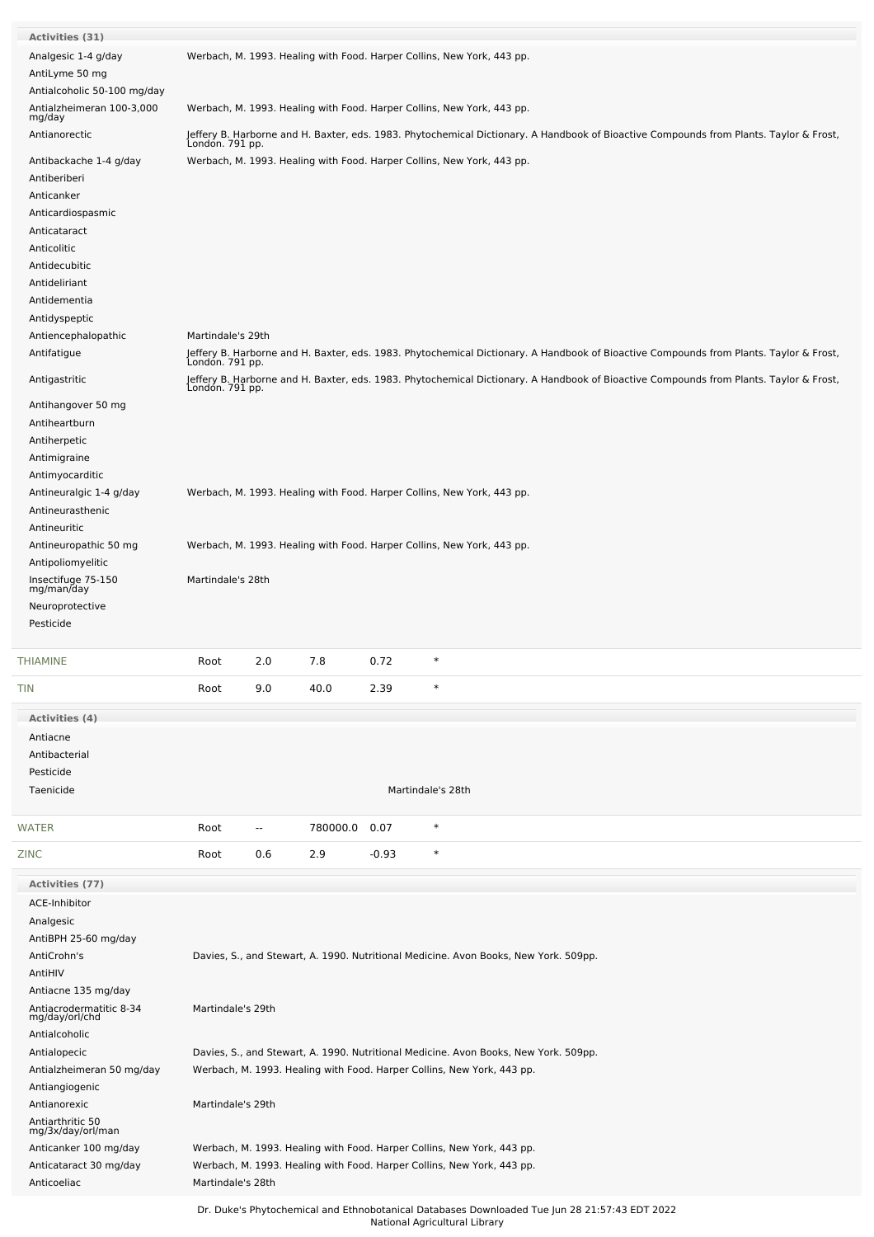| <b>Activities (31)</b>                      |                   |                          |          |         |                                                                                                                                        |
|---------------------------------------------|-------------------|--------------------------|----------|---------|----------------------------------------------------------------------------------------------------------------------------------------|
| Analgesic 1-4 g/day<br>AntiLyme 50 mg       |                   |                          |          |         | Werbach, M. 1993. Healing with Food. Harper Collins, New York, 443 pp.                                                                 |
| Antialcoholic 50-100 mg/day                 |                   |                          |          |         |                                                                                                                                        |
| Antialzheimeran 100-3,000<br>mg/day         |                   |                          |          |         | Werbach, M. 1993. Healing with Food. Harper Collins, New York, 443 pp.                                                                 |
| Antianorectic                               |                   |                          |          |         | Jeffery B. Harborne and H. Baxter, eds. 1983. Phytochemical Dictionary. A Handbook of Bioactive Compounds from Plants. Taylor & Frost, |
| Antibackache 1-4 g/day                      | Londón. 791 pp.   |                          |          |         | Werbach, M. 1993. Healing with Food. Harper Collins, New York, 443 pp.                                                                 |
| Antiberiberi                                |                   |                          |          |         |                                                                                                                                        |
| Anticanker                                  |                   |                          |          |         |                                                                                                                                        |
| Anticardiospasmic                           |                   |                          |          |         |                                                                                                                                        |
| Anticataract                                |                   |                          |          |         |                                                                                                                                        |
| Anticolitic                                 |                   |                          |          |         |                                                                                                                                        |
| Antidecubitic                               |                   |                          |          |         |                                                                                                                                        |
| Antideliriant<br>Antidementia               |                   |                          |          |         |                                                                                                                                        |
| Antidyspeptic                               |                   |                          |          |         |                                                                                                                                        |
| Antiencephalopathic                         | Martindale's 29th |                          |          |         |                                                                                                                                        |
| Antifatigue                                 |                   |                          |          |         | Jeffery B. Harborne and H. Baxter, eds. 1983. Phytochemical Dictionary. A Handbook of Bioactive Compounds from Plants. Taylor & Frost, |
|                                             | Londón. 791 pp.   |                          |          |         |                                                                                                                                        |
| Antigastritic                               | Londón. 791 pp.   |                          |          |         | Jeffery B. Harborne and H. Baxter, eds. 1983. Phytochemical Dictionary. A Handbook of Bioactive Compounds from Plants. Taylor & Frost, |
| Antihangover 50 mg                          |                   |                          |          |         |                                                                                                                                        |
| Antiheartburn                               |                   |                          |          |         |                                                                                                                                        |
| Antiherpetic                                |                   |                          |          |         |                                                                                                                                        |
| Antimigraine<br>Antimyocarditic             |                   |                          |          |         |                                                                                                                                        |
| Antineuralgic 1-4 g/day                     |                   |                          |          |         | Werbach, M. 1993. Healing with Food. Harper Collins, New York, 443 pp.                                                                 |
| Antineurasthenic                            |                   |                          |          |         |                                                                                                                                        |
| Antineuritic                                |                   |                          |          |         |                                                                                                                                        |
| Antineuropathic 50 mg                       |                   |                          |          |         | Werbach, M. 1993. Healing with Food. Harper Collins, New York, 443 pp.                                                                 |
| Antipoliomyelitic                           |                   |                          |          |         |                                                                                                                                        |
| Insectifuge 75-150<br>mg/man/day            | Martindale's 28th |                          |          |         |                                                                                                                                        |
| Neuroprotective                             |                   |                          |          |         |                                                                                                                                        |
| Pesticide                                   |                   |                          |          |         |                                                                                                                                        |
| THIAMINE                                    | Root              | 2.0                      | 7.8      | 0.72    | $\ast$                                                                                                                                 |
| TIN                                         | Root              | 9.0                      | 40.0     | 2.39    | $\ast$                                                                                                                                 |
|                                             |                   |                          |          |         |                                                                                                                                        |
| Activities (4)<br>Antiacne                  |                   |                          |          |         |                                                                                                                                        |
| Antibacterial                               |                   |                          |          |         |                                                                                                                                        |
| Pesticide                                   |                   |                          |          |         |                                                                                                                                        |
| Taenicide                                   |                   |                          |          |         | Martindale's 28th                                                                                                                      |
|                                             |                   |                          |          |         |                                                                                                                                        |
| WATER                                       | Root              | $\overline{\phantom{a}}$ | 780000.0 | 0.07    | $\ast$                                                                                                                                 |
| ZINC                                        | Root              | 0.6                      | 2.9      | $-0.93$ | $\ast$                                                                                                                                 |
| <b>Activities (77)</b>                      |                   |                          |          |         |                                                                                                                                        |
| ACE-Inhibitor                               |                   |                          |          |         |                                                                                                                                        |
| Analgesic                                   |                   |                          |          |         |                                                                                                                                        |
| AntiBPH 25-60 mg/day<br>AntiCrohn's         |                   |                          |          |         |                                                                                                                                        |
| AntiHIV                                     |                   |                          |          |         | Davies, S., and Stewart, A. 1990. Nutritional Medicine. Avon Books, New York. 509pp.                                                   |
|                                             |                   |                          |          |         |                                                                                                                                        |
|                                             |                   |                          |          |         |                                                                                                                                        |
| Antiacne 135 mg/day                         | Martindale's 29th |                          |          |         |                                                                                                                                        |
| Antiacrodermatitic 8-34<br>mg/day/orl/chd   |                   |                          |          |         |                                                                                                                                        |
| Antialcoholic                               |                   |                          |          |         |                                                                                                                                        |
| Antialopecic                                |                   |                          |          |         | Davies, S., and Stewart, A. 1990. Nutritional Medicine. Avon Books, New York. 509pp.                                                   |
| Antialzheimeran 50 mg/day<br>Antiangiogenic |                   |                          |          |         | Werbach, M. 1993. Healing with Food. Harper Collins, New York, 443 pp.                                                                 |
| Antianorexic                                | Martindale's 29th |                          |          |         |                                                                                                                                        |
| Antiarthritic 50                            |                   |                          |          |         |                                                                                                                                        |
| mg/3x/day/orl/man                           |                   |                          |          |         |                                                                                                                                        |
| Anticanker 100 mg/day                       |                   |                          |          |         | Werbach, M. 1993. Healing with Food. Harper Collins, New York, 443 pp.                                                                 |
| Anticataract 30 mg/day<br>Anticoeliac       | Martindale's 28th |                          |          |         | Werbach, M. 1993. Healing with Food. Harper Collins, New York, 443 pp.                                                                 |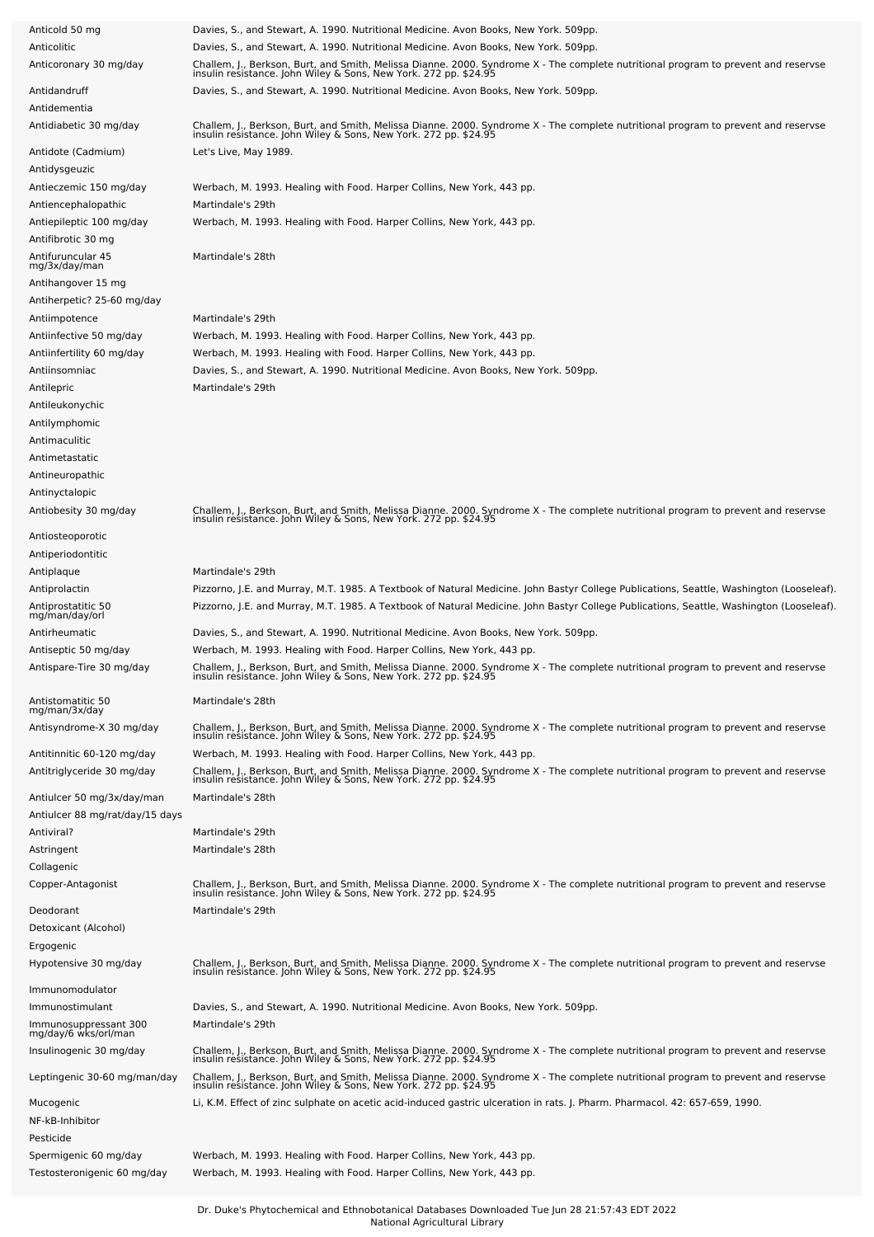| Anticold 50 mg                                           | Davies, S., and Stewart, A. 1990. Nutritional Medicine. Avon Books, New York. 509pp.                                                                                                                                                                                             |
|----------------------------------------------------------|----------------------------------------------------------------------------------------------------------------------------------------------------------------------------------------------------------------------------------------------------------------------------------|
| Anticolitic                                              | Davies, S., and Stewart, A. 1990. Nutritional Medicine. Avon Books, New York. 509pp.                                                                                                                                                                                             |
| Anticoronary 30 mg/day                                   | Challem, J., Berkson, Burt, and Smith, Melissa Dianne. 2000. Syndrome X - The complete nutritional program to prevent and reservse<br>insulin resistance. John Wiley & Sons, New York. 272 pp. \$24.95                                                                           |
| Antidandruff<br>Antidementia                             | Davies, S., and Stewart, A. 1990. Nutritional Medicine. Avon Books, New York. 509pp.                                                                                                                                                                                             |
| Antidiabetic 30 mg/day                                   | Challem, J., Berkson, Burt, and Smith, Melissa Dianne. 2000. Syndrome X - The complete nutritional program to prevent and reservse<br>insulin resistance. John Wiley & Sons, New York. 272 pp. \$24.95                                                                           |
| Antidote (Cadmium)<br>Antidysgeuzic                      | Let's Live, May 1989.                                                                                                                                                                                                                                                            |
| Antieczemic 150 mg/day                                   | Werbach, M. 1993. Healing with Food. Harper Collins, New York, 443 pp.                                                                                                                                                                                                           |
| Antiencephalopathic                                      | Martindale's 29th                                                                                                                                                                                                                                                                |
| Antiepileptic 100 mg/day<br>Antifibrotic 30 mg           | Werbach, M. 1993. Healing with Food. Harper Collins, New York, 443 pp.                                                                                                                                                                                                           |
| Antifuruncular 45<br>mg/3x/day/man                       | Martindale's 28th                                                                                                                                                                                                                                                                |
| Antihangover 15 mg<br>Antiherpetic? 25-60 mg/day         |                                                                                                                                                                                                                                                                                  |
| Antiimpotence                                            | Martindale's 29th                                                                                                                                                                                                                                                                |
| Antiinfective 50 mg/day                                  | Werbach, M. 1993. Healing with Food. Harper Collins, New York, 443 pp.                                                                                                                                                                                                           |
| Antiinfertility 60 mg/day                                | Werbach, M. 1993. Healing with Food. Harper Collins, New York, 443 pp.                                                                                                                                                                                                           |
| Antiinsomniac                                            | Davies, S., and Stewart, A. 1990. Nutritional Medicine. Avon Books, New York. 509pp.                                                                                                                                                                                             |
| Antilepric                                               | Martindale's 29th                                                                                                                                                                                                                                                                |
| Antileukonychic                                          |                                                                                                                                                                                                                                                                                  |
| Antilymphomic                                            |                                                                                                                                                                                                                                                                                  |
| Antimaculitic                                            |                                                                                                                                                                                                                                                                                  |
| Antimetastatic                                           |                                                                                                                                                                                                                                                                                  |
| Antineuropathic                                          |                                                                                                                                                                                                                                                                                  |
| Antinyctalopic                                           |                                                                                                                                                                                                                                                                                  |
| Antiobesity 30 mg/day                                    | Challem, J., Berkson, Burt, and Smith, Melissa Dianne. 2000. Syndrome X - The complete nutritional program to prevent and reservse<br>insulin resistance. John Wiley & Sons, New York. 272 pp. \$24.95                                                                           |
| Antiosteoporotic                                         |                                                                                                                                                                                                                                                                                  |
| Antiperiodontitic                                        | Martindale's 29th                                                                                                                                                                                                                                                                |
| Antiplaque                                               | Pizzorno, J.E. and Murray, M.T. 1985. A Textbook of Natural Medicine. John Bastyr College Publications, Seattle, Washington (Looseleaf).                                                                                                                                         |
| Antiprolactin                                            | Pizzorno, J.E. and Murray, M.T. 1985. A Textbook of Natural Medicine. John Bastyr College Publications, Seattle, Washington (Looseleaf).                                                                                                                                         |
| Antiprostatitic 50<br>mg/man/day/orl                     |                                                                                                                                                                                                                                                                                  |
| Antirheumatic                                            | Davies, S., and Stewart, A. 1990. Nutritional Medicine. Avon Books, New York. 509pp.                                                                                                                                                                                             |
| Antiseptic 50 mg/day                                     | Werbach, M. 1993. Healing with Food. Harper Collins, New York, 443 pp.                                                                                                                                                                                                           |
| Antispare-Tire 30 mg/day                                 | Challem, J., Berkson, Burt, and Smith, Melissa Dianne. 2000. Syndrome X - The complete nutritional program to prevent and reservse<br>insulin resistance. John Wiley & Sons, New York. 272 pp. \$24.95                                                                           |
| Antistomatitic 50<br>mg/man/3x/day                       | Martindale's 28th                                                                                                                                                                                                                                                                |
| Antisyndrome-X 30 mg/day                                 | Challem, J., Berkson, Burt, and Smith, Melissa Dianne. 2000. Syndrome X - The complete nutritional program to prevent and reservse<br>insulin resistance. John Wiley & Sons, New York. 272 pp. \$24.95                                                                           |
| Antitinnitic 60-120 mg/day<br>Antitriglyceride 30 mg/day | Werbach, M. 1993. Healing with Food. Harper Collins, New York, 443 pp.<br>Challem, J., Berkson, Burt, and Smith, Melissa Dianne. 2000. Syndrome X - The complete nutritional program to prevent and reservse<br>insulin resistance. John Wiley & Sons, New York. 272 pp. \$24.95 |
| Antiulcer 50 mg/3x/day/man                               | Martindale's 28th                                                                                                                                                                                                                                                                |
| Antiulcer 88 mg/rat/day/15 days                          |                                                                                                                                                                                                                                                                                  |
| Antiviral?                                               | Martindale's 29th                                                                                                                                                                                                                                                                |
| Astringent                                               | Martindale's 28th                                                                                                                                                                                                                                                                |
| Collagenic                                               |                                                                                                                                                                                                                                                                                  |
| Copper-Antagonist                                        | Challem, J., Berkson, Burt, and Smith, Melissa Dianne. 2000. Syndrome X - The complete nutritional program to prevent and reservse<br>insulin resistance. John Wiley & Sons, New York. 272 pp. \$24.95                                                                           |
| Deodorant                                                | Martindale's 29th                                                                                                                                                                                                                                                                |
| Detoxicant (Alcohol)                                     |                                                                                                                                                                                                                                                                                  |
| Ergogenic                                                |                                                                                                                                                                                                                                                                                  |
| Hypotensive 30 mg/day                                    | Challem, J., Berkson, Burt, and Smith, Melissa Dianne. 2000. Syndrome X - The complete nutritional program to prevent and reservse<br>insulin resistance. John Wiley & Sons, New York. 272 pp. \$24.95                                                                           |
| Immunomodulator                                          |                                                                                                                                                                                                                                                                                  |
| Immunostimulant                                          | Davies, S., and Stewart, A. 1990. Nutritional Medicine. Avon Books, New York. 509pp.                                                                                                                                                                                             |
| Immunosuppressant 300<br>mg/day/6 wks/orl/man            | Martindale's 29th                                                                                                                                                                                                                                                                |
| Insulinogenic 30 mg/day                                  | Challem, J., Berkson, Burt, and Smith, Melissa Dianne. 2000. Syndrome X - The complete nutritional program to prevent and reservse<br>insulin resistance. John Wiley & Sons, New York. 272 pp. \$24.95                                                                           |
| Leptingenic 30-60 mg/man/day                             | Challem, J., Berkson, Burt, and Smith, Melissa Dianne. 2000. Syndrome X - The complete nutritional program to prevent and reservse<br>insulin resistance. John Wiley & Sons, New York. 272 pp. \$24.95                                                                           |
| Mucogenic                                                | Li, K.M. Effect of zinc sulphate on acetic acid-induced gastric ulceration in rats. J. Pharm. Pharmacol. 42: 657-659, 1990.                                                                                                                                                      |
| NF-kB-Inhibitor                                          |                                                                                                                                                                                                                                                                                  |
| Pesticide                                                |                                                                                                                                                                                                                                                                                  |
| Spermigenic 60 mg/day                                    | Werbach, M. 1993. Healing with Food. Harper Collins, New York, 443 pp.                                                                                                                                                                                                           |
| Testosteronigenic 60 mg/day                              | Werbach, M. 1993. Healing with Food. Harper Collins, New York, 443 pp.                                                                                                                                                                                                           |